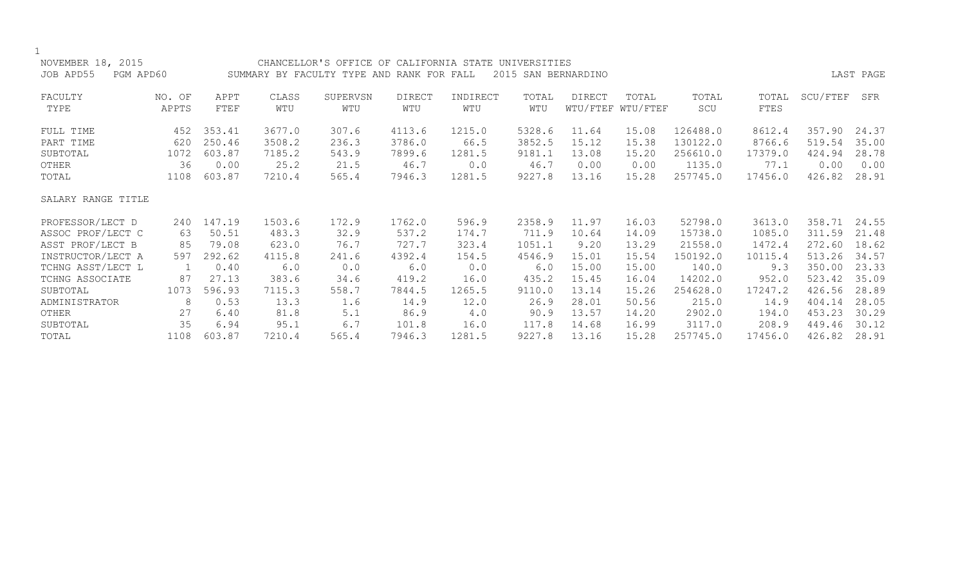| NOVEMBER 18, 2015      |        |        |        | CHANCELLOR'S OFFICE OF CALIFORNIA STATE UNIVERSITIES |               |          |        |                     |                   |          |         |          |           |
|------------------------|--------|--------|--------|------------------------------------------------------|---------------|----------|--------|---------------------|-------------------|----------|---------|----------|-----------|
| JOB APD55<br>PGM APD60 |        |        |        | SUMMARY BY FACULTY TYPE AND RANK FOR FALL            |               |          |        | 2015 SAN BERNARDINO |                   |          |         |          | LAST PAGE |
| FACULTY                | NO. OF | APPT   | CLASS  | SUPERVSN                                             | <b>DIRECT</b> | INDIRECT | TOTAL  | DIRECT              | TOTAL             | TOTAL    | TOTAL   | SCU/FTEF | SFR       |
| TYPE                   | APPTS  | FTEF   | WTU    | WTU                                                  | WTU           | WTU      | WTU    |                     | WTU/FTEF WTU/FTEF | SCU      | FTES    |          |           |
| FULL TIME              | 452    | 353.41 | 3677.0 | 307.6                                                | 4113.6        | 1215.0   | 5328.6 | 11.64               | 15.08             | 126488.0 | 8612.4  | 357.90   | 24.37     |
| PART TIME              | 620    | 250.46 | 3508.2 | 236.3                                                | 3786.0        | 66.5     | 3852.5 | 15.12               | 15.38             | 130122.0 | 8766.6  | 519.54   | 35.00     |
| SUBTOTAL               | 1072   | 603.87 | 7185.2 | 543.9                                                | 7899.6        | 1281.5   | 9181.1 | 13.08               | 15.20             | 256610.0 | 17379.0 | 424.94   | 28.78     |
| OTHER                  | 36     | 0.00   | 25.2   | 21.5                                                 | 46.7          | 0.0      | 46.7   | 0.00                | 0.00              | 1135.0   | 77.1    | 0.00     | 0.00      |
| TOTAL                  | 1108   | 603.87 | 7210.4 | 565.4                                                | 7946.3        | 1281.5   | 9227.8 | 13.16               | 15.28             | 257745.0 | 17456.0 | 426.82   | 28.91     |
| SALARY RANGE TITLE     |        |        |        |                                                      |               |          |        |                     |                   |          |         |          |           |
| PROFESSOR/LECT D       | 240    | 147.19 | 1503.6 | 172.9                                                | 1762.0        | 596.9    | 2358.9 | 11.97               | 16.03             | 52798.0  | 3613.0  | 358.71   | 24.55     |
| ASSOC PROF/LECT C      | 63     | 50.51  | 483.3  | 32.9                                                 | 537.2         | 174.7    | 711.9  | 10.64               | 14.09             | 15738.0  | 1085.0  | 311.59   | 21.48     |
| ASST PROF/LECT B       | 85     | 79.08  | 623.0  | 76.7                                                 | 727.7         | 323.4    | 1051.1 | 9.20                | 13.29             | 21558.0  | 1472.4  | 272.60   | 18.62     |
| INSTRUCTOR/LECT A      | 597    | 292.62 | 4115.8 | 241.6                                                | 4392.4        | 154.5    | 4546.9 | 15.01               | 15.54             | 150192.0 | 10115.4 | 513.26   | 34.57     |
| TCHNG ASST/LECT L      | 1      | 0.40   | 6.0    | 0.0                                                  | 6.0           | 0.0      | $6.0$  | 15.00               | 15.00             | 140.0    | 9.3     | 350.00   | 23.33     |
| TCHNG ASSOCIATE        | 87     | 27.13  | 383.6  | 34.6                                                 | 419.2         | 16.0     | 435.2  | 15.45               | 16.04             | 14202.0  | 952.0   | 523.42   | 35.09     |
| SUBTOTAL               | 1073   | 596.93 | 7115.3 | 558.7                                                | 7844.5        | 1265.5   | 9110.0 | 13.14               | 15.26             | 254628.0 | 17247.2 | 426.56   | 28.89     |
| ADMINISTRATOR          | 8      | 0.53   | 13.3   | 1.6                                                  | 14.9          | 12.0     | 26.9   | 28.01               | 50.56             | 215.0    | 14.9    | 404.14   | 28.05     |
| OTHER                  | 27     | 6.40   | 81.8   | 5.1                                                  | 86.9          | 4.0      | 90.9   | 13.57               | 14.20             | 2902.0   | 194.0   | 453.23   | 30.29     |
| SUBTOTAL               | 35     | 6.94   | 95.1   | 6.7                                                  | 101.8         | 16.0     | 117.8  | 14.68               | 16.99             | 3117.0   | 208.9   | 449.46   | 30.12     |
| TOTAL                  | 1108   | 603.87 | 7210.4 | 565.4                                                | 7946.3        | 1281.5   | 9227.8 | 13.16               | 15.28             | 257745.0 | 17456.0 | 426.82   | 28.91     |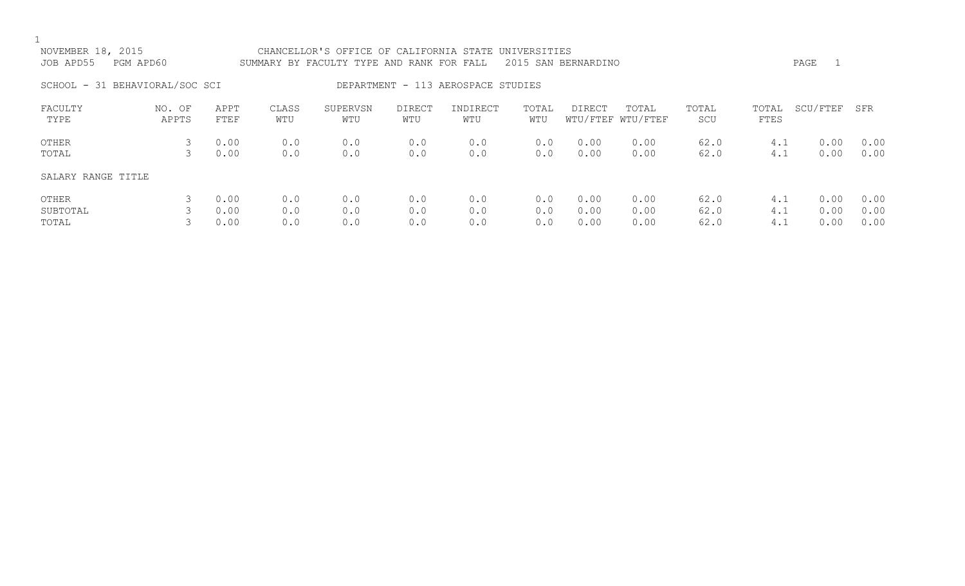| NOVEMBER 18, 2015<br>JOB APD55 | PGM APD60       |                      |                   | CHANCELLOR'S OFFICE OF CALIFORNIA STATE UNIVERSITIES<br>SUMMARY BY FACULTY TYPE AND RANK FOR FALL |                      |                                    |                   | 2015 SAN BERNARDINO  |                            |                      |                   | PAGE                 |                      |
|--------------------------------|-----------------|----------------------|-------------------|---------------------------------------------------------------------------------------------------|----------------------|------------------------------------|-------------------|----------------------|----------------------------|----------------------|-------------------|----------------------|----------------------|
| SCHOOL - 31 BEHAVIORAL/SOC SCI |                 |                      |                   |                                                                                                   |                      | DEPARTMENT - 113 AEROSPACE STUDIES |                   |                      |                            |                      |                   |                      |                      |
| FACULTY<br>TYPE                | NO. OF<br>APPTS | APPT<br>FTEF         | CLASS<br>WTU      | SUPERVSN<br>WTU                                                                                   | <b>DIRECT</b><br>WTU | INDIRECT<br>WTU                    | TOTAL<br>WTU      | <b>DIRECT</b>        | TOTAL<br>WTU/FTEF WTU/FTEF | TOTAL<br>SCU         | TOTAL<br>FTES     | SCU/FTEF             | SFR                  |
| OTHER<br>TOTAL                 | 3<br>3          | 0.00<br>0.00         | 0.0<br>0.0        | 0.0<br>0.0                                                                                        | 0.0<br>0.0           | 0.0<br>0.0                         | 0.0<br>0.0        | 0.00<br>0.00         | 0.00<br>0.00               | 62.0<br>62.0         | 4.1<br>4.1        | 0.00<br>0.00         | 0.00<br>0.00         |
| SALARY RANGE TITLE             |                 |                      |                   |                                                                                                   |                      |                                    |                   |                      |                            |                      |                   |                      |                      |
| OTHER<br>SUBTOTAL<br>TOTAL     |                 | 0.00<br>0.00<br>0.00 | 0.0<br>0.0<br>0.0 | 0.0<br>0.0<br>0.0                                                                                 | 0.0<br>0.0<br>0.0    | 0.0<br>0.0<br>0.0                  | 0.0<br>0.0<br>0.0 | 0.00<br>0.00<br>0.00 | 0.00<br>0.00<br>0.00       | 62.0<br>62.0<br>62.0 | 4.1<br>4.1<br>4.1 | 0.00<br>0.00<br>0.00 | 0.00<br>0.00<br>0.00 |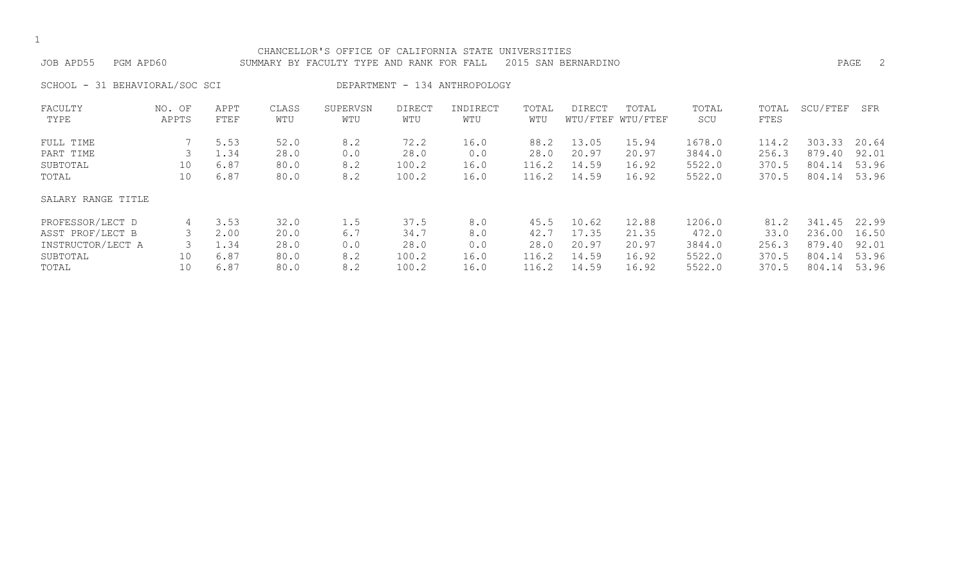# CHANCELLOR'S OFFICE OF CALIFORNIA STATE UNIVERSITIES

JOB APD55 PGM APD60 SUMMARY BY FACULTY TYPE AND RANK FOR FALL 2015 SAN BERNARDINO PAGE 2 SCHOOL - 31 BEHAVIORAL/SOC SCI DEPARTMENT - 134 ANTHROPOLOGY FACULTY NO. OF APPT CLASS SUPERVSN DIRECT INDIRECT TOTAL DIRECT TOTAL TOTAL TOTAL SCU/FTEF SFR TYPE APPTS FTEF WTU WTU WTU WTU WTU WTU/FTEF WTU/FTEF SCU FTES FULL TIME 7 5.53 52.0 8.2 72.2 16.0 88.2 13.05 15.94 1678.0 114.2 303.33 20.64 PART TIME 3 1.34 28.0 0.0 28.0 0.0 28.0 20.97 20.97 3844.0 256.3 879.40 92.01 SUBTOTAL 10 6.87 80.0 8.2 100.2 16.0 116.2 14.59 16.92 5522.0 370.5 804.14 53.96

### SALARY RANGE TITLE

| PROFESSOR/LECT D  |    | 3.53 | 32.0 | 1.5 | 37.5  | 8.0  | 45.5  | 10.62 | 12.88 | 1206.0 |       | 81.2 341.45 22.99 |       |
|-------------------|----|------|------|-----|-------|------|-------|-------|-------|--------|-------|-------------------|-------|
| ASST PROF/LECT B  |    | 2.00 | 20.0 | 6.7 | 34.7  | 8.0  | 42.7  | 17.35 | 21.35 | 472.0  | 33.0  | 236.00            | 16.50 |
| INSTRUCTOR/LECT A |    | 1.34 | 28.0 | 0.0 | 28.0  | 0.0  | 28.0  | 20.97 | 20.97 | 3844.0 | 256.3 | 879.40 92.01      |       |
| SUBTOTAL          | 10 | 6.87 | 80.0 | 8.2 | 100.2 | 16.0 | 116.2 | 14.59 | 16.92 | 5522.0 | 370.5 | 804.14            | 53.96 |
| TOTAL             |    | 6.87 | 80.0 |     | 100.2 | 16.0 | 116.2 | 14.59 | 16.92 | 5522.0 | 370.5 | 804.14            | 53.96 |

TOTAL 10 6.87 80.0 8.2 100.2 16.0 116.2 14.59 16.92 5522.0 370.5 804.14 53.96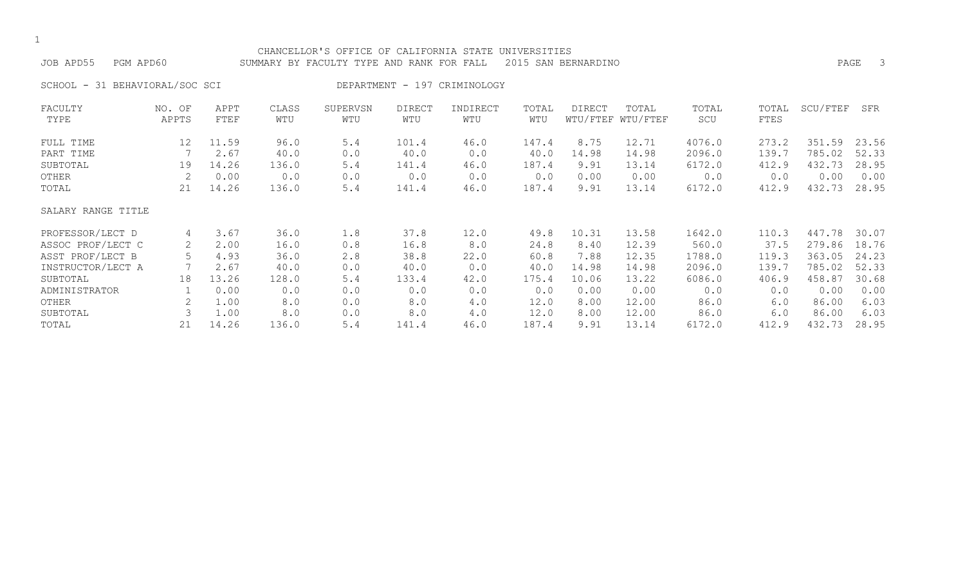#### CHANCELLOR'S OFFICE OF CALIFORNIA STATE UNIVERSITIES JOB APD55 PGM APD60 SUMMARY BY FACULTY TYPE AND RANK FOR FALL 2015 SAN BERNARDINO PAGE 3

SCHOOL - 31 BEHAVIORAL/SOC SCI DEPARTMENT - 197 CRIMINOLOGY

| FACULTY            | NO. OF | APPT  | CLASS | SUPERVSN | <b>DIRECT</b> | INDIRECT | TOTAL | <b>DIRECT</b> | TOTAL             | TOTAL  | TOTAL | SCU/FTEF | SFR   |
|--------------------|--------|-------|-------|----------|---------------|----------|-------|---------------|-------------------|--------|-------|----------|-------|
| TYPE               | APPTS  | FTEF  | WTU   | WTU      | WTU           | WTU      | WTU   |               | WTU/FTEF WTU/FTEF | SCU    | FTES  |          |       |
| FULL TIME          | 12     | 11.59 | 96.0  | 5.4      | 101.4         | 46.0     | 147.4 | 8.75          | 12.71             | 4076.0 | 273.2 | 351.59   | 23.56 |
| PART TIME          |        | 2.67  | 40.0  | 0.0      | 40.0          | 0.0      | 40.0  | 14.98         | 14.98             | 2096.0 | 139.7 | 785.02   | 52.33 |
| SUBTOTAL           | 19     | 14.26 | 136.0 | 5.4      | 141.4         | 46.0     | 187.4 | 9.91          | 13.14             | 6172.0 | 412.9 | 432.73   | 28.95 |
| OTHER              | 2      | 0.00  | 0.0   | 0.0      | 0.0           | 0.0      | 0.0   | 0.00          | 0.00              | 0.0    | 0.0   | 0.00     | 0.00  |
| TOTAL              | 21     | 14.26 | 136.0 | 5.4      | 141.4         | 46.0     | 187.4 | 9.91          | 13.14             | 6172.0 | 412.9 | 432.73   | 28.95 |
| SALARY RANGE TITLE |        |       |       |          |               |          |       |               |                   |        |       |          |       |
| PROFESSOR/LECT D   | 4      | 3.67  | 36.0  | 1.8      | 37.8          | 12.0     | 49.8  | 10.31         | 13.58             | 1642.0 | 110.3 | 447.78   | 30.07 |
| ASSOC PROF/LECT C  | 2      | 2.00  | 16.0  | 0.8      | 16.8          | 8.0      | 24.8  | 8.40          | 12.39             | 560.0  | 37.5  | 279.86   | 18.76 |
| ASST PROF/LECT B   | 5      | 4.93  | 36.0  | 2.8      | 38.8          | 22.0     | 60.8  | 7.88          | 12.35             | 1788.0 | 119.3 | 363.05   | 24.23 |
| INSTRUCTOR/LECT A  |        | 2.67  | 40.0  | 0.0      | 40.0          | 0.0      | 40.0  | 14.98         | 14.98             | 2096.0 | 139.7 | 785.02   | 52.33 |
| SUBTOTAL           | 18     | 13.26 | 128.0 | 5.4      | 133.4         | 42.0     | 175.4 | 10.06         | 13.22             | 6086.0 | 406.9 | 458.87   | 30.68 |
| ADMINISTRATOR      |        | 0.00  | 0.0   | 0.0      | 0.0           | 0.0      | 0.0   | 0.00          | 0.00              | 0.0    | 0.0   | 0.00     | 0.00  |
| OTHER              |        | 1.00  | 8.0   | 0.0      | 8.0           | 4.0      | 12.0  | 8.00          | 12.00             | 86.0   | 6.0   | 86.00    | 6.03  |
| SUBTOTAL           |        | 1.00  | 8.0   | 0.0      | 8.0           | 4.0      | 12.0  | 8.00          | 12.00             | 86.0   | 6.0   | 86.00    | 6.03  |
| TOTAL              | 21     | 14.26 | 136.0 | 5.4      | 141.4         | 46.0     | 187.4 | 9.91          | 13.14             | 6172.0 | 412.9 | 432.73   | 28.95 |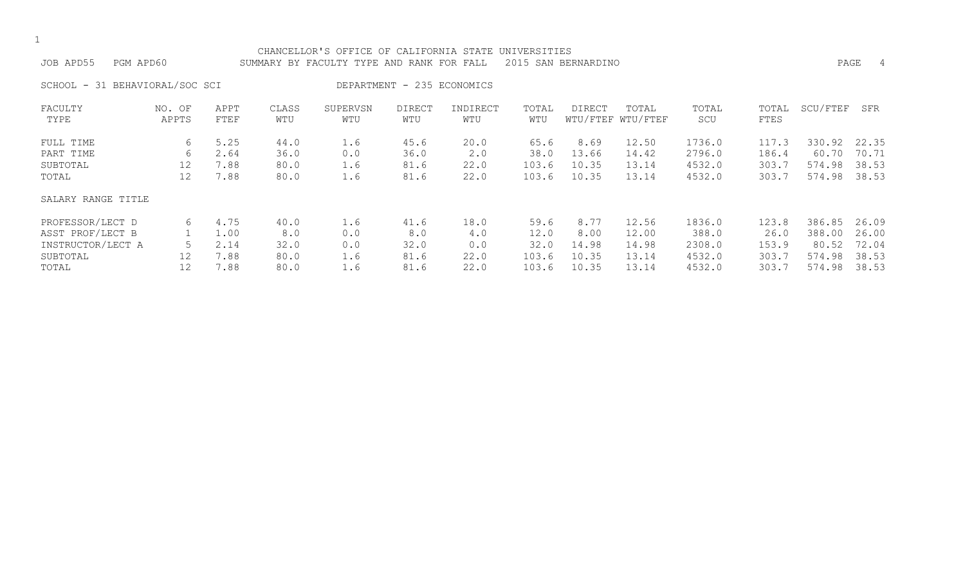|                                |                 |              |              | CHANCELLOR'S OFFICE OF CALIFORNIA STATE   |                            |                 | UNIVERSITIES |                     |                            |              |               |          |           |
|--------------------------------|-----------------|--------------|--------------|-------------------------------------------|----------------------------|-----------------|--------------|---------------------|----------------------------|--------------|---------------|----------|-----------|
| JOB APD55<br>PGM APD60         |                 |              |              | SUMMARY BY FACULTY TYPE AND RANK FOR FALL |                            |                 |              | 2015 SAN BERNARDINO |                            |              |               |          | PAGE<br>4 |
| SCHOOL - 31 BEHAVIORAL/SOC SCI |                 |              |              |                                           | DEPARTMENT - 235 ECONOMICS |                 |              |                     |                            |              |               |          |           |
| FACULTY<br>TYPE                | NO. OF<br>APPTS | APPT<br>FTEF | CLASS<br>WTU | SUPERVSN<br>WTU                           | <b>DIRECT</b><br>WTU       | INDIRECT<br>WTU | TOTAL<br>WTU | DIRECT              | TOTAL<br>WTU/FTEF WTU/FTEF | TOTAL<br>SCU | TOTAL<br>FTES | SCU/FTEF | SFR       |
| FULL TIME                      | 6               | 5.25         | 44.0         | 1.6                                       | 45.6                       | 20.0            | 65.6         | 8.69                | 12.50                      | 1736.0       | 117.3         | 330.92   | 22.35     |
| PART TIME                      | 6               | 2.64         | 36.0         | 0.0                                       | 36.0                       | 2.0             | 38.0         | 13.66               | 14.42                      | 2796.0       | 186.4         | 60.70    | 70.71     |
| SUBTOTAL                       | 12              | 7.88         | 80.0         | 1.6                                       | 81.6                       | 22.0            | 103.6        | 10.35               | 13.14                      | 4532.0       | 303.7         | 574.98   | 38.53     |
| TOTAL                          | 12              | 7.88         | 80.0         | 1.6                                       | 81.6                       | 22.0            | 103.6        | 10.35               | 13.14                      | 4532.0       | 303.7         | 574.98   | 38.53     |
| SALARY RANGE TITLE             |                 |              |              |                                           |                            |                 |              |                     |                            |              |               |          |           |
| PROFESSOR/LECT D               | 6               | 4.75         | 40.0         | 1.6                                       | 41.6                       | 18.0            | 59.6         | 8.77                | 12.56                      | 1836.0       | 123.8         | 386.85   | 26.09     |
| ASST PROF/LECT B               |                 | 1.00         | 8.0          | 0.0                                       | 8.0                        | 4.0             | 12.0         | 8.00                | 12.00                      | 388.0        | 26.0          | 388.00   | 26.00     |
| INSTRUCTOR/LECT A              |                 | 2.14         | 32.0         | 0.0                                       | 32.0                       | 0.0             | 32.0         | 14.98               | 14.98                      | 2308.0       | 153.9         | 80.52    | 72.04     |
| SUBTOTAL                       | 12              | 7.88         | 80.0         | 1.6                                       | 81.6                       | 22.0            | 103.6        | 10.35               | 13.14                      | 4532.0       | 303.7         | 574.98   | 38.53     |
| TOTAL                          | 12              | 7.88         | 80.0         | 1.6                                       | 81.6                       | 22.0            | 103.6        | 10.35               | 13.14                      | 4532.0       | 303.7         | 574.98   | 38.53     |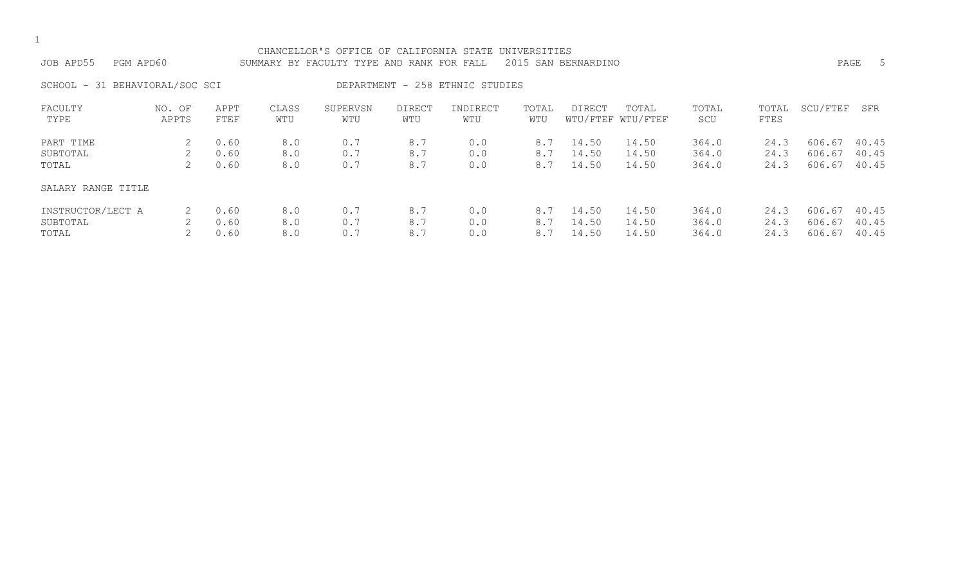|  | ۰.  |
|--|-----|
|  | . . |

| JOB APD55         | PGM APD60                      |              |               | CHANCELLOR'S OFFICE OF CALIFORNIA STATE UNIVERSITIES<br>SUMMARY BY FACULTY TYPE AND RANK FOR FALL 2015 SAN BERNARDINO |        |                                 |                      |        |                                        |               |      | PAGE               |  |
|-------------------|--------------------------------|--------------|---------------|-----------------------------------------------------------------------------------------------------------------------|--------|---------------------------------|----------------------|--------|----------------------------------------|---------------|------|--------------------|--|
|                   | SCHOOL - 31 BEHAVIORAL/SOC SCI |              |               |                                                                                                                       |        | DEPARTMENT - 258 ETHNIC STUDIES |                      |        |                                        |               |      |                    |  |
| FACULTY<br>TY PF. | NO. OF<br>ΔΡΡTΚ                | APPT<br>卫里里耳 | CLASS<br>MTTT | SUPERVSN<br><b>MTIT</b>                                                                                               | DIRECT | INDIRECT<br><b>MTTT</b>         | TOTAL<br><b>MTTT</b> | DIRECT | TOTAL<br>את האחים/ היהוד האחים/ היהודי | TOTAL<br>STTI | FTFS | TOTAL SCU/FTEF SFR |  |

| TYPE               | APPTS | FTEF | WTU | WTU | WTU | WTU | WTU |       | WTU/FTEF WTU/FTEF | SCU   | FTES |              |       |
|--------------------|-------|------|-----|-----|-----|-----|-----|-------|-------------------|-------|------|--------------|-------|
| PART TIME          |       | 0.60 | 8.0 | 0.7 | 8.7 | 0.0 | 8.7 | 14.50 | 14.50             | 364.0 | 24.3 | 606.67       | 40.45 |
| SUBTOTAL           |       | 0.60 | 8.0 | 0.7 | 8.7 | 0.0 | 8.7 | 14.50 | 14.50             | 364.0 | 24.3 | 606.67       | 40.45 |
| TOTAL              |       | 0.60 | 8.0 | 0.7 | 8.7 | 0.0 | 8.7 | 14.50 | 14.50             | 364.0 | 24.3 | 606.67       | 40.45 |
| SALARY RANGE TITLE |       |      |     |     |     |     |     |       |                   |       |      |              |       |
| INSTRUCTOR/LECT A  |       | 0.60 | 8.0 | 0.7 | 8.7 | 0.0 | 8.7 | 14.50 | 14.50             | 364.0 | 24.3 | 606.67 40.45 |       |
| SUBTOTAL           |       | 0.60 | 8.0 | 0.7 | 8.7 | 0.0 | 8.7 | 14.50 | 14.50             | 364.0 | 24.3 | 606.67       | 40.45 |
| TOTAL              |       | 0.60 | 8.0 | 0.7 | 8.7 | 0.0 | 8.7 | 14.50 | 14.50             | 364.0 | 24.3 | 606.67       | 40.45 |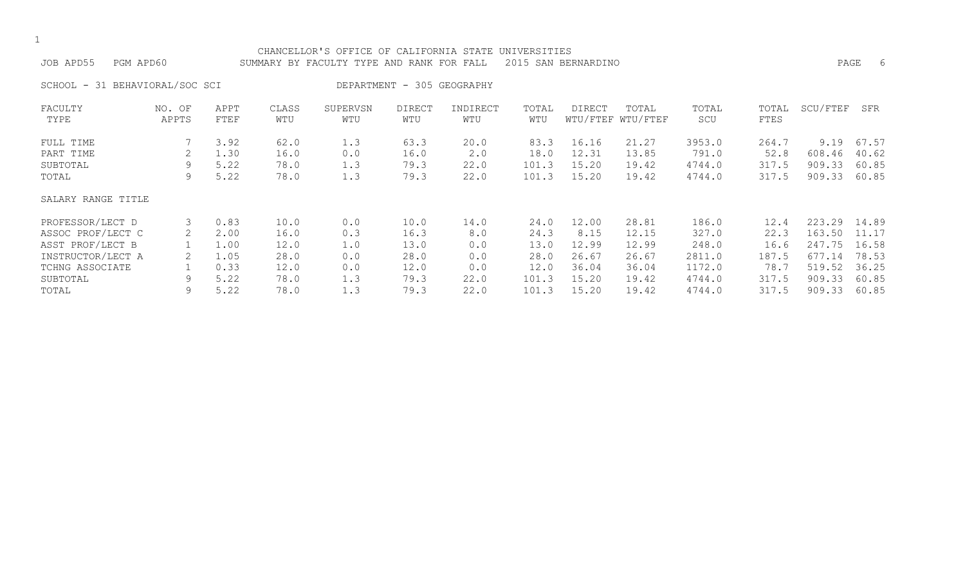| CHANCELLOR'S OFFICE OF CALIFORNIA STATE UNIVERSITIES<br>JOB APD55<br>PGM APD60<br>2015 SAN BERNARDINO<br>SUMMARY BY FACULTY TYPE AND RANK FOR FALL |                 |              |              |                 |                            |                 |              |        |                            |              |               | PAGE     | 6     |
|----------------------------------------------------------------------------------------------------------------------------------------------------|-----------------|--------------|--------------|-----------------|----------------------------|-----------------|--------------|--------|----------------------------|--------------|---------------|----------|-------|
| SCHOOL - 31 BEHAVIORAL/SOC SCI                                                                                                                     |                 |              |              |                 | DEPARTMENT - 305 GEOGRAPHY |                 |              |        |                            |              |               |          |       |
| FACULTY<br>TYPE                                                                                                                                    | NO. OF<br>APPTS | APPT<br>FTEF | CLASS<br>WTU | SUPERVSN<br>WTU | <b>DIRECT</b><br>WTU       | INDIRECT<br>WTU | TOTAL<br>WTU | DIRECT | TOTAL<br>WTU/FTEF WTU/FTEF | TOTAL<br>SCU | TOTAL<br>FTES | SCU/FTEF | SFR   |
| FULL TIME                                                                                                                                          |                 | 3.92         | 62.0         | 1.3             | 63.3                       | 20.0            | 83.3         | 16.16  | 21.27                      | 3953.0       | 264.7         | 9.19     | 67.57 |
| PART TIME                                                                                                                                          | 2               | 1.30         | 16.0         | 0.0             | 16.0                       | 2.0             | 18.0         | 12.31  | 13.85                      | 791.0        | 52.8          | 608.46   | 40.62 |
| SUBTOTAL                                                                                                                                           | 9               | 5.22         | 78.0         | 1.3             | 79.3                       | 22.0            | 101.3        | 15.20  | 19.42                      | 4744.0       | 317.5         | 909.33   | 60.85 |
| TOTAL                                                                                                                                              | 9               | 5.22         | 78.0         | 1.3             | 79.3                       | 22.0            | 101.3        | 15.20  | 19.42                      | 4744.0       | 317.5         | 909.33   | 60.85 |
| SALARY RANGE TITLE                                                                                                                                 |                 |              |              |                 |                            |                 |              |        |                            |              |               |          |       |
| PROFESSOR/LECT D                                                                                                                                   | 3               | 0.83         | 10.0         | 0.0             | 10.0                       | 14.0            | 24.0         | 12.00  | 28.81                      | 186.0        | 12.4          | 223.29   | 14.89 |
| ASSOC PROF/LECT C                                                                                                                                  |                 | 2.00         | 16.0         | 0.3             | 16.3                       | 8.0             | 24.3         | 8.15   | 12.15                      | 327.0        | 22.3          | 163.50   | 11.17 |
| ASST PROF/LECT B                                                                                                                                   |                 | 1.00         | 12.0         | 1.0             | 13.0                       | 0.0             | 13.0         | 12.99  | 12.99                      | 248.0        | 16.6          | 247.75   | 16.58 |
| INSTRUCTOR/LECT A                                                                                                                                  |                 | 1.05         | 28.0         | 0.0             | 28.0                       | 0.0             | 28.0         | 26.67  | 26.67                      | 2811.0       | 187.5         | 677.14   | 78.53 |
| TCHNG ASSOCIATE                                                                                                                                    |                 | 0.33         | 12.0         | 0.0             | 12.0                       | 0.0             | 12.0         | 36.04  | 36.04                      | 1172.0       | 78.7          | 519.52   | 36.25 |
| SUBTOTAL                                                                                                                                           | 9               | 5.22         | 78.0         | 1.3             | 79.3                       | 22.0            | 101.3        | 15.20  | 19.42                      | 4744.0       | 317.5         | 909.33   | 60.85 |
| TOTAL                                                                                                                                              | 9               | 5.22         | 78.0         | 1.3             | 79.3                       | 22.0            | 101.3        | 15.20  | 19.42                      | 4744.0       | 317.5         | 909.33   | 60.85 |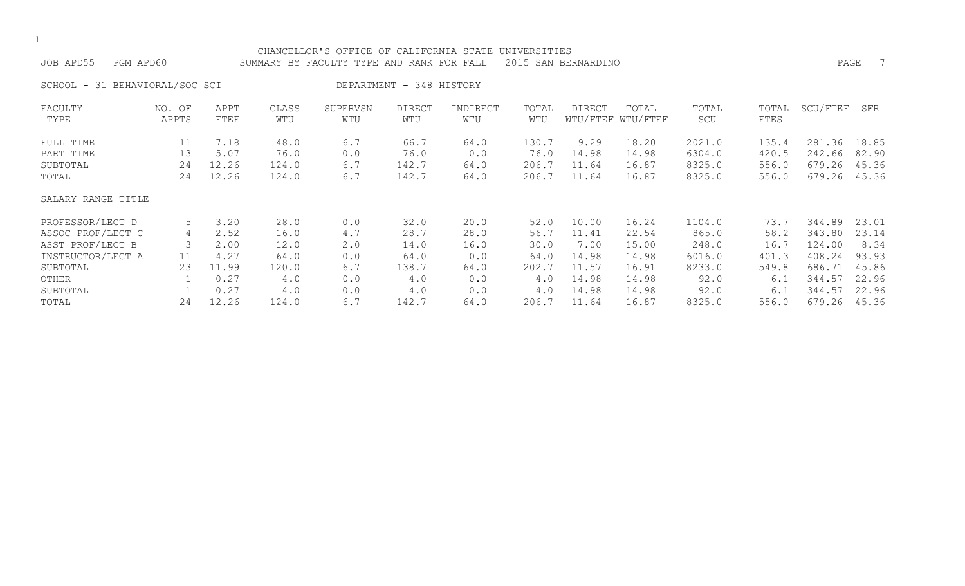| CHANCELLOR'S OFFICE OF CALIFORNIA STATE<br>UNIVERSITIES<br>JOB APD55<br>2015<br>PAGE<br>PGM APD60<br>SUMMARY BY FACULTY TYPE AND RANK FOR<br>SAN BERNARDINO<br>FALL |                          |                                                                |                                                              |                                                              |                                                              |                                                           |                                                              |                                                                     |                                                                      |                                                                        |                                                               |                                                                              |                                                                     |
|---------------------------------------------------------------------------------------------------------------------------------------------------------------------|--------------------------|----------------------------------------------------------------|--------------------------------------------------------------|--------------------------------------------------------------|--------------------------------------------------------------|-----------------------------------------------------------|--------------------------------------------------------------|---------------------------------------------------------------------|----------------------------------------------------------------------|------------------------------------------------------------------------|---------------------------------------------------------------|------------------------------------------------------------------------------|---------------------------------------------------------------------|
| 31 BEHAVIORAL/SOC SCI<br>SCHOOL -                                                                                                                                   |                          |                                                                |                                                              |                                                              | DEPARTMENT - 348 HISTORY                                     |                                                           |                                                              |                                                                     |                                                                      |                                                                        |                                                               |                                                                              |                                                                     |
| FACULTY<br>TYPE                                                                                                                                                     | NO. OF<br>APPTS          | APPT<br>FTEF                                                   | CLASS<br>WTU                                                 | SUPERVSN<br>WTU                                              | <b>DIRECT</b><br>WTU                                         | INDIRECT<br>WTU                                           | TOTAL<br>WTU                                                 | DIRECT                                                              | TOTAL<br>WTU/FTEF WTU/FTEF                                           | TOTAL<br>SCU                                                           | TOTAL<br>FTES                                                 | SCU/FTEF                                                                     | SFR                                                                 |
| FULL TIME<br>PART TIME<br>SUBTOTAL<br>TOTAL                                                                                                                         | 11<br>13<br>24<br>24     | 7.18<br>5.07<br>12.26<br>12.26                                 | 48.0<br>76.0<br>124.0<br>124.0                               | 6.7<br>0.0<br>6.7<br>6.7                                     | 66.7<br>76.0<br>142.7<br>142.7                               | 64.0<br>0.0<br>64.0<br>64.0                               | 130.7<br>76.0<br>206.7<br>206.7                              | 9.29<br>14.98<br>11.64<br>11.64                                     | 18.20<br>14.98<br>16.87<br>16.87                                     | 2021.0<br>6304.0<br>8325.0<br>8325.0                                   | 135.4<br>420.5<br>556.0<br>556.0                              | 281.36<br>242.66<br>679.26<br>679.26                                         | 18.85<br>82.90<br>45.36<br>45.36                                    |
| SALARY RANGE TITLE                                                                                                                                                  |                          |                                                                |                                                              |                                                              |                                                              |                                                           |                                                              |                                                                     |                                                                      |                                                                        |                                                               |                                                                              |                                                                     |
| PROFESSOR/LECT D<br>ASSOC PROF/LECT C<br>ASST PROF/LECT B<br>INSTRUCTOR/LECT A<br>SUBTOTAL<br>OTHER<br>SUBTOTAL<br>TOTAL                                            | 5<br>4<br>11<br>23<br>24 | 3.20<br>2.52<br>2.00<br>4.27<br>11.99<br>0.27<br>0.27<br>12.26 | 28.0<br>16.0<br>12.0<br>64.0<br>120.0<br>4.0<br>4.0<br>124.0 | 0.0<br>4.7<br>$2 \cdot 0$<br>0.0<br>6.7<br>0.0<br>0.0<br>6.7 | 32.0<br>28.7<br>14.0<br>64.0<br>138.7<br>4.0<br>4.0<br>142.7 | 20.0<br>28.0<br>16.0<br>0.0<br>64.0<br>0.0<br>0.0<br>64.0 | 52.0<br>56.7<br>30.0<br>64.0<br>202.7<br>4.0<br>4.0<br>206.7 | 10.00<br>11.41<br>7.00<br>14.98<br>11.57<br>14.98<br>14.98<br>11.64 | 16.24<br>22.54<br>15.00<br>14.98<br>16.91<br>14.98<br>14.98<br>16.87 | 1104.0<br>865.0<br>248.0<br>6016.0<br>8233.0<br>92.0<br>92.0<br>8325.0 | 73.7<br>58.2<br>16.7<br>401.3<br>549.8<br>6.1<br>6.1<br>556.0 | 344.89<br>343.80<br>124.00<br>408.24<br>686.71<br>344.57<br>344.57<br>679.26 | 23.01<br>23.14<br>8.34<br>93.93<br>45.86<br>22.96<br>22.96<br>45.36 |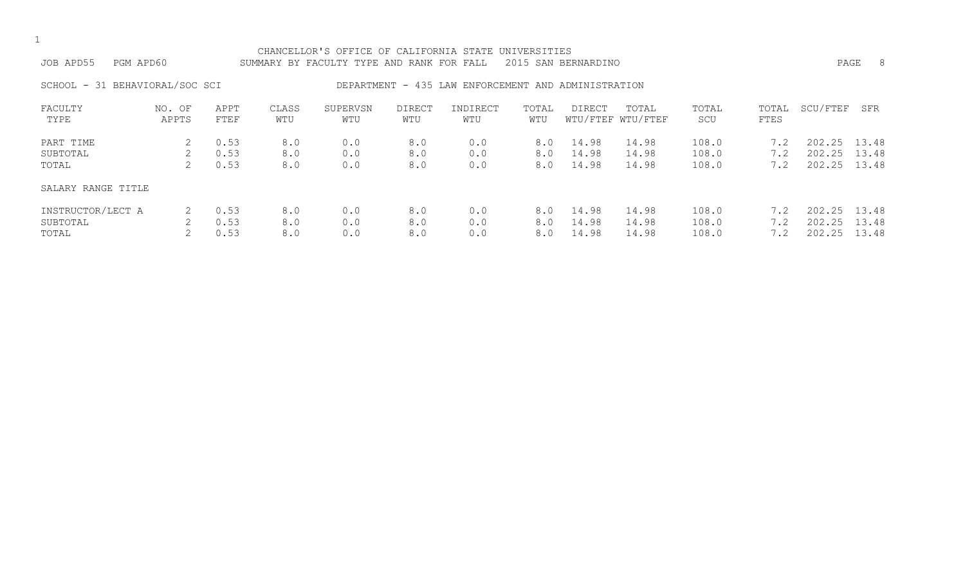| CHANCELLOR'S OFFICE OF CALIFORNIA STATE UNIVERSITIES<br>2015 SAN BERNARDINO<br>JOB APD55<br>PGM APD60<br>SUMMARY BY FACULTY TYPE AND RANK FOR FALL |                 |                      |                   |                   |                      |                                                     |                   |                         |                            |                         |                   |                                  | PAGE<br>8      |
|----------------------------------------------------------------------------------------------------------------------------------------------------|-----------------|----------------------|-------------------|-------------------|----------------------|-----------------------------------------------------|-------------------|-------------------------|----------------------------|-------------------------|-------------------|----------------------------------|----------------|
| SCHOOL - 31 BEHAVIORAL/SOC SCI                                                                                                                     |                 |                      |                   |                   |                      | DEPARTMENT - 435 LAW ENFORCEMENT AND ADMINISTRATION |                   |                         |                            |                         |                   |                                  |                |
| FACULTY<br>TYPE                                                                                                                                    | NO. OF<br>APPTS | APPT<br>FTEF         | CLASS<br>WTU      | SUPERVSN<br>WTU   | <b>DIRECT</b><br>WTU | INDIRECT<br>WTU                                     | TOTAL<br>WTU      | DIRECT                  | TOTAL<br>WTU/FTEF WTU/FTEF | TOTAL<br>SCU            | TOTAL<br>FTES     | SCU/FTEF                         | SFR            |
| PART TIME<br>SUBTOTAL<br>TOTAL                                                                                                                     | 2<br>2<br>2     | 0.53<br>0.53<br>0.53 | 8.0<br>8.0<br>8.0 | 0.0<br>0.0<br>0.0 | 8.0<br>8.0<br>8.0    | 0.0<br>0.0<br>0.0                                   | 8.0<br>8.0<br>8.0 | 14.98<br>14.98<br>14.98 | 14.98<br>14.98<br>14.98    | 108.0<br>108.0<br>108.0 | 7.2<br>7.2<br>7.2 | 202.25 13.48<br>202.25<br>202.25 | 13.48<br>13.48 |
| SALARY RANGE TITLE                                                                                                                                 |                 |                      |                   |                   |                      |                                                     |                   |                         |                            |                         |                   |                                  |                |
| INSTRUCTOR/LECT A<br>SUBTOTAL<br>TOTAL                                                                                                             | 2<br>2<br>2     | 0.53<br>0.53<br>0.53 | 8.0<br>8.0<br>8.0 | 0.0<br>0.0<br>0.0 | 8.0<br>8.0<br>8.0    | 0.0<br>0.0<br>0.0                                   | 8.0<br>8.0<br>8.0 | 14.98<br>14.98<br>14.98 | 14.98<br>14.98<br>14.98    | 108.0<br>108.0<br>108.0 | 7.2<br>7.2<br>7.2 | 202.25 13.48<br>202.25<br>202.25 | 13.48<br>13.48 |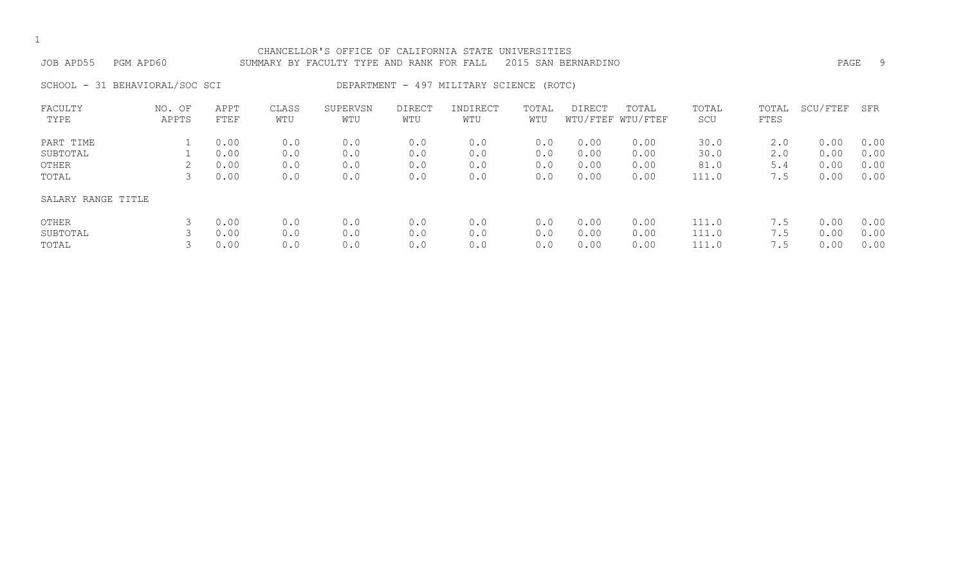| JOB APD55 PGM APD60            | CHANCELLOR'S OFFICE OF CALIFORNIA STATE UNIVERSITIES<br>SUMMARY BY FACULTY TYPE AND RANK FOR FALL 2015 SAN BERNARDINO | PAGE |  |
|--------------------------------|-----------------------------------------------------------------------------------------------------------------------|------|--|
| SCHOOL - 31 BEHAVIORAL/SOC SCI | DEPARTMENT - 497 MILITARY SCIENCE (ROTC)                                                                              |      |  |

| FACULTY<br>TYPE    | NO.<br>OF<br>APPTS | APPT<br>FTEF | CLASS<br>WTU | SUPERVSN<br>WTU | <b>DIRECT</b><br>WTU | INDIRECT<br>WTU | TOTAL<br>WTU | <b>DIRECT</b> | TOTAL<br>WTU/FTEF WTU/FTEF | TOTAL<br>SCU | TOTAL<br><b>FTES</b> | SCU/FTEF | SFR  |
|--------------------|--------------------|--------------|--------------|-----------------|----------------------|-----------------|--------------|---------------|----------------------------|--------------|----------------------|----------|------|
| PART TIME          |                    | 0.00         | 0.0          | 0.0             | 0.0                  | 0.0             | 0.0          | 0.00          | 0.00                       | 30.0         | 2.0                  | 0.00     | 0.00 |
| SUBTOTAL           |                    | 0.00         | 0.0          | 0.0             | 0.0                  | 0.0             | 0.0          | 0.00          | 0.00                       | 30.0         | 2.0                  | 0.00     | 0.00 |
| OTHER              |                    | 0.00         | 0.0          | 0.0             | 0.0                  | 0.0             | 0.0          | 0.00          | 0.00                       | 81.0         | 5.4                  | 0.00     | 0.00 |
| TOTAL              |                    | 0.00         | 0.0          | 0.0             | 0.0                  | 0.0             | 0.0          | 0.00          | 0.00                       | 111.0        | 7.5                  | 0.00     | 0.00 |
| SALARY RANGE TITLE |                    |              |              |                 |                      |                 |              |               |                            |              |                      |          |      |
| OTHER              | 3                  | 0.00         | 0.0          | 0.0             | 0.0                  | 0.0             | 0.0          | 0.00          | 0.00                       | 111.0        | 7.5                  | 0.00     | 0.00 |
| SUBTOTAL           |                    | 0.00         | 0.0          | 0.0             | 0.0                  | 0.0             | 0.0          | 0.00          | 0.00                       | 111.0        | 7.5                  | 0.00     | 0.00 |
| TOTAL              |                    | 0.00         | 0.0          | 0.0             | 0.0                  | 0.0             | 0.0          | 0.00          | 0.00                       | 111.0        | 7.5                  | 0.00     | 0.00 |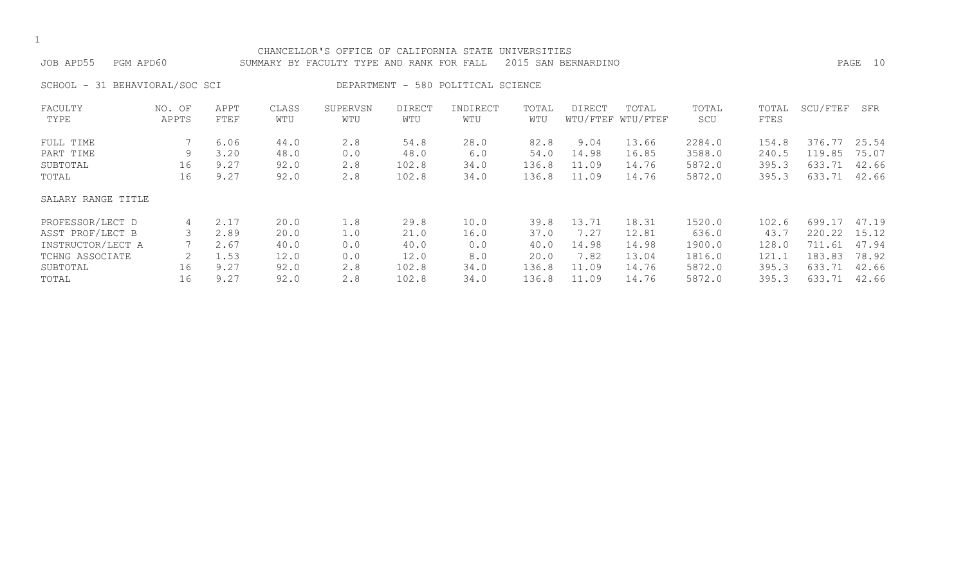| ۰.  |
|-----|
| . . |

# CHANCELLOR'S OFFICE OF CALIFORNIA STATE UNIVERSITIES JOB APD55 PGM APD60 SUMMARY BY FACULTY TYPE AND RANK FOR FALL 2015 SAN BERNARDINO PAGE 10

SCHOOL - 31 BEHAVIORAL/SOC SCI DEPARTMENT - 580 POLITICAL SCIENCE

| FACULTY            | NO. OF | APPT | CLASS | SUPERVSN | <b>DIRECT</b> | INDIRECT | TOTAL | DIRECT | TOTAL             | TOTAL  | TOTAL | SCU/FTEF     | SFR   |
|--------------------|--------|------|-------|----------|---------------|----------|-------|--------|-------------------|--------|-------|--------------|-------|
| TYPE               | APPTS  | FTEF | WTU   | WTU      | WTU           | WTU      | WTU   |        | WTU/FTEF WTU/FTEF | SCU    | FTES  |              |       |
| FULL TIME          |        | 6.06 | 44.0  | 2.8      | 54.8          | 28.0     | 82.8  | 9.04   | 13.66             | 2284.0 | 154.8 | 376.77 25.54 |       |
| PART TIME          | 9      | 3.20 | 48.0  | 0.0      | 48.0          | 6.0      | 54.0  | 14.98  | 16.85             | 3588.0 | 240.5 | 119.85       | 75.07 |
| SUBTOTAL           | 16     | 9.27 | 92.0  | 2.8      | 102.8         | 34.0     | 136.8 | 11.09  | 14.76             | 5872.0 | 395.3 | 633.71       | 42.66 |
| TOTAL              | 16     | 9.27 | 92.0  | 2.8      | 102.8         | 34.0     | 136.8 | 11.09  | 14.76             | 5872.0 | 395.3 | 633.71       | 42.66 |
| SALARY RANGE TITLE |        |      |       |          |               |          |       |        |                   |        |       |              |       |
| PROFESSOR/LECT D   | 4      | 2.17 | 20.0  | 1.8      | 29.8          | 10.0     | 39.8  | 13.71  | 18.31             | 1520.0 | 102.6 | 699.17       | 47.19 |
| ASST PROF/LECT B   |        | 2.89 | 20.0  | 1.0      | 21.0          | 16.0     | 37.0  | 7.27   | 12.81             | 636.0  | 43.7  | 220.22       | 15.12 |
| INSTRUCTOR/LECT A  |        | 2.67 | 40.0  | 0.0      | 40.0          | 0.0      | 40.0  | 14.98  | 14.98             | 1900.0 | 128.0 | 711<br>.61   | 47.94 |
| TCHNG ASSOCIATE    |        | 1.53 | 12.0  | 0.0      | 12.0          | 8.0      | 20.0  | 7.82   | 13.04             | 1816.0 | 121.1 | 183.83       | 78.92 |
| SUBTOTAL           | 16     | 9.27 | 92.0  | 2.8      | 102.8         | 34.0     | 136.8 | 11.09  | 14.76             | 5872.0 | 395.3 | 633.71       | 42.66 |
| TOTAL              | 16     | 9.27 | 92.0  | 2.8      | 102.8         | 34.0     | 136.8 | 11.09  | 14.76             | 5872.0 | 395.3 | 633.71       | 42.66 |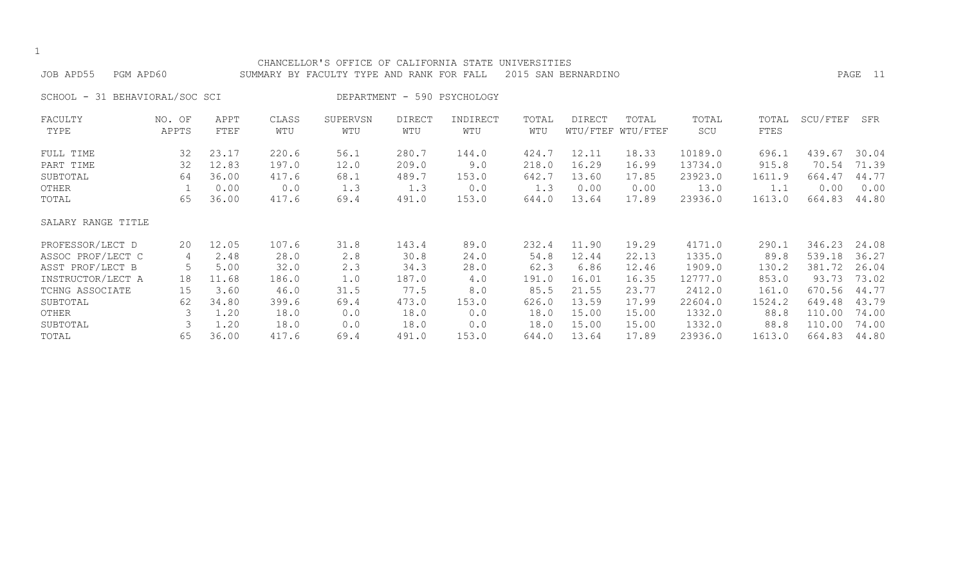|                                |                 |              |              | CHANCELLOR'S OFFICE OF CALIFORNIA STATE UNIVERSITIES |                      |                             |              |                     |                            |              |               |          |         |
|--------------------------------|-----------------|--------------|--------------|------------------------------------------------------|----------------------|-----------------------------|--------------|---------------------|----------------------------|--------------|---------------|----------|---------|
| JOB APD55<br>PGM APD60         |                 |              |              | SUMMARY BY FACULTY TYPE AND RANK FOR FALL            |                      |                             |              | 2015 SAN BERNARDINO |                            |              |               |          | PAGE 11 |
| SCHOOL - 31 BEHAVIORAL/SOC SCI |                 |              |              |                                                      |                      | DEPARTMENT - 590 PSYCHOLOGY |              |                     |                            |              |               |          |         |
| FACULTY<br>TYPE                | NO. OF<br>APPTS | APPT<br>FTEF | CLASS<br>WTU | SUPERVSN<br>WTU                                      | <b>DIRECT</b><br>WTU | INDIRECT<br>WTU             | TOTAL<br>WTU | DIRECT              | TOTAL<br>WTU/FTEF WTU/FTEF | TOTAL<br>SCU | TOTAL<br>FTES | SCU/FTEF | SFR     |
| FULL TIME                      | 32              | 23.17        | 220.6        | 56.1                                                 | 280.7                | 144.0                       | 424.7        | 12.11               | 18.33                      | 10189.0      | 696.1         | 439.67   | 30.04   |
| PART TIME                      | 32              | 12.83        | 197.0        | 12.0                                                 | 209.0                | 9.0                         | 218.0        | 16.29               | 16.99                      | 13734.0      | 915.8         | 70.54    | 71.39   |
| SUBTOTAL                       | 64              | 36.00        | 417.6        | 68.1                                                 | 489.7                | 153.0                       | 642.7        | 13.60               | 17.85                      | 23923.0      | 1611.9        | 664.47   | 44.77   |
| OTHER                          |                 | 0.00         | 0.0          | 1.3                                                  | 1.3                  | 0.0                         | 1.3          | 0.00                | 0.00                       | 13.0         | 1.1           | 0.00     | 0.00    |
| TOTAL                          | 65              | 36.00        | 417.6        | 69.4                                                 | 491.0                | 153.0                       | 644.0        | 13.64               | 17.89                      | 23936.0      | 1613.0        | 664.83   | 44.80   |
| SALARY RANGE TITLE             |                 |              |              |                                                      |                      |                             |              |                     |                            |              |               |          |         |
| PROFESSOR/LECT D               | 20              | 12.05        | 107.6        | 31.8                                                 | 143.4                | 89.0                        | 232.4        | 11.90               | 19.29                      | 4171.0       | 290.1         | 346.23   | 24.08   |
| ASSOC PROF/LECT C              | 4               | 2.48         | 28.0         | 2.8                                                  | 30.8                 | 24.0                        | 54.8         | 12.44               | 22.13                      | 1335.0       | 89.8          | 539.18   | 36.27   |
| ASST PROF/LECT B               | 5               | 5.00         | 32.0         | 2.3                                                  | 34.3                 | 28.0                        | 62.3         | 6.86                | 12.46                      | 1909.0       | 130.2         | 381.72   | 26.04   |
| INSTRUCTOR/LECT A              | 18              | 11.68        | 186.0        | 1.0                                                  | 187.0                | 4.0                         | 191.0        | 16.01               | 16.35                      | 12777.0      | 853.0         | 93.73    | 73.02   |
| TCHNG ASSOCIATE                | 15              | 3.60         | 46.0         | 31.5                                                 | 77.5                 | 8.0                         | 85.5         | 21.55               | 23.77                      | 2412.0       | 161.0         | 670.56   | 44.77   |
| SUBTOTAL                       | 62              | 34.80        | 399.6        | 69.4                                                 | 473.0                | 153.0                       | 626.0        | 13.59               | 17.99                      | 22604.0      | 1524.2        | 649.48   | 43.79   |
| OTHER                          | 3               | 1.20         | 18.0         | 0.0                                                  | 18.0                 | 0.0                         | 18.0         | 15.00               | 15.00                      | 1332.0       | 88.8          | 110.00   | 74.00   |
| SUBTOTAL                       | 3               | 1.20         | 18.0         | 0.0                                                  | 18.0                 | 0.0                         | 18.0         | 15.00               | 15.00                      | 1332.0       | 88.8          | 110.00   | 74.00   |
| TOTAL                          | 65              | 36.00        | 417.6        | 69.4                                                 | 491.0                | 153.0                       | 644.0        | 13.64               | 17.89                      | 23936.0      | 1613.0        | 664.83   | 44.80   |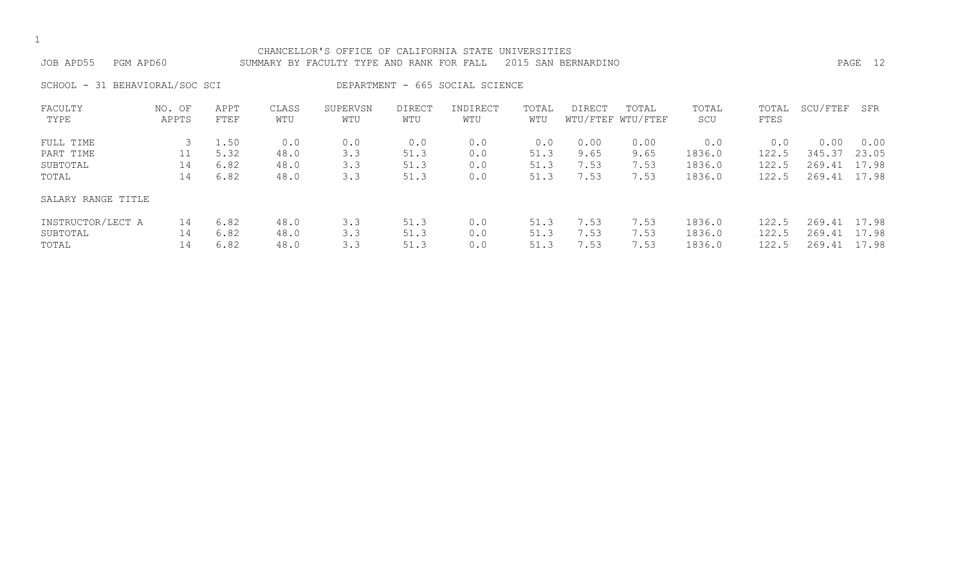| CHANCELLOR'S OFFICE OF CALIFOI |  |  |
|--------------------------------|--|--|

IFORNIA STATE UNIVERSITIES JOB APD55 PGM APD60 SUMMARY BY FACULTY TYPE AND RANK FOR FALL 2015 SAN BERNARDINO

SCHOOL - 31 BEHAVIORAL/SOC SCI DEPARTMENT - 665 SOCIAL SCIENCE

| FACULTY            | NO. OF | APPT | CLASS | SUPERVSN | DIRECT | INDIRECT | TOTAL | <b>DIRECT</b> | TOTAL             | TOTAL  | TOTAL | SCU/FTEF | SFR   |
|--------------------|--------|------|-------|----------|--------|----------|-------|---------------|-------------------|--------|-------|----------|-------|
| TYPE               | APPTS  | FTEF | WTU   | WTU      | WTU    | WTU      | WTU   |               | WTU/FTEF WTU/FTEF | SCU    | FTES  |          |       |
| FULL TIME          |        | 1.50 | 0.0   | 0.0      | 0.0    | 0.0      | 0.0   | 0.00          | 0.00              | 0.0    | 0.0   | 0.00     | 0.00  |
| PART TIME          |        | 5.32 | 48.0  | 3.3      | 51.3   | 0.0      | 51.3  | 9.65          | 9.65              | 1836.0 | 122.5 | 345.37   | 23.05 |
| SUBTOTAL           | 14     | 6.82 | 48.0  | 3.3      | 51.3   | 0.0      | 51.3  | 7.53          | 7.53              | 1836.0 | 122.5 | 269.41   | 17.98 |
| TOTAL              | 14     | 6.82 | 48.0  | 3.3      | 51.3   | 0.0      | 51.3  | 7.53          | 7.53              | 1836.0 | 122.5 | 269.41   | 17.98 |
| SALARY RANGE TITLE |        |      |       |          |        |          |       |               |                   |        |       |          |       |
| INSTRUCTOR/LECT A  | 14     | 6.82 | 48.0  | 3.3      | 51.3   | 0.0      | 51.3  | 7.53          | 7.53              | 1836.0 | 122.5 | 269.41   | 17.98 |
| SUBTOTAL           | 14     | 6.82 | 48.0  | 3.3      | 51.3   | 0.0      | 51.3  | 7.53          | 7.53              | 1836.0 | 122.5 | 269.41   | 17.98 |
| TOTAL              | 14     | 6.82 | 48.0  | 3.3      | 51.3   | 0.0      | 51.3  | 7.53          | 7.53              | 1836.0 | 122.5 | 269.41   | 17.98 |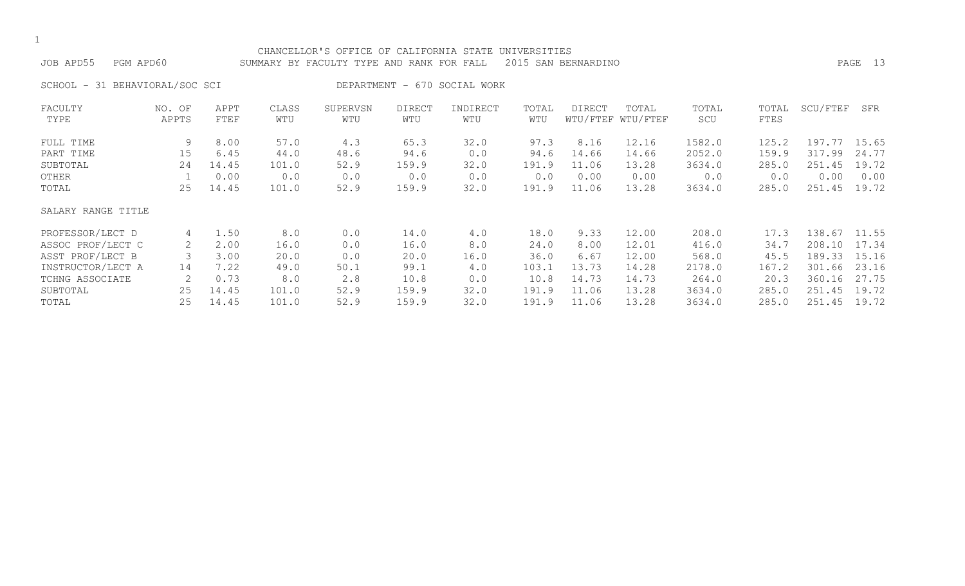#### CHANCELLOR'S OFFICE OF CALIFORNIA STATE UNIVERSITIES JOB APD55 PGM APD60 SUMMARY BY FACULTY TYPE AND RANK FOR FALL 2015 SAN BERNARDINO PAGE 13

SCHOOL - 31 BEHAVIORAL/SOC SCI DEPARTMENT - 670 SOCIAL WORK

| FACULTY            | NO. OF | APPT  | CLASS | SUPERVSN | <b>DIRECT</b> | INDIRECT | TOTAL | DIRECT | TOTAL             | TOTAL  | TOTAL | SCU/FTEF | SFR   |
|--------------------|--------|-------|-------|----------|---------------|----------|-------|--------|-------------------|--------|-------|----------|-------|
| TYPE               | APPTS  | FTEF  | WTU   | WTU      | WTU           | WTU      | WTU   |        | WTU/FTEF WTU/FTEF | SCU    | FTES  |          |       |
| FULL TIME          | 9      | 8.00  | 57.0  | 4.3      | 65.3          | 32.0     | 97.3  | 8.16   | 12.16             | 1582.0 | 125.2 | 197.77   | 15.65 |
| PART TIME          | 15     | 6.45  | 44.0  | 48.6     | 94.6          | 0.0      | 94.6  | 14.66  | 14.66             | 2052.0 | 159.9 | 317.99   | 24.77 |
| SUBTOTAL           | 24     | 14.45 | 101.0 | 52.9     | 159.9         | 32.0     | 191.9 | 11.06  | 13.28             | 3634.0 | 285.0 | 251.45   | 19.72 |
| OTHER              |        | 0.00  | 0.0   | 0.0      | 0.0           | 0.0      | 0.0   | 0.00   | 0.00              | 0.0    | 0.0   | 0.00     | 0.00  |
| TOTAL              | 25     | 14.45 | 101.0 | 52.9     | 159.9         | 32.0     | 191.9 | 11.06  | 13.28             | 3634.0 | 285.0 | 251.45   | 19.72 |
| SALARY RANGE TITLE |        |       |       |          |               |          |       |        |                   |        |       |          |       |
| PROFESSOR/LECT D   | 4      | 1.50  | 8.0   | 0.0      | 14.0          | 4.0      | 18.0  | 9.33   | 12.00             | 208.0  | 17.3  | 138.67   | 11.55 |
| ASSOC PROF/LECT C  | 2      | 2.00  | 16.0  | 0.0      | 16.0          | 8.0      | 24.0  | 8.00   | 12.01             | 416.0  | 34.7  | 208.10   | 17.34 |
| ASST PROF/LECT B   |        | 3.00  | 20.0  | 0.0      | 20.0          | 16.0     | 36.0  | 6.67   | 12.00             | 568.0  | 45.5  | 189.33   | 15.16 |
| INSTRUCTOR/LECT A  | 14     | 7.22  | 49.0  | 50.1     | 99.1          | 4.0      | 103.1 | 13.73  | 14.28             | 2178.0 | 167.2 | 301.66   | 23.16 |
| TCHNG ASSOCIATE    |        | 0.73  | 8.0   | 2.8      | 10.8          | 0.0      | 10.8  | 14.73  | 14.73             | 264.0  | 20.3  | 360.16   | 27.75 |
| SUBTOTAL           | 25     | 14.45 | 101.0 | 52.9     | 159.9         | 32.0     | 191.9 | 11.06  | 13.28             | 3634.0 | 285.0 | 251.45   | 19.72 |
| TOTAL              | 25     | 14.45 | 101.0 | 52.9     | 159.9         | 32.0     | 191.9 | 11.06  | 13.28             | 3634.0 | 285.0 | 251.45   | 19.72 |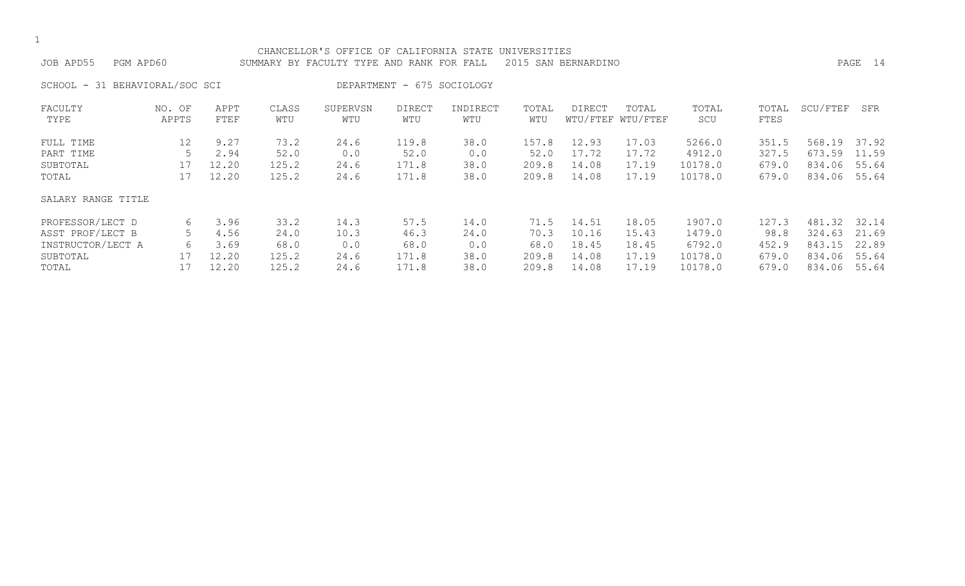| PGM APD60<br>JOB APD55         |                 |              |              | CHANCELLOR'S OFFICE OF CALIFORNIA STATE UNIVERSITIES<br>SUMMARY BY FACULTY TYPE AND RANK FOR FALL |                            |                 |              | 2015 SAN BERNARDINO |                            |              |               |          | PAGE 14 |
|--------------------------------|-----------------|--------------|--------------|---------------------------------------------------------------------------------------------------|----------------------------|-----------------|--------------|---------------------|----------------------------|--------------|---------------|----------|---------|
| SCHOOL - 31 BEHAVIORAL/SOC SCI |                 |              |              |                                                                                                   | DEPARTMENT - 675 SOCIOLOGY |                 |              |                     |                            |              |               |          |         |
| FACULTY<br>TYPE                | NO. OF<br>APPTS | APPT<br>FTEF | CLASS<br>WTU | SUPERVSN<br>WTU                                                                                   | <b>DIRECT</b><br>WTU       | INDIRECT<br>WTU | TOTAL<br>WTU | DIRECT              | TOTAL<br>WTU/FTEF WTU/FTEF | TOTAL<br>SCU | TOTAL<br>FTES | SCU/FTEF | SFR     |
| FULL TIME                      | 12              | 9.27         | 73.2         | 24.6                                                                                              | 119.8                      | 38.0            | 157.8        | 12.93               | 17.03                      | 5266.0       | 351.5         | 568.19   | 37.92   |
| PART TIME                      |                 | 2.94         | 52.0         | 0.0                                                                                               | 52.0                       | 0.0             | 52.0         | 17.72               | 17.72                      | 4912.0       | 327.5         | 673.59   | 11.59   |
| SUBTOTAL                       | 17              | 12.20        | 125.2        | 24.6                                                                                              | 171.8                      | 38.0            | 209.8        | 14.08               | 17.19                      | 10178.0      | 679.0         | 834.06   | 55.64   |
| TOTAL                          | 17              | 12.20        | 125.2        | 24.6                                                                                              | 171.8                      | 38.0            | 209.8        | 14.08               | 17.19                      | 10178.0      | 679.0         | 834.06   | 55.64   |
| SALARY RANGE TITLE             |                 |              |              |                                                                                                   |                            |                 |              |                     |                            |              |               |          |         |
| PROFESSOR/LECT D               | 6               | 3.96         | 33.2         | 14.3                                                                                              | 57.5                       | 14.0            | 71.5         | 14.51               | 18.05                      | 1907.0       | 127.3         | 481.32   | 32.14   |
| ASST PROF/LECT B               | 5               | 4.56         | 24.0         | 10.3                                                                                              | 46.3                       | 24.0            | 70.3         | 10.16               | 15.43                      | 1479.0       | 98.8          | 324.63   | 21.69   |
| INSTRUCTOR/LECT A              | 6               | 3.69         | 68.0         | 0.0                                                                                               | 68.0                       | 0.0             | 68.0         | 18.45               | 18.45                      | 6792.0       | 452.9         | 843.15   | 22.89   |
| SUBTOTAL                       | 17              | 12.20        | 125.2        | 24.6                                                                                              | 171.8                      | 38.0            | 209.8        | 14.08               | 17.19                      | 10178.0      | 679.0         | 834.06   | 55.64   |
| TOTAL                          |                 | 12.20        | 125.2        | 24.6                                                                                              | 171.8                      | 38.0            | 209.8        | 14.08               | 17.19                      | 10178.0      | 679.0         | 834.06   | 55.64   |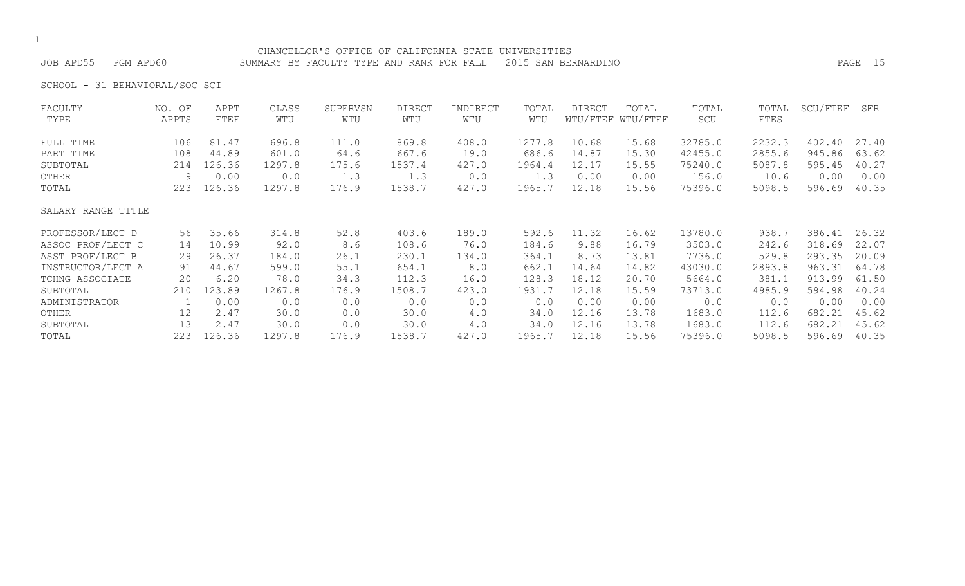# CHANCELLOR'S OFFICE OF CALIFORNIA STATE UNIVERSITIES

JOB APD55 PGM APD60 SUMMARY BY FACULTY TYPE AND RANK FOR FALL 2015 SAN BERNARDINO PAGE 15

SCHOOL - 31 BEHAVIORAL/SOC SCI

| FACULTY            | NO. OF | APPT   | CLASS  | SUPERVSN | <b>DIRECT</b> | INDIRECT | TOTAL  | DIRECT | TOTAL             | TOTAL   | TOTAL  | SCU/FTEF | SFR   |
|--------------------|--------|--------|--------|----------|---------------|----------|--------|--------|-------------------|---------|--------|----------|-------|
| TYPE               | APPTS  | FTEF   | WTU    | WTU      | WTU           | WTU      | WTU    |        | WTU/FTEF WTU/FTEF | SCU     | FTES   |          |       |
| FULL TIME          | 106    | 81.47  | 696.8  | 111.0    | 869.8         | 408.0    | 1277.8 | 10.68  | 15.68             | 32785.0 | 2232.3 | 402.40   | 27.40 |
| PART TIME          | 108    | 44.89  | 601.0  | 64.6     | 667.6         | 19.0     | 686.6  | 14.87  | 15.30             | 42455.0 | 2855.6 | 945.86   | 63.62 |
| SUBTOTAL           | 214    | 126.36 | 1297.8 | 175.6    | 1537.4        | 427.0    | 1964.4 | 12.17  | 15.55             | 75240.0 | 5087.8 | 595.45   | 40.27 |
| OTHER              | 9      | 0.00   | 0.0    | 1.3      | 1.3           | 0.0      | 1.3    | 0.00   | 0.00              | 156.0   | 10.6   | 0.00     | 0.00  |
| TOTAL              | 223    | 126.36 | 1297.8 | 176.9    | 1538.7        | 427.0    | 1965.7 | 12.18  | 15.56             | 75396.0 | 5098.5 | 596.69   | 40.35 |
| SALARY RANGE TITLE |        |        |        |          |               |          |        |        |                   |         |        |          |       |
| PROFESSOR/LECT D   | 56     | 35.66  | 314.8  | 52.8     | 403.6         | 189.0    | 592.6  | 11.32  | 16.62             | 13780.0 | 938.7  | 386.41   | 26.32 |
| ASSOC PROF/LECT C  | 14     | 10.99  | 92.0   | 8.6      | 108.6         | 76.0     | 184.6  | 9.88   | 16.79             | 3503.0  | 242.6  | 318.69   | 22.07 |
| ASST PROF/LECT B   | 29     | 26.37  | 184.0  | 26.1     | 230.1         | 134.0    | 364.1  | 8.73   | 13.81             | 7736.0  | 529.8  | 293.35   | 20.09 |
| INSTRUCTOR/LECT A  | 91     | 44.67  | 599.0  | 55.1     | 654.1         | 8.0      | 662.1  | 14.64  | 14.82             | 43030.0 | 2893.8 | 963.31   | 64.78 |
| TCHNG ASSOCIATE    | 20     | 6.20   | 78.0   | 34.3     | 112.3         | 16.0     | 128.3  | 18.12  | 20.70             | 5664.0  | 381.1  | 913.99   | 61.50 |
| SUBTOTAL           | 210    | 123.89 | 1267.8 | 176.9    | 1508.7        | 423.0    | 1931.7 | 12.18  | 15.59             | 73713.0 | 4985.9 | 594.98   | 40.24 |
| ADMINISTRATOR      |        | 0.00   | 0.0    | 0.0      | 0.0           | 0.0      | 0.0    | 0.00   | 0.00              | 0.0     | 0.0    | 0.00     | 0.00  |
| OTHER              | 12     | 2.47   | 30.0   | 0.0      | 30.0          | 4.0      | 34.0   | 12.16  | 13.78             | 1683.0  | 112.6  | 682.21   | 45.62 |
| SUBTOTAL           | 13     | 2.47   | 30.0   | 0.0      | 30.0          | 4.0      | 34.0   | 12.16  | 13.78             | 1683.0  | 112.6  | 682.21   | 45.62 |
| TOTAL              | 223    | 126.36 | 1297.8 | 176.9    | 1538.7        | 427.0    | 1965.7 | 12.18  | 15.56             | 75396.0 | 5098.5 | 596.69   | 40.35 |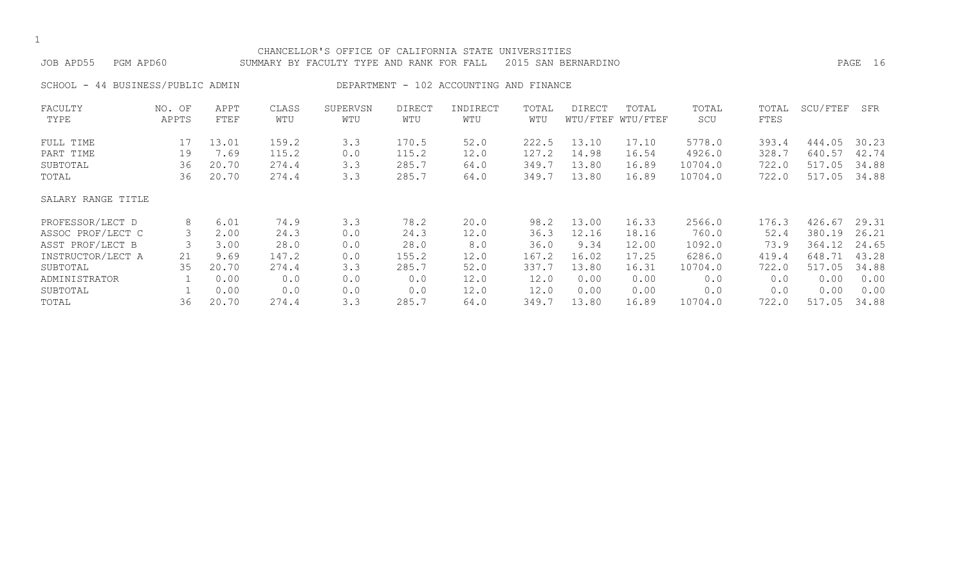| JOB APD55<br>PGM APD60            |                 |              |              | CHANCELLOR'S OFFICE OF CALIFORNIA STATE UNIVERSITIES<br>SUMMARY BY FACULTY TYPE AND RANK FOR FALL |                      |                                         |              | 2015 SAN BERNARDINO |                            |              |               |          | PAGE 16 |
|-----------------------------------|-----------------|--------------|--------------|---------------------------------------------------------------------------------------------------|----------------------|-----------------------------------------|--------------|---------------------|----------------------------|--------------|---------------|----------|---------|
| SCHOOL - 44 BUSINESS/PUBLIC ADMIN |                 |              |              |                                                                                                   |                      | DEPARTMENT - 102 ACCOUNTING AND FINANCE |              |                     |                            |              |               |          |         |
| FACULTY<br>TYPE                   | NO. OF<br>APPTS | APPT<br>FTEF | CLASS<br>WTU | SUPERVSN<br>WTU                                                                                   | <b>DIRECT</b><br>WTU | INDIRECT<br>WTU                         | TOTAL<br>WTU | DIRECT              | TOTAL<br>WTU/FTEF WTU/FTEF | TOTAL<br>SCU | TOTAL<br>FTES | SCU/FTEF | SFR     |
| FULL TIME                         | 17              | 13.01        | 159.2        | 3.3                                                                                               | 170.5                | 52.0                                    | 222.5        | 13.10               | 17.10                      | 5778.0       | 393.4         | 444.05   | 30.23   |
| PART TIME                         | 19              | 7.69         | 115.2        | 0.0                                                                                               | 115.2                | 12.0                                    | 127.2        | 14.98               | 16.54                      | 4926.0       | 328.7         | 640.57   | 42.74   |
| SUBTOTAL                          | 36              | 20.70        | 274.4        | 3.3                                                                                               | 285.7                | 64.0                                    | 349.7        | 13.80               | 16.89                      | 10704.0      | 722.0         | 517.05   | 34.88   |
| TOTAL                             | 36              | 20.70        | 274.4        | 3.3                                                                                               | 285.7                | 64.0                                    | 349.7        | 13.80               | 16.89                      | 10704.0      | 722.0         | 517.05   | 34.88   |
| SALARY RANGE TITLE                |                 |              |              |                                                                                                   |                      |                                         |              |                     |                            |              |               |          |         |
| PROFESSOR/LECT D                  | 8               | 6.01         | 74.9         | 3.3                                                                                               | 78.2                 | 20.0                                    | 98.2         | 13.00               | 16.33                      | 2566.0       | 176.3         | 426.67   | 29.31   |
| ASSOC PROF/LECT C                 | 3               | 2.00         | 24.3         | 0.0                                                                                               | 24.3                 | 12.0                                    | 36.3         | 12.16               | 18.16                      | 760.0        | 52.4          | 380.19   | 26.21   |
| ASST PROF/LECT B                  | 3               | 3.00         | 28.0         | 0.0                                                                                               | 28.0                 | 8.0                                     | 36.0         | 9.34                | 12.00                      | 1092.0       | 73.9          | 364.12   | 24.65   |
| INSTRUCTOR/LECT A                 | 21              | 9.69         | 147.2        | 0.0                                                                                               | 155.2                | 12.0                                    | 167.2        | 16.02               | 17.25                      | 6286.0       | 419.4         | 648.71   | 43.28   |
| SUBTOTAL                          | 35              | 20.70        | 274.4        | 3.3                                                                                               | 285.7                | 52.0                                    | 337.7        | 13.80               | 16.31                      | 10704.0      | 722.0         | 517.05   | 34.88   |
| ADMINISTRATOR                     |                 | 0.00         | 0.0          | 0.0                                                                                               | 0.0                  | 12.0                                    | 12.0         | 0.00                | 0.00                       | 0.0          | 0.0           | 0.00     | 0.00    |

SUBTOTAL 1 0.00 0.0 0.0 0.0 12.0 12.0 0.00 0.00 0.0 0.0 0.00 0.00 TOTAL 36 20.70 274.4 3.3 285.7 64.0 349.7 13.80 16.89 10704.0 722.0 517.05 34.88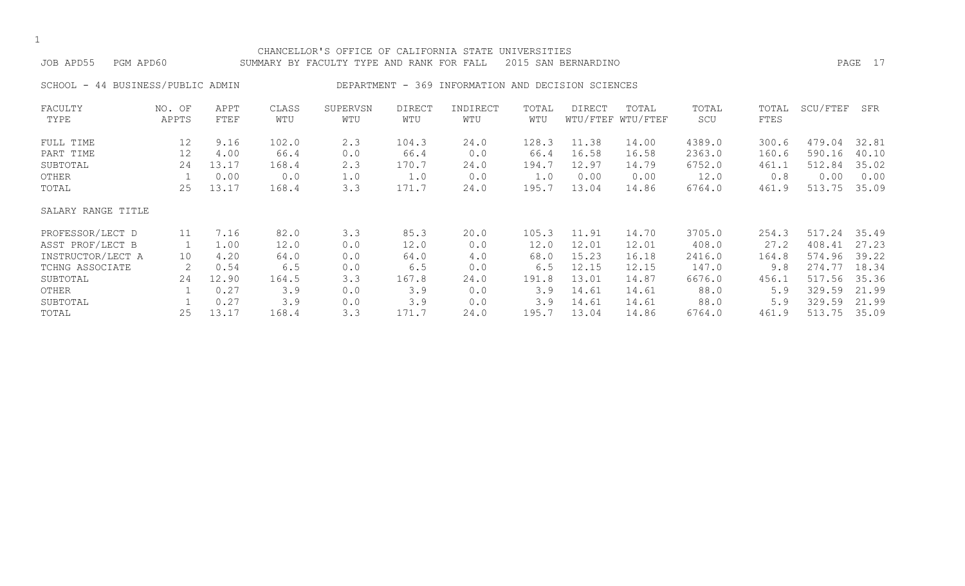# CHANCELLOR'S OFFICE OF CALIFORNIA STATE UNIVERSITIES JOB APD55 PGM APD60 SUMMARY BY FACULTY TYPE AND RANK FOR FALL 2015 SAN BERNARDINO PAGE 17 SCHOOL - 44 BUSINESS/PUBLIC ADMIN DEPARTMENT - 369 INFORMATION AND DECISION SCIENCES FACULTY NO. OF APPT CLASS SUPERVSN DIRECT INDIRECT TOTAL DIRECT TOTAL TOTAL TOTAL SCU/FTEF SFR TYPE APPTS FTEF WTU WTU WTU WTU WTU WTU/FTEF WTU/FTEF SCU FTES FULL TIME 12 9.16 102.0 2.3 104.3 24.0 128.3 11.38 14.00 4389.0 300.6 479.04 32.81 PART TIME 12 4.00 66.4 0.0 66.4 0.0 66.4 16.58 16.58 2363.0 160.6 590.16 40.10 SUBTOTAL 24 13.17 168.4 2.3 170.7 24.0 194.7 12.97 14.79 6752.0 461.1 512.84 35.02 OTHER 1 0.00 0.0 1.0 1.0 0.0 1.0 0.00 0.00 12.0 0.8 0.00 0.00 TOTAL 25 13.17 168.4 3.3 171.7 24.0 195.7 13.04 14.86 6764.0 461.9 513.75 35.09 SALARY RANGE TITLE PROFESSOR/LECT D 11 7.16 82.0 3.3 85.3 20.0 105.3 11.91 14.70 3705.0 254.3 517.24 35.49 ASST PROF/LECT B 1 1.00 12.0 0.0 12.0 0.0 12.0 12.01 12.01 408.0 27.2 408.41 27.23 INSTRUCTOR/LECT A 10 4.20 64.0 0.0 64.0 4.0 68.0 15.23 16.18 2416.0 164.8 574.96 39.22

| INSTRUCTOR/LECT A | ΤO | 4.20        | 64.U  | 0.0 | 64.U  | 4.0  | 68.U  | 15.23 | 16.18 | 2416.0 |       | 164.8 574.96 39.22 |  |
|-------------------|----|-------------|-------|-----|-------|------|-------|-------|-------|--------|-------|--------------------|--|
| TCHNG ASSOCIATE   |    | 0.54        | 6.5   | 0.0 | 6.5   | 0.0  | 6.5   | 12.15 | 12.15 | 147.0  | 9.8   | 274.77 18.34       |  |
| SUBTOTAL          | 24 | 12.90       | 164.5 | 3.3 | 167.8 | 24.0 | 191.8 | 13.01 | 14.87 | 6676.0 |       | 456.1 517.56 35.36 |  |
| OTHER             |    | $1 \t 0.27$ | 3 Q   | 0.0 | 3.9   | 0.0  | 3.9   | 14.61 | 14.61 | 88.0   | 5.9   | 329.59 21.99       |  |
| SUBTOTAL          |    | 0.27        | 3.9   | 0.0 | 3.9   | 0.0  | 3.9   | 14.61 | 14.61 | 88.0   | 5.9   | 329.59 21.99       |  |
| TOTAL             |    | 25 13.17    | 168.4 | 3.3 | 171.7 | 24.0 | 195.7 | 13.04 | 14.86 | 6764.0 | 461.9 | 513.75 35.09       |  |
|                   |    |             |       |     |       |      |       |       |       |        |       |                    |  |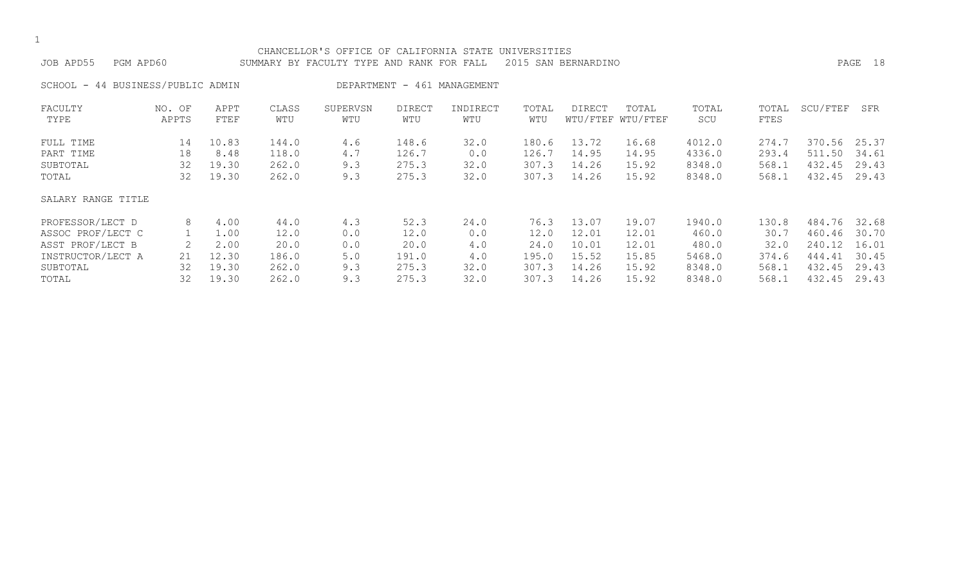| JOB APD55<br>PGM APD60            |        |       |       | CHANCELLOR'S OFFICE OF CALIFORNIA STATE UNIVERSITIES<br>SUMMARY BY FACULTY TYPE AND RANK FOR FALL |               |                             |       | 2015 SAN BERNARDINO |                   |        |       |          | PAGE 18 |
|-----------------------------------|--------|-------|-------|---------------------------------------------------------------------------------------------------|---------------|-----------------------------|-------|---------------------|-------------------|--------|-------|----------|---------|
|                                   |        |       |       |                                                                                                   |               |                             |       |                     |                   |        |       |          |         |
| SCHOOL - 44 BUSINESS/PUBLIC ADMIN |        |       |       |                                                                                                   |               | DEPARTMENT - 461 MANAGEMENT |       |                     |                   |        |       |          |         |
| FACULTY                           | NO. OF | APPT  | CLASS | SUPERVSN                                                                                          | <b>DIRECT</b> | INDIRECT                    | TOTAL | DIRECT              | TOTAL             | TOTAL  | TOTAL | SCU/FTEF | SFR     |
| TYPE                              | APPTS  | FTEF  | WTU   | WTU                                                                                               | WTU           | WTU                         | WTU   |                     | WTU/FTEF WTU/FTEF | SCU    | FTES  |          |         |
| FULL TIME                         | 14     | 10.83 | 144.0 | 4.6                                                                                               | 148.6         | 32.0                        | 180.6 | 13.72               | 16.68             | 4012.0 | 274.7 | 370.56   | 25.37   |
| PART TIME                         | 18     | 8.48  | 118.0 | 4.7                                                                                               | 126.7         | 0.0                         | 126.7 | 14.95               | 14.95             | 4336.0 | 293.4 | 511.50   | 34.61   |
| SUBTOTAL                          | 32     | 19.30 | 262.0 | 9.3                                                                                               | 275.3         | 32.0                        | 307.3 | 14.26               | 15.92             | 8348.0 | 568.1 | 432.45   | 29.43   |
| TOTAL                             | 32     | 19.30 | 262.0 | 9.3                                                                                               | 275.3         | 32.0                        | 307.3 | 14.26               | 15.92             | 8348.0 | 568.1 | 432.45   | 29.43   |
| SALARY RANGE TITLE                |        |       |       |                                                                                                   |               |                             |       |                     |                   |        |       |          |         |
| PROFESSOR/LECT D                  | 8      | 4.00  | 44.0  | 4.3                                                                                               | 52.3          | 24.0                        | 76.3  | 13.07               | 19.07             | 1940.0 | 130.8 | 484.76   | 32.68   |
| ASSOC PROF/LECT C                 |        | 1.00  | 12.0  | 0.0                                                                                               | 12.0          | 0.0                         | 12.0  | 12.01               | 12.01             | 460.0  | 30.7  | 460.46   | 30.70   |
| ASST PROF/LECT B                  | 2      | 2.00  | 20.0  | 0.0                                                                                               | 20.0          | 4.0                         | 24.0  | 10.01               | 12.01             | 480.0  | 32.0  | 240.12   | 16.01   |
| INSTRUCTOR/LECT A                 | 21     | 12.30 | 186.0 | 5.0                                                                                               | 191.0         | 4.0                         | 195.0 | 15.52               | 15.85             | 5468.0 | 374.6 | 444.41   | 30.45   |
| SUBTOTAL                          | 32     | 19.30 | 262.0 | 9.3                                                                                               | 275.3         | 32.0                        | 307.3 | 14.26               | 15.92             | 8348.0 | 568.1 | 432.45   | 29.43   |
| TOTAL                             | 32     | 19.30 | 262.0 | 9.3                                                                                               | 275.3         | 32.0                        | 307.3 | 14.26               | 15.92             | 8348.0 | 568.1 | 432.45   | 29.43   |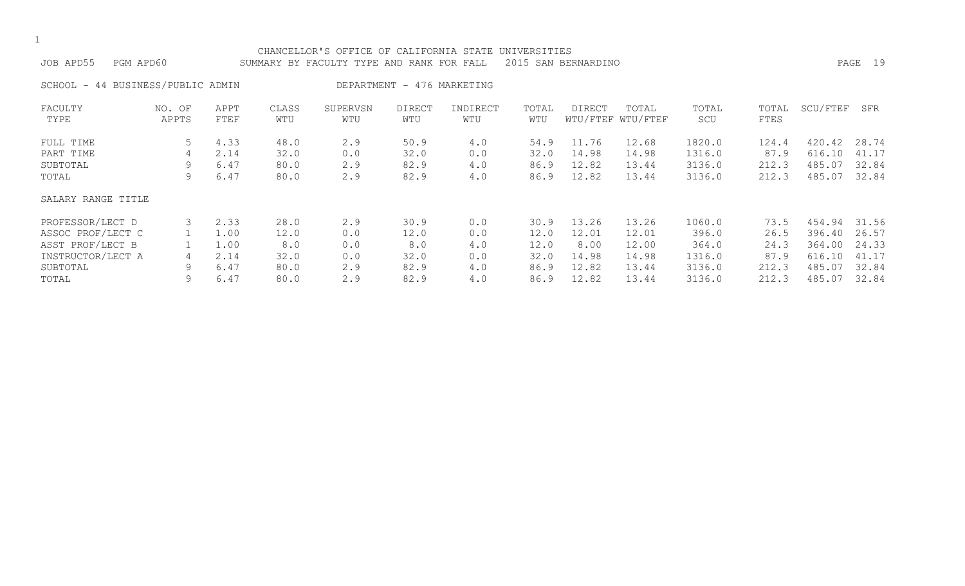| CHANCELLOR'S OFFICE OF CALIFORNIA STATE<br>UNIVERSITIES<br>JOB APD55<br>2015<br>PGM APD60<br>SUMMARY BY FACULTY TYPE AND RANK FOR FALL<br>SAN BERNARDINO |                 |              |              |                 |                            |                 |              |                    |                   |              |               |          |       |
|----------------------------------------------------------------------------------------------------------------------------------------------------------|-----------------|--------------|--------------|-----------------|----------------------------|-----------------|--------------|--------------------|-------------------|--------------|---------------|----------|-------|
| SCHOOL - 44 BUSINESS/PUBLIC ADMIN                                                                                                                        |                 |              |              |                 | DEPARTMENT - 476 MARKETING |                 |              |                    |                   |              |               |          |       |
| FACULTY<br>TYPE                                                                                                                                          | NO. OF<br>APPTS | APPT<br>FTEF | CLASS<br>WTU | SUPERVSN<br>WTU | <b>DIRECT</b><br>WTU       | INDIRECT<br>WTU | TOTAL<br>WTU | DIRECT<br>WTU/FTEF | TOTAL<br>WTU/FTEF | TOTAL<br>SCU | TOTAL<br>FTES | SCU/FTEF | SFR   |
| FULL TIME                                                                                                                                                | 5               | 4.33         | 48.0         | 2.9             | 50.9                       | 4.0             | 54.9         | 11.76              | 12.68             | 1820.0       | 124.4         | 420.42   | 28.74 |
| PART TIME                                                                                                                                                | 4               | 2.14         | 32.0         | 0.0             | 32.0                       | 0.0             | 32.0         | 14.98              | 14.98             | 1316.0       | 87.9          | 616.10   | 41.17 |
| SUBTOTAL                                                                                                                                                 | 9               | 6.47         | 80.0         | 2.9             | 82.9                       | 4.0             | 86.9         | 12.82              | 13.44             | 3136.0       | 212.3         | 485.07   | 32.84 |
| TOTAL                                                                                                                                                    | 9               | 6.47         | 80.0         | 2.9             | 82.9                       | 4.0             | 86.9         | 12.82              | 13.44             | 3136.0       | 212.3         | 485.07   | 32.84 |
| SALARY RANGE TITLE                                                                                                                                       |                 |              |              |                 |                            |                 |              |                    |                   |              |               |          |       |
| PROFESSOR/LECT D                                                                                                                                         | 3               | 2.33         | 28.0         | 2.9             | 30.9                       | 0.0             | 30.9         | 13.26              | 13.26             | 1060.0       | 73.5          | 454.94   | 31.56 |
| ASSOC PROF/LECT C                                                                                                                                        |                 | 1.00         | 12.0         | 0.0             | 12.0                       | 0.0             | 12.0         | 12.01              | 12.01             | 396.0        | 26.5          | 396.40   | 26.57 |
| ASST PROF/LECT B                                                                                                                                         |                 | 1.00         | 8.0          | 0.0             | 8.0                        | 4.0             | 12.0         | 8.00               | 12.00             | 364.0        | 24.3          | 364.00   | 24.33 |
| INSTRUCTOR/LECT A                                                                                                                                        | 4               | 2.14         | 32.0         | 0.0             | 32.0                       | 0.0             | 32.0         | 14.98              | 14.98             | 1316.0       | 87.9          | 616.10   | 41.17 |
| SUBTOTAL                                                                                                                                                 | 9               | 6.47         | 80.0         | 2.9             | 82.9                       | 4.0             | 86.9         | 12.82              | 13.44             | 3136.0       | 212.3         | 485.07   | 32.84 |
| TOTAL                                                                                                                                                    | 9               | 6.47         | 80.0         | 2.9             | 82.9                       | 4.0             | 86.9         | 12.82              | 13.44             | 3136.0       | 212.3         | 485.07   | 32.84 |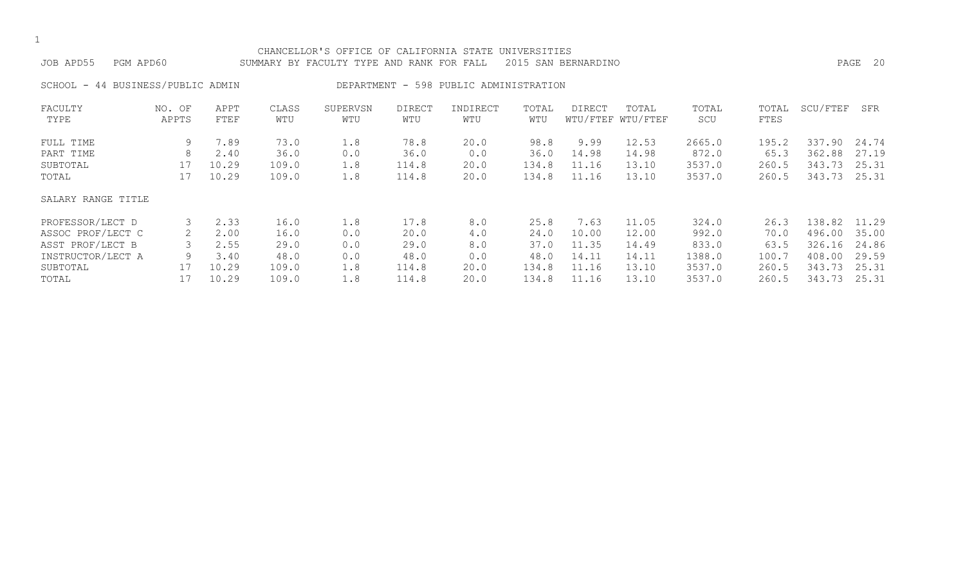| JOB APD55<br>PGM APD60 |                          |              |              | CHANCELLOR'S OFFICE OF CALIFORNIA STATE UNIVERSITIES<br>SUMMARY BY FACULTY TYPE AND RANK FOR FALL |                      |                                        |              | 2015 SAN BERNARDINO |                            |              |               |          | 20<br>PAGE |
|------------------------|--------------------------|--------------|--------------|---------------------------------------------------------------------------------------------------|----------------------|----------------------------------------|--------------|---------------------|----------------------------|--------------|---------------|----------|------------|
| SCHOOL -               | 44 BUSINESS/PUBLIC ADMIN |              |              |                                                                                                   |                      | DEPARTMENT - 598 PUBLIC ADMINISTRATION |              |                     |                            |              |               |          |            |
| FACULTY<br>TYPE        | NO. OF<br>APPTS          | APPT<br>FTEF | CLASS<br>WTU | SUPERVSN<br>WTU                                                                                   | <b>DIRECT</b><br>WTU | INDIRECT<br>WTU                        | TOTAL<br>WTU | DIRECT              | TOTAL<br>WTU/FTEF WTU/FTEF | TOTAL<br>SCU | TOTAL<br>FTES | SCU/FTEF | SFR        |
| FULL TIME              | 9                        | 7.89         | 73.0         | 1.8                                                                                               | 78.8                 | 20.0                                   | 98.8         | 9.99                | 12.53                      | 2665.0       | 195.2         | 337.90   | 24.74      |
| PART TIME              | 8                        | 2.40         | 36.0         | 0.0                                                                                               | 36.0                 | 0.0                                    | 36.0         | 14.98               | 14.98                      | 872.0        | 65.3          | 362.88   | 27.19      |
| SUBTOTAL               | 17                       | 10.29        | 109.0        | 1.8                                                                                               | 114.8                | 20.0                                   | 134.8        | 11.16               | 13.10                      | 3537.0       | 260.5         | 343.73   | 25.31      |
| TOTAL                  | 17                       | 10.29        | 109.0        | 1.8                                                                                               | 114.8                | 20.0                                   | 134.8        | 11.16               | 13.10                      | 3537.0       | 260.5         | 343.73   | 25.31      |
| SALARY RANGE TITLE     |                          |              |              |                                                                                                   |                      |                                        |              |                     |                            |              |               |          |            |
| PROFESSOR/LECT D       |                          | 2.33         | 16.0         | 1.8                                                                                               | 17.8                 | 8.0                                    | 25.8         | 7.63                | 11.05                      | 324.0        | 26.3          | 138.82   | 11.29      |
| ASSOC PROF/LECT C      | 2                        | 2.00         | 16.0         | 0.0                                                                                               | 20.0                 | 4.0                                    | 24.0         | 10.00               | 12.00                      | 992.0        | 70.0          | 496.00   | 35.00      |
| ASST PROF/LECT B       |                          | 2.55         | 29.0         | 0.0                                                                                               | 29.0                 | 8.0                                    | 37.0         | 11.35               | 14.49                      | 833.0        | 63.5          | 326.16   | 24.86      |
| INSTRUCTOR/LECT A      | 9                        | 3.40         | 48.0         | 0.0                                                                                               | 48.0                 | 0.0                                    | 48.0         | 14.11               | 14.11                      | 1388.0       | 100.7         | 408.00   | 29.59      |
| SUBTOTAL               | 17                       | 10.29        | 109.0        | 1.8                                                                                               | 114.8                | 20.0                                   | 134.8        | 11.16               | 13.10                      | 3537.0       | 260.5         | 343.73   | 25.31      |
| TOTAL                  |                          | 10.29        | 109.0        | 1.8                                                                                               | 114.8                | 20.0                                   | 134.8        | 11.16               | 13.10                      | 3537.0       | 260.5         | 343.73   | 25.31      |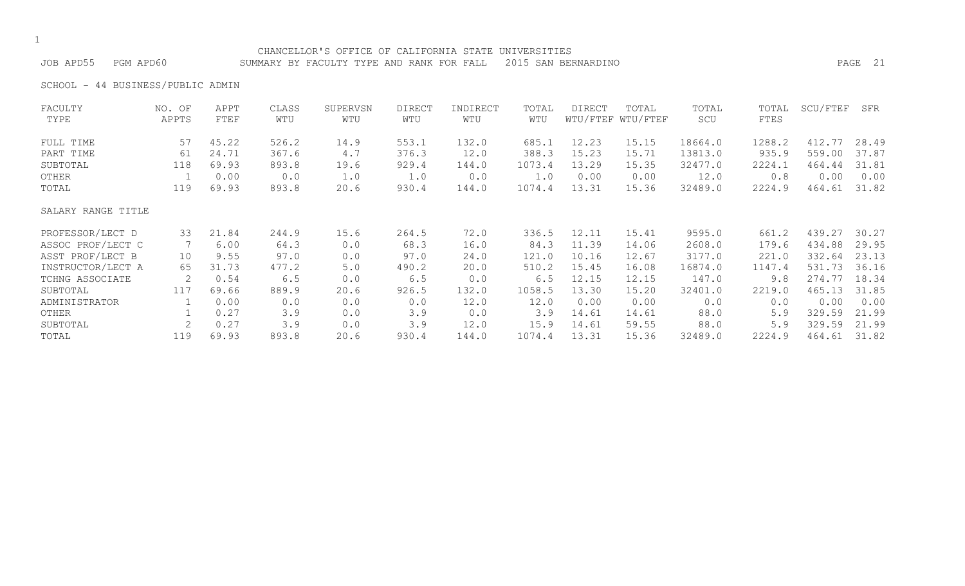#### CHANCELLOR'S OFFICE OF CALIFORNIA STATE UNIVERSITIES

JOB APD55 PGM APD60 SUMMARY BY FACULTY TYPE AND RANK FOR FALL 2015 SAN BERNARDINO PAGE 21

SCHOOL - 44 BUSINESS/PUBLIC ADMIN

| FACULTY            | NO. OF | APPT  | CLASS | SUPERVSN | DIRECT | INDIRECT | TOTAL  | DIRECT | TOTAL             | TOTAL   | TOTAL  | SCU/FTEF | SFR   |
|--------------------|--------|-------|-------|----------|--------|----------|--------|--------|-------------------|---------|--------|----------|-------|
| TYPE               | APPTS  | FTEF  | WTU   | WTU      | WTU    | WTU      | WTU    |        | WTU/FTEF WTU/FTEF | SCU     | FTES   |          |       |
| FULL TIME          | 57     | 45.22 | 526.2 | 14.9     | 553.1  | 132.0    | 685.1  | 12.23  | 15.15             | 18664.0 | 1288.2 | 412.77   | 28.49 |
| PART TIME          | 61     | 24.71 | 367.6 | $4.7$    | 376.3  | 12.0     | 388.3  | 15.23  | 15.71             | 13813.0 | 935.9  | 559.00   | 37.87 |
| SUBTOTAL           | 118    | 69.93 | 893.8 | 19.6     | 929.4  | 144.0    | 1073.4 | 13.29  | 15.35             | 32477.0 | 2224.1 | 464.44   | 31.81 |
| OTHER              |        | 0.00  | 0.0   | 1.0      | 1.0    | 0.0      | 1.0    | 0.00   | 0.00              | 12.0    | 0.8    | 0.00     | 0.00  |
| TOTAL              | 119    | 69.93 | 893.8 | 20.6     | 930.4  | 144.0    | 1074.4 | 13.31  | 15.36             | 32489.0 | 2224.9 | 464.61   | 31.82 |
| SALARY RANGE TITLE |        |       |       |          |        |          |        |        |                   |         |        |          |       |
| PROFESSOR/LECT D   | 33     | 21.84 | 244.9 | 15.6     | 264.5  | 72.0     | 336.5  | 12.11  | 15.41             | 9595.0  | 661.2  | 439.27   | 30.27 |
| ASSOC PROF/LECT C  |        | 6.00  | 64.3  | 0.0      | 68.3   | 16.0     | 84.3   | 11.39  | 14.06             | 2608.0  | 179.6  | 434.88   | 29.95 |
| ASST PROF/LECT B   | 10     | 9.55  | 97.0  | 0.0      | 97.0   | 24.0     | 121.0  | 10.16  | 12.67             | 3177.0  | 221.0  | 332.64   | 23.13 |
| INSTRUCTOR/LECT A  | 65     | 31.73 | 477.2 | 5.0      | 490.2  | 20.0     | 510.2  | 15.45  | 16.08             | 16874.0 | 1147.4 | 531.73   | 36.16 |
| TCHNG ASSOCIATE    | 2      | 0.54  | 6.5   | 0.0      | 6.5    | 0.0      | 6.5    | 12.15  | 12.15             | 147.0   | 9.8    | 274.77   | 18.34 |
| SUBTOTAL           | 117    | 69.66 | 889.9 | 20.6     | 926.5  | 132.0    | 1058.5 | 13.30  | 15.20             | 32401.0 | 2219.0 | 465.13   | 31.85 |
| ADMINISTRATOR      |        | 0.00  | 0.0   | 0.0      | 0.0    | 12.0     | 12.0   | 0.00   | 0.00              | 0.0     | 0.0    | 0.00     | 0.00  |
| OTHER              |        | 0.27  | 3.9   | 0.0      | 3.9    | 0.0      | 3.9    | 14.61  | 14.61             | 88.0    | 5.9    | 329.59   | 21.99 |
| SUBTOTAL           |        | 0.27  | 3.9   | 0.0      | 3.9    | 12.0     | 15.9   | 14.61  | 59.55             | 88.0    | 5.9    | 329.59   | 21.99 |
| TOTAL              | 119    | 69.93 | 893.8 | 20.6     | 930.4  | 144.0    | 1074.4 | 13.31  | 15.36             | 32489.0 | 2224.9 | 464.61   | 31.82 |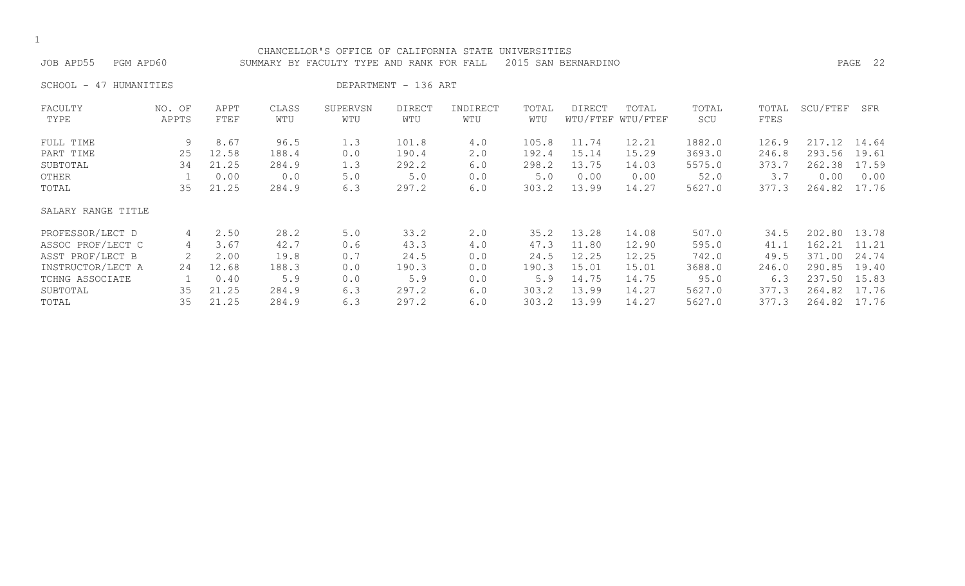#### CHANCELLOR'S OFFICE OF CALIFORNIA STATE UNIVERSITIES JOB APD55 PGM APD60 SUMMARY BY FACULTY TYPE AND RANK FOR FALL 2015 SAN BERNARDINO PAGE 22

SCHOOL - 47 HUMANITIES DEPARTMENT - 136 ART

| FACULTY            | NO. OF | APPT  | CLASS | SUPERVSN | <b>DIRECT</b> | INDIRECT | TOTAL | DIRECT   | TOTAL    | TOTAL  | TOTAL | SCU/FTEF | SFR   |
|--------------------|--------|-------|-------|----------|---------------|----------|-------|----------|----------|--------|-------|----------|-------|
| TYPE               | APPTS  | FTEF  | WTU   | WTU      | WTU           | WTU      | WTU   | WTU/FTEF | WTU/FTEF | SCU    | FTES  |          |       |
| FULL TIME          | 9      | 8.67  | 96.5  | 1.3      | 101.8         | 4.0      | 105.8 | 11.74    | 12.21    | 1882.0 | 126.9 | 217.12   | 14.64 |
| PART TIME          | 25     | 12.58 | 188.4 | 0.0      | 190.4         | 2.0      | 192.4 | 15.14    | 15.29    | 3693.0 | 246.8 | 293.56   | 19.61 |
| SUBTOTAL           | 34     | 21.25 | 284.9 | 1.3      | 292.2         | 6.0      | 298.2 | 13.75    | 14.03    | 5575.0 | 373.7 | 262.38   | 17.59 |
| OTHER              |        | 0.00  | 0.0   | 5.0      | 5.0           | 0.0      | 5.0   | 0.00     | 0.00     | 52.0   | 3.7   | 0.00     | 0.00  |
| TOTAL              | 35     | 21.25 | 284.9 | 6.3      | 297.2         | 6.0      | 303.2 | 13.99    | 14.27    | 5627.0 | 377.3 | 264.82   | 17.76 |
| SALARY RANGE TITLE |        |       |       |          |               |          |       |          |          |        |       |          |       |
| PROFESSOR/LECT D   | 4      | 2.50  | 28.2  | 5.0      | 33.2          | 2.0      | 35.2  | 13.28    | 14.08    | 507.0  | 34.5  | 202.80   | 13.78 |
| ASSOC PROF/LECT C  | 4      | 3.67  | 42.7  | 0.6      | 43.3          | 4.0      | 47.3  | 11.80    | 12.90    | 595.0  | 41.1  | 162.21   | 11.21 |
| ASST PROF/LECT B   |        | 2.00  | 19.8  | 0.7      | 24.5          | 0.0      | 24.5  | 12.25    | 12.25    | 742.0  | 49.5  | 371.00   | 24.74 |
| INSTRUCTOR/LECT A  | 24     | 12.68 | 188.3 | 0.0      | 190.3         | 0.0      | 190.3 | 15.01    | 15.01    | 3688.0 | 246.0 | 290.85   | 19.40 |
| TCHNG ASSOCIATE    |        | 0.40  | 5.9   | 0.0      | 5.9           | 0.0      | 5.9   | 14.75    | 14.75    | 95.0   | 6.3   | 237.50   | 15.83 |
| SUBTOTAL           | 35     | 21.25 | 284.9 | 6.3      | 297.2         | 6.0      | 303.2 | 13.99    | 14.27    | 5627.0 | 377.3 | 264.82   | 17.76 |
| TOTAL              | 35     | 21.25 | 284.9 | 6.3      | 297.2         | 6.0      | 303.2 | 13.99    | 14.27    | 5627.0 | 377.3 | 264.82   | 17.76 |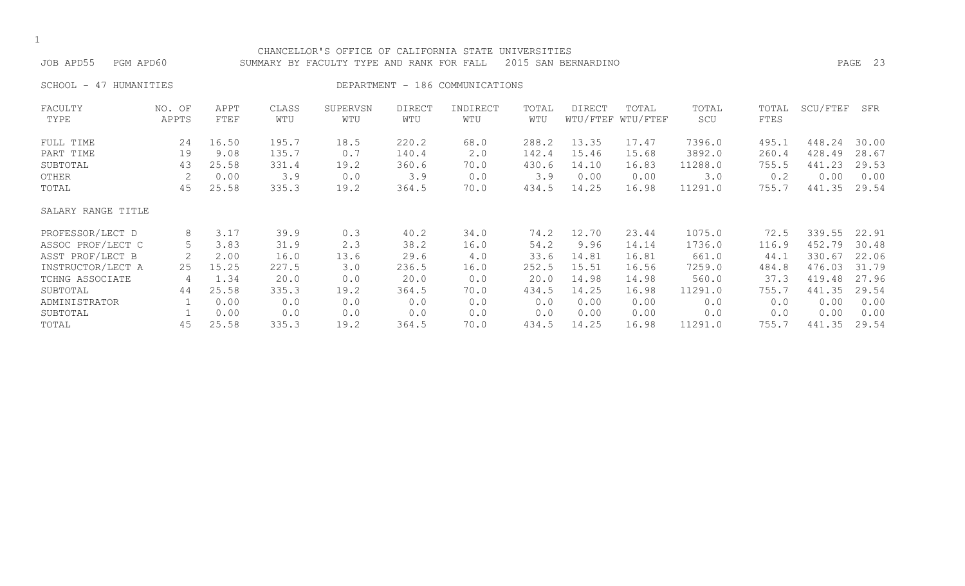| JOB APD55<br>PGM APD60       |                 |              |              | CHANCELLOR'S OFFICE OF CALIFORNIA STATE<br>SUMMARY BY FACULTY TYPE AND RANK FOR FALL |                      |                                 | UNIVERSITIES | 2015 SAN BERNARDINO |                            |              |               |          | PAGE 23 |
|------------------------------|-----------------|--------------|--------------|--------------------------------------------------------------------------------------|----------------------|---------------------------------|--------------|---------------------|----------------------------|--------------|---------------|----------|---------|
| 47<br>HUMANITIES<br>SCHOOL - |                 |              |              |                                                                                      |                      | DEPARTMENT - 186 COMMUNICATIONS |              |                     |                            |              |               |          |         |
| FACULTY<br>TYPE              | NO. OF<br>APPTS | APPT<br>FTEF | CLASS<br>WTU | SUPERVSN<br>WTU                                                                      | <b>DIRECT</b><br>WTU | INDIRECT<br>WTU                 | TOTAL<br>WTU | <b>DIRECT</b>       | TOTAL<br>WTU/FTEF WTU/FTEF | TOTAL<br>SCU | TOTAL<br>FTES | SCU/FTEF | SFR     |
| FULL TIME                    | 24              | 16.50        | 195.7        | 18.5                                                                                 | 220.2                | 68.0                            | 288.2        | 13.35               | 17.47                      | 7396.0       | 495.1         | 448.24   | 30.00   |
| PART TIME                    | 19              | 9.08         | 135.7        | 0.7                                                                                  | 140.4                | 2.0                             | 142.4        | 15.46               | 15.68                      | 3892.0       | 260.4         | 428.49   | 28.67   |
| SUBTOTAL                     | 43              | 25.58        | 331.4        | 19.2                                                                                 | 360.6                | 70.0                            | 430.6        | 14.10               | 16.83                      | 11288.0      | 755.5         | 441.23   | 29.53   |
| OTHER                        | 2               | 0.00         | 3.9          | 0.0                                                                                  | 3.9                  | 0.0                             | 3.9          | 0.00                | 0.00                       | 3.0          | 0.2           | 0.00     | 0.00    |
| TOTAL                        | 45              | 25.58        | 335.3        | 19.2                                                                                 | 364.5                | 70.0                            | 434.5        | 14.25               | 16.98                      | 11291.0      | 755.7         | 441.35   | 29.54   |
| SALARY RANGE TITLE           |                 |              |              |                                                                                      |                      |                                 |              |                     |                            |              |               |          |         |
| PROFESSOR/LECT D             | 8               | 3.17         | 39.9         | 0.3                                                                                  | 40.2                 | 34.0                            | 74.2         | 12.70               | 23.44                      | 1075.0       | 72.5          | 339.55   | 22.91   |
| ASSOC PROF/LECT C            | 5               | 3.83         | 31.9         | 2.3                                                                                  | 38.2                 | 16.0                            | 54.2         | 9.96                | 14.14                      | 1736.0       | 116.9         | 452.79   | 30.48   |
| ASST PROF/LECT B             |                 | 2.00         | 16.0         | 13.6                                                                                 | 29.6                 | 4.0                             | 33.6         | 14.81               | 16.81                      | 661.0        | 44.1          | 330.67   | 22.06   |
| INSTRUCTOR/LECT A            | 25              | 15.25        | 227.5        | 3.0                                                                                  | 236.5                | 16.0                            | 252.5        | 15.51               | 16.56                      | 7259.0       | 484.8         | 476.03   | 31.79   |
| TCHNG ASSOCIATE              | 4               | 1.34         | 20.0         | 0.0                                                                                  | 20.0                 | 0.0                             | 20.0         | 14.98               | 14.98                      | 560.0        | 37.3          | 419.48   | 27.96   |
| SUBTOTAL                     | 44              | 25.58        | 335.3        | 19.2                                                                                 | 364.5                | 70.0                            | 434.5        | 14.25               | 16.98                      | 11291.0      | 755.7         | 441.35   | 29.54   |
| ADMINISTRATOR                |                 | 0.00         | 0.0          | 0.0                                                                                  | 0.0                  | 0.0                             | 0.0          | 0.00                | 0.00                       | 0.0          | 0.0           | 0.00     | 0.00    |
| SUBTOTAL                     |                 | 0.00         | 0.0          | 0.0                                                                                  | 0.0                  | 0.0                             | 0.0          | 0.00                | 0.00                       | 0.0          | 0.0           | 0.00     | 0.00    |
| TOTAL                        | 45              | 25.58        | 335.3        | 19.2                                                                                 | 364.5                | 70.0                            | 434.5        | 14.25               | 16.98                      | 11291.0      | 755.7         | 441.35   | 29.54   |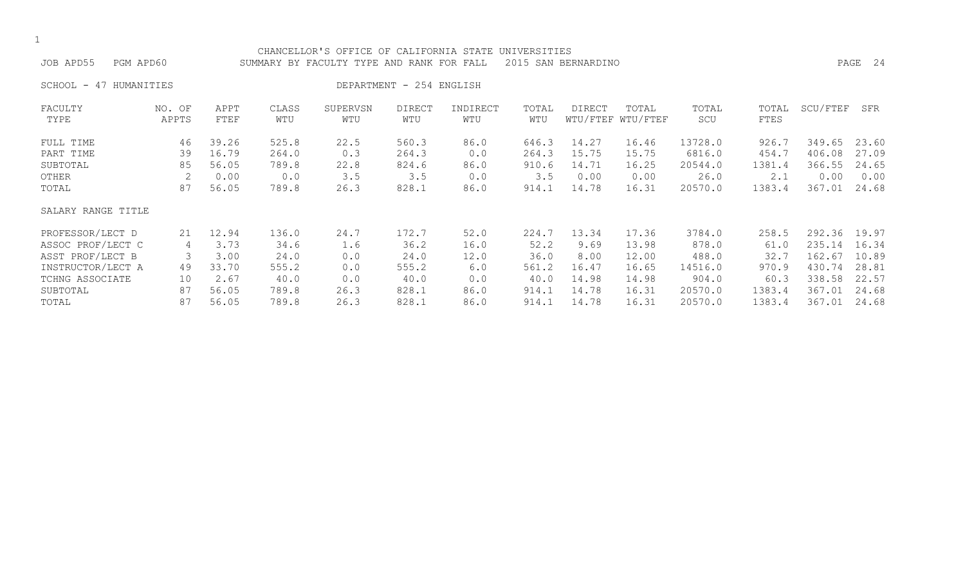| JOB APD55<br>PGM APD60 |                 |              |              | CHANCELLOR'S OFFICE OF CALIFORNIA STATE UNIVERSITIES<br>SUMMARY BY FACULTY TYPE AND RANK FOR FALL |                          |                 |              | 2015 SAN BERNARDINO |                            |              |               |          | PAGE 24 |
|------------------------|-----------------|--------------|--------------|---------------------------------------------------------------------------------------------------|--------------------------|-----------------|--------------|---------------------|----------------------------|--------------|---------------|----------|---------|
| SCHOOL - 47 HUMANITIES |                 |              |              |                                                                                                   | DEPARTMENT - 254 ENGLISH |                 |              |                     |                            |              |               |          |         |
| FACULTY<br>TYPE        | NO. OF<br>APPTS | APPT<br>FTEF | CLASS<br>WTU | SUPERVSN<br>WTU                                                                                   | <b>DIRECT</b><br>WTU     | INDIRECT<br>WTU | TOTAL<br>WTU | DIRECT              | TOTAL<br>WTU/FTEF WTU/FTEF | TOTAL<br>SCU | TOTAL<br>FTES | SCU/FTEF | SFR     |
| FULL TIME              | 46              | 39.26        | 525.8        | 22.5                                                                                              | 560.3                    | 86.0            | 646.3        | 14.27               | 16.46                      | 13728.0      | 926.7         | 349.65   | 23.60   |
| PART TIME              | 39              | 16.79        | 264.0        | 0.3                                                                                               | 264.3                    | 0.0             | 264.3        | 15.75               | 15.75                      | 6816.0       | 454.7         | 406.08   | 27.09   |
| SUBTOTAL               | 85              | 56.05        | 789.8        | 22.8                                                                                              | 824.6                    | 86.0            | 910.6        | 14.71               | 16.25                      | 20544.0      | 1381.4        | 366.55   | 24.65   |
| OTHER                  |                 | 0.00         | 0.0          | 3.5                                                                                               | 3.5                      | 0.0             | 3.5          | 0.00                | 0.00                       | 26.0         | 2.1           | 0.00     | 0.00    |
| TOTAL                  | 87              | 56.05        | 789.8        | 26.3                                                                                              | 828.1                    | 86.0            | 914.1        | 14.78               | 16.31                      | 20570.0      | 1383.4        | 367.01   | 24.68   |
| SALARY RANGE TITLE     |                 |              |              |                                                                                                   |                          |                 |              |                     |                            |              |               |          |         |
| PROFESSOR/LECT D       | 21              | 12.94        | 136.0        | 24.7                                                                                              | 172.7                    | 52.0            | 224.7        | 13.34               | 17.36                      | 3784.0       | 258.5         | 292.36   | 19.97   |
| ASSOC PROF/LECT C      | 4               | 3.73         | 34.6         | 1.6                                                                                               | 36.2                     | 16.0            | 52.2         | 9.69                | 13.98                      | 878.0        | 61.0          | 235.14   | 16.34   |
| ASST PROF/LECT B       | 3               | 3.00         | 24.0         | 0.0                                                                                               | 24.0                     | 12.0            | 36.0         | 8.00                | 12.00                      | 488.0        | 32.7          | 162.67   | 10.89   |
| INSTRUCTOR/LECT A      | 49              | 33.70        | 555.2        | 0.0                                                                                               | 555.2                    | 6.0             | 561.2        | 16.47               | 16.65                      | 14516.0      | 970.9         | 430.74   | 28.81   |
| TCHNG ASSOCIATE        | 10              | 2.67         | 40.0         | 0.0                                                                                               | 40.0                     | 0.0             | 40.0         | 14.98               | 14.98                      | 904.0        | 60.3          | 338.58   | 22.57   |
| SUBTOTAL               | 87              | 56.05        | 789.8        | 26.3                                                                                              | 828.1                    | 86.0            | 914.1        | 14.78               | 16.31                      | 20570.0      | 1383.4        | 367.01   | 24.68   |
| TOTAL                  | 87              | 56.05        | 789.8        | 26.3                                                                                              | 828.1                    | 86.0            | 914.1        | 14.78               | 16.31                      | 20570.0      | 1383.4        | 367.01   | 24.68   |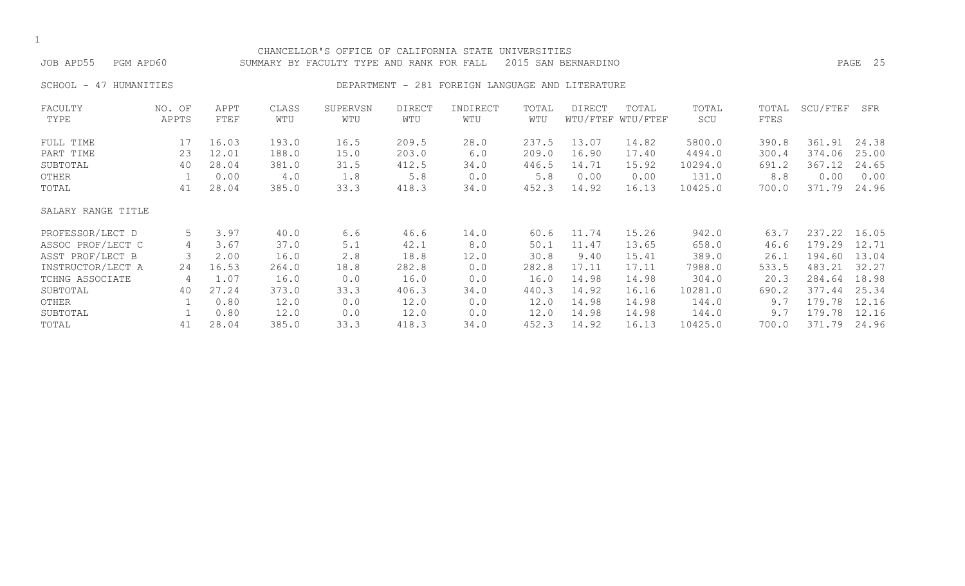| JOB APD55          | PGM APD60       |              |              | CHANCELLOR'S OFFICE OF CALIFORNIA STATE<br>SUMMARY BY FACULTY TYPE AND RANK FOR FALL |                      |                                     | UNIVERSITIES | 2015 SAN BERNARDINO |                            |              |               |          | PAGE 25 |
|--------------------|-----------------|--------------|--------------|--------------------------------------------------------------------------------------|----------------------|-------------------------------------|--------------|---------------------|----------------------------|--------------|---------------|----------|---------|
| SCHOOL -<br>47     | HUMANITIES      |              |              | DEPARTMENT -                                                                         |                      | 281 FOREIGN LANGUAGE AND LITERATURE |              |                     |                            |              |               |          |         |
| FACULTY<br>TYPE    | NO. OF<br>APPTS | APPT<br>FTEF | CLASS<br>WTU | SUPERVSN<br>WTU                                                                      | <b>DIRECT</b><br>WTU | INDIRECT<br>WTU                     | TOTAL<br>WTU | DIRECT              | TOTAL<br>WTU/FTEF WTU/FTEF | TOTAL<br>SCU | TOTAL<br>FTES | SCU/FTEF | SFR     |
| FULL TIME          | 17              | 16.03        | 193.0        | 16.5                                                                                 | 209.5                | 28.0                                | 237.5        | 13.07               | 14.82                      | 5800.0       | 390.8         | 361.91   | 24.38   |
| PART TIME          | 23              | 12.01        | 188.0        | 15.0                                                                                 | 203.0                | 6.0                                 | 209.0        | 16.90               | 17.40                      | 4494.0       | 300.4         | 374.06   | 25.00   |
| SUBTOTAL           | 40              | 28.04        | 381.0        | 31.5                                                                                 | 412.5                | 34.0                                | 446.5        | 14.71               | 15.92                      | 10294.0      | 691.2         | 367.12   | 24.65   |
| OTHER              |                 | 0.00         | 4.0          | 1.8                                                                                  | 5.8                  | 0.0                                 | $5.8$        | 0.00                | 0.00                       | 131.0        | 8.8           | 0.00     | 0.00    |
| TOTAL              | 41              | 28.04        | 385.0        | 33.3                                                                                 | 418.3                | 34.0                                | 452.3        | 14.92               | 16.13                      | 10425.0      | 700.0         | 371.79   | 24.96   |
| SALARY RANGE TITLE |                 |              |              |                                                                                      |                      |                                     |              |                     |                            |              |               |          |         |
| PROFESSOR/LECT D   | 5               | 3.97         | 40.0         | 6.6                                                                                  | 46.6                 | 14.0                                | 60.6         | 11.74               | 15.26                      | 942.0        | 63.7          | 237.22   | 16.05   |
| ASSOC PROF/LECT C  | 4               | 3.67         | 37.0         | 5.1                                                                                  | 42.1                 | 8.0                                 | 50.1         | 11.47               | 13.65                      | 658.0        | 46.6          | 179.29   | 12.71   |
| ASST PROF/LECT B   | 3               | 2.00         | 16.0         | 2.8                                                                                  | 18.8                 | 12.0                                | 30.8         | 9.40                | 15.41                      | 389.0        | 26.1          | 194.60   | 13.04   |
| INSTRUCTOR/LECT A  | 24              | 16.53        | 264.0        | 18.8                                                                                 | 282.8                | 0.0                                 | 282.8        | 17.11               | 17.11                      | 7988.0       | 533.5         | 483.21   | 32.27   |
| TCHNG ASSOCIATE    | 4               | 1.07         | 16.0         | 0.0                                                                                  | 16.0                 | 0.0                                 | 16.0         | 14.98               | 14.98                      | 304.0        | 20.3          | 284.64   | 18.98   |
| SUBTOTAL           | 40              | 27.24        | 373.0        | 33.3                                                                                 | 406.3                | 34.0                                | 440.3        | 14.92               | 16.16                      | 10281.0      | 690.2         | 377.44   | 25.34   |
| OTHER              |                 | 0.80         | 12.0         | 0.0                                                                                  | 12.0                 | 0.0                                 | 12.0         | 14.98               | 14.98                      | 144.0        | 9.7           | 179.78   | 12.16   |
| SUBTOTAL           |                 | 0.80         | 12.0         | 0.0                                                                                  | 12.0                 | 0.0                                 | 12.0         | 14.98               | 14.98                      | 144.0        | 9.7           | 179.78   | 12.16   |
| TOTAL              | 41              | 28.04        | 385.0        | 33.3                                                                                 | 418.3                | 34.0                                | 452.3        | 14.92               | 16.13                      | 10425.0      | 700.0         | 371.79   | 24.96   |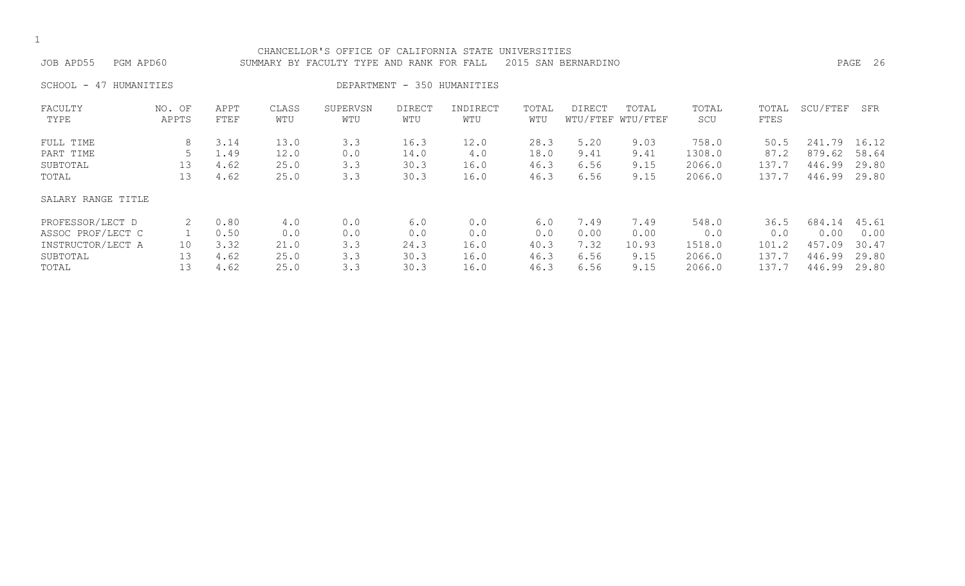| CHANCELLOR'S OFFICE OF CALIFORNIA STATE UNIVERSITIES<br>JOB APD55<br>2015 SAN BERNARDINO<br>PGM APD60<br>SUMMARY BY FACULTY TYPE AND RANK FOR FALL |                 |              |              |                 |                      |                             |              |        |                            |              |               |          | PAGE 26 |
|----------------------------------------------------------------------------------------------------------------------------------------------------|-----------------|--------------|--------------|-----------------|----------------------|-----------------------------|--------------|--------|----------------------------|--------------|---------------|----------|---------|
| SCHOOL -<br>HUMANITIES<br>47                                                                                                                       |                 |              |              |                 |                      | DEPARTMENT - 350 HUMANITIES |              |        |                            |              |               |          |         |
| FACULTY<br>TYPE                                                                                                                                    | NO. OF<br>APPTS | APPT<br>FTEF | CLASS<br>WTU | SUPERVSN<br>WTU | <b>DIRECT</b><br>WTU | INDIRECT<br>WTU             | TOTAL<br>WTU | DIRECT | TOTAL<br>WTU/FTEF WTU/FTEF | TOTAL<br>SCU | TOTAL<br>FTES | SCU/FTEF | SFR     |
| FULL TIME                                                                                                                                          | 8               | 3.14         | 13.0         | 3.3             | 16.3                 | 12.0                        | 28.3         | 5.20   | 9.03                       | 758.0        | 50.5          | 241.79   | 16.12   |
| PART TIME                                                                                                                                          |                 | 1.49         | 12.0         | 0.0             | 14.0                 | 4.0                         | 18.0         | 9.41   | 9.41                       | 1308.0       | 87.2          | 879.62   | 58.64   |
| SUBTOTAL                                                                                                                                           | 13              | 4.62         | 25.0         | 3.3             | 30.3                 | 16.0                        | 46.3         | 6.56   | 9.15                       | 2066.0       | 137.7         | 446.99   | 29.80   |
| TOTAL                                                                                                                                              | 13              | 4.62         | 25.0         | 3.3             | 30.3                 | 16.0                        | 46.3         | 6.56   | 9.15                       | 2066.0       | 137.7         | 446.99   | 29.80   |
| SALARY RANGE TITLE                                                                                                                                 |                 |              |              |                 |                      |                             |              |        |                            |              |               |          |         |
| PROFESSOR/LECT D                                                                                                                                   | 2               | 0.80         | 4.0          | 0.0             | 6.0                  | 0.0                         | 6.0          | 7.49   | 7.49                       | 548.0        | 36.5          | 684.14   | 45.61   |
| ASSOC PROF/LECT C                                                                                                                                  |                 | 0.50         | 0.0          | 0.0             | 0.0                  | 0.0                         | 0.0          | 0.00   | 0.00                       | 0.0          | 0.0           | 0.00     | 0.00    |
| INSTRUCTOR/LECT A                                                                                                                                  | 10              | 3.32         | 21.0         | 3.3             | 24.3                 | 16.0                        | 40.3         | 7.32   | 10.93                      | 1518.0       | 101.2         | 457.09   | 30.47   |
| SUBTOTAL                                                                                                                                           | 13              | 4.62         | 25.0         | 3.3             | 30.3                 | 16.0                        | 46.3         | 6.56   | 9.15                       | 2066.0       | 137.7         | 446.99   | 29.80   |
| TOTAL                                                                                                                                              | 13              | 4.62         | 25.0         | 3.3             | 30.3                 | 16.0                        | 46.3         | 6.56   | 9.15                       | 2066.0       | 137.7         | 446.99   | 29.80   |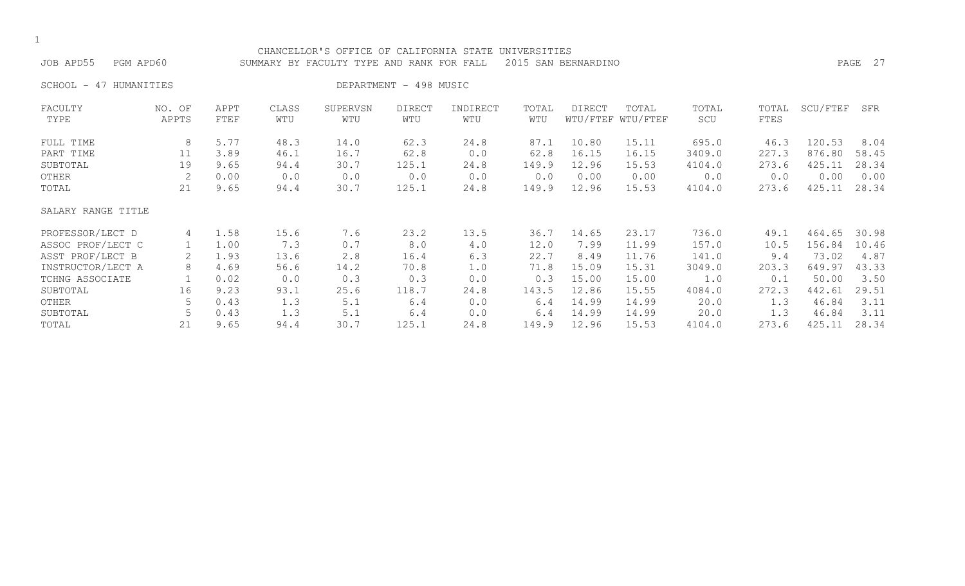| CHANCELLOR'S OFFICE OF CALIFORNIA STATE UNIVERSITIES<br>2015 SAN BERNARDINO<br>JOB APD55<br>PGM APD60<br>SUMMARY BY FACULTY TYPE AND RANK FOR FALL |                 |              |              |                 |                        |                 |              |        |                            |              |               |          | PAGE 27 |
|----------------------------------------------------------------------------------------------------------------------------------------------------|-----------------|--------------|--------------|-----------------|------------------------|-----------------|--------------|--------|----------------------------|--------------|---------------|----------|---------|
| SCHOOL - 47 HUMANITIES                                                                                                                             |                 |              |              |                 | DEPARTMENT - 498 MUSIC |                 |              |        |                            |              |               |          |         |
| FACULTY<br>TYPE                                                                                                                                    | NO. OF<br>APPTS | APPT<br>FTEF | CLASS<br>WTU | SUPERVSN<br>WTU | DIRECT<br>WTU          | INDIRECT<br>WTU | TOTAL<br>WTU | DIRECT | TOTAL<br>WTU/FTEF WTU/FTEF | TOTAL<br>SCU | TOTAL<br>FTES | SCU/FTEF | SFR     |
| FULL TIME                                                                                                                                          | 8               | 5.77         | 48.3         | 14.0            | 62.3                   | 24.8            | 87.1         | 10.80  | 15.11                      | 695.0        | 46.3          | 120.53   | 8.04    |
| PART TIME                                                                                                                                          | 11              | 3.89         | 46.1         | 16.7            | 62.8                   | 0.0             | 62.8         | 16.15  | 16.15                      | 3409.0       | 227.3         | 876.80   | 58.45   |
| SUBTOTAL                                                                                                                                           | 19              | 9.65         | 94.4         | 30.7            | 125.1                  | 24.8            | 149.9        | 12.96  | 15.53                      | 4104.0       | 273.6         | 425.11   | 28.34   |
| OTHER                                                                                                                                              | 2               | 0.00         | 0.0          | 0.0             | 0.0                    | 0.0             | 0.0          | 0.00   | 0.00                       | 0.0          | 0.0           | 0.00     | 0.00    |
| TOTAL                                                                                                                                              | 21              | 9.65         | 94.4         | 30.7            | 125.1                  | 24.8            | 149.9        | 12.96  | 15.53                      | 4104.0       | 273.6         | 425.11   | 28.34   |
| SALARY RANGE TITLE                                                                                                                                 |                 |              |              |                 |                        |                 |              |        |                            |              |               |          |         |
| PROFESSOR/LECT D                                                                                                                                   | 4               | 1.58         | 15.6         | 7.6             | 23.2                   | 13.5            | 36.7         | 14.65  | 23.17                      | 736.0        | 49.1          | 464.65   | 30.98   |
| ASSOC PROF/LECT C                                                                                                                                  | 1               | 1.00         | 7.3          | 0.7             | 8.0                    | 4.0             | 12.0         | 7.99   | 11.99                      | 157.0        | 10.5          | 156.84   | 10.46   |
| ASST PROF/LECT B                                                                                                                                   |                 | 1.93         | 13.6         | 2.8             | 16.4                   | 6.3             | 22.7         | 8.49   | 11.76                      | 141.0        | 9.4           | 73.02    | 4.87    |
| INSTRUCTOR/LECT A                                                                                                                                  | 8               | 4.69         | 56.6         | 14.2            | 70.8                   | 1.0             | 71.8         | 15.09  | 15.31                      | 3049.0       | 203.3         | 649.97   | 43.33   |
| TCHNG ASSOCIATE                                                                                                                                    |                 | 0.02         | 0.0          | 0.3             | 0.3                    | 0.0             | 0.3          | 15.00  | 15.00                      | 1.0          | 0.1           | 50.00    | 3.50    |
| SUBTOTAL                                                                                                                                           | 16              | 9.23         | 93.1         | 25.6            | 118.7                  | 24.8            | 143.5        | 12.86  | 15.55                      | 4084.0       | 272.3         | 442.61   | 29.51   |
| OTHER                                                                                                                                              | 5               | 0.43         | 1.3          | 5.1             | 6.4                    | 0.0             | 6.4          | 14.99  | 14.99                      | 20.0         | 1.3           | 46.84    | 3.11    |
| SUBTOTAL                                                                                                                                           | 5               | 0.43         | 1.3          | 5.1             | 6.4                    | 0.0             | 6.4          | 14.99  | 14.99                      | 20.0         | 1.3           | 46.84    | 3.11    |
| TOTAL                                                                                                                                              | 21              | 9.65         | 94.4         | 30.7            | 125.1                  | 24.8            | 149.9        | 12.96  | 15.53                      | 4104.0       | 273.6         | 425.11   | 28.34   |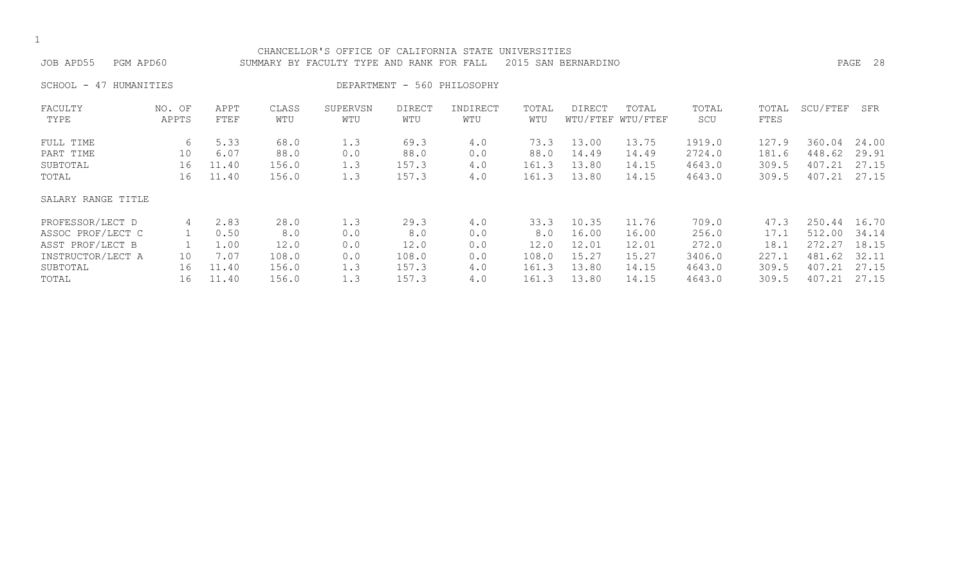| CHANCELLOR'S OFFICE OF CALIFORNIA STATE UNIVERSITIES<br>JOB APD55<br>PGM APD60<br>2015 SAN BERNARDINO<br>SUMMARY BY FACULTY TYPE AND RANK FOR FALL |                 |              |              |                 |                      |                             |              |        |                            |              |               |          | PAGE 28 |
|----------------------------------------------------------------------------------------------------------------------------------------------------|-----------------|--------------|--------------|-----------------|----------------------|-----------------------------|--------------|--------|----------------------------|--------------|---------------|----------|---------|
| HUMANITIES<br>SCHOOL -<br>47                                                                                                                       |                 |              |              |                 |                      | DEPARTMENT - 560 PHILOSOPHY |              |        |                            |              |               |          |         |
| FACULTY<br>TYPE                                                                                                                                    | NO. OF<br>APPTS | APPT<br>FTEF | CLASS<br>WTU | SUPERVSN<br>WTU | <b>DIRECT</b><br>WTU | INDIRECT<br>WTU             | TOTAL<br>WTU | DIRECT | TOTAL<br>WTU/FTEF WTU/FTEF | TOTAL<br>SCU | TOTAL<br>FTES | SCU/FTEF | SFR     |
| FULL TIME                                                                                                                                          | 6               | 5.33         | 68.0         | 1.3             | 69.3                 | 4.0                         | 73.3         | 13.00  | 13.75                      | 1919.0       | 127.9         | 360.04   | 24.00   |
| PART TIME                                                                                                                                          | 10              | 6.07         | 88.0         | 0.0             | 88.0                 | 0.0                         | 88.0         | 14.49  | 14.49                      | 2724.0       | 181.6         | 448.62   | 29.91   |
| SUBTOTAL                                                                                                                                           | 16              | 11.40        | 156.0        | 1.3             | 157.3                | 4.0                         | 161.3        | 13.80  | 14.15                      | 4643.0       | 309.5         | 407.21   | 27.15   |
| TOTAL                                                                                                                                              | 16              | 11.40        | 156.0        | 1.3             | 157.3                | 4.0                         | 161.3        | 13.80  | 14.15                      | 4643.0       | 309.5         | 407.21   | 27.15   |
| SALARY RANGE TITLE                                                                                                                                 |                 |              |              |                 |                      |                             |              |        |                            |              |               |          |         |
| PROFESSOR/LECT D                                                                                                                                   | 4               | 2.83         | 28.0         | 1.3             | 29.3                 | 4.0                         | 33.3         | 10.35  | 11.76                      | 709.0        | 47.3          | 250.44   | 16.70   |
| ASSOC PROF/LECT C                                                                                                                                  |                 | 0.50         | 8.0          | 0.0             | 8.0                  | 0.0                         | 8.0          | 16.00  | 16.00                      | 256.0        | 17.1          | 512.00   | 34.14   |
| ASST PROF/LECT B                                                                                                                                   |                 | 1.00         | 12.0         | 0.0             | 12.0                 | 0.0                         | 12.0         | 12.01  | 12.01                      | 272.0        | 18.1          | 272.27   | 18.15   |
| INSTRUCTOR/LECT A                                                                                                                                  | 10              | 7.07         | 108.0        | 0.0             | 108.0                | 0.0                         | 108.0        | 15.27  | 15.27                      | 3406.0       | 227.1         | 481.62   | 32.11   |
| SUBTOTAL                                                                                                                                           | 16              | 11.40        | 156.0        | 1.3             | 157.3                | 4.0                         | 161.3        | 13.80  | 14.15                      | 4643.0       | 309.5         | 407.21   | 27.15   |
| TOTAL                                                                                                                                              | 16              | 11.40        | 156.0        | 1.3             | 157.3                | 4.0                         | 161.3        | 13.80  | 14.15                      | 4643.0       | 309.5         | 407.21   | 27.15   |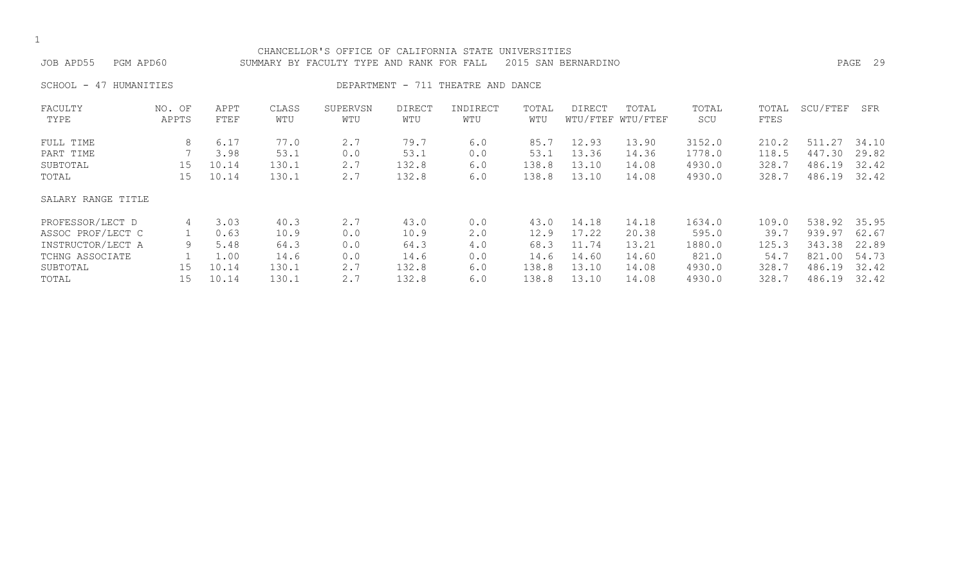| CHANCELLOR'S OFFICE OF CALIFORNIA STATE UNIVERSITIES<br>PGM APD60<br>2015 SAN BERNARDINO<br>JOB APD55<br>SUMMARY BY FACULTY TYPE AND RANK FOR FALL |                 |              |              |                 |                      |                                    |              |        |                            |              |               |          | PAGE 29 |
|----------------------------------------------------------------------------------------------------------------------------------------------------|-----------------|--------------|--------------|-----------------|----------------------|------------------------------------|--------------|--------|----------------------------|--------------|---------------|----------|---------|
| SCHOOL -<br>HUMANITIES<br>47                                                                                                                       |                 |              |              |                 |                      | DEPARTMENT - 711 THEATRE AND DANCE |              |        |                            |              |               |          |         |
| FACULTY<br>TYPE                                                                                                                                    | NO. OF<br>APPTS | APPT<br>FTEF | CLASS<br>WTU | SUPERVSN<br>WTU | <b>DIRECT</b><br>WTU | INDIRECT<br>WTU                    | TOTAL<br>WTU | DIRECT | TOTAL<br>WTU/FTEF WTU/FTEF | TOTAL<br>SCU | TOTAL<br>FTES | SCU/FTEF | SFR     |
| FULL TIME                                                                                                                                          | 8               | 6.17         | 77.0         | 2.7             | 79.7                 | 6.0                                | 85.7         | 12.93  | 13.90                      | 3152.0       | 210.2         | 511.27   | 34.10   |
| PART TIME                                                                                                                                          |                 | 3.98         | 53.1         | 0.0             | 53.1                 | 0.0                                | 53.1         | 13.36  | 14.36                      | 1778.0       | 118.5         | 447.30   | 29.82   |
| SUBTOTAL                                                                                                                                           | 15              | 10.14        | 130.1        | 2.7             | 132.8                | 6.0                                | 138.8        | 13.10  | 14.08                      | 4930.0       | 328.7         | 486.19   | 32.42   |
| TOTAL                                                                                                                                              | 15              | 10.14        | 130.1        | 2.7             | 132.8                | 6.0                                | 138.8        | 13.10  | 14.08                      | 4930.0       | 328.7         | 486.19   | 32.42   |
| SALARY RANGE TITLE                                                                                                                                 |                 |              |              |                 |                      |                                    |              |        |                            |              |               |          |         |
| PROFESSOR/LECT D                                                                                                                                   | 4               | 3.03         | 40.3         | 2.7             | 43.0                 | 0.0                                | 43.0         | 14.18  | 14.18                      | 1634.0       | 109.0         | 538.92   | 35.95   |
| ASSOC PROF/LECT C                                                                                                                                  |                 | 0.63         | 10.9         | 0.0             | 10.9                 | 2.0                                | 12.9         | 17.22  | 20.38                      | 595.0        | 39.7          | 939.97   | 62.67   |
| INSTRUCTOR/LECT A                                                                                                                                  | 9               | 5.48         | 64.3         | 0.0             | 64.3                 | 4.0                                | 68.3         | 11.74  | 13.21                      | 1880.0       | 125.3         | 343.38   | 22.89   |
| TCHNG ASSOCIATE                                                                                                                                    |                 | 1.00         | 14.6         | 0.0             | 14.6                 | 0.0                                | 14.6         | 14.60  | 14.60                      | 821.0        | 54.7          | 821.00   | 54.73   |
| SUBTOTAL                                                                                                                                           | 15              | 10.14        | 130.1        | 2.7             | 132.8                | 6.0                                | 138.8        | 13.10  | 14.08                      | 4930.0       | 328.7         | 486.19   | 32.42   |
| TOTAL                                                                                                                                              | 15              | 10.14        | 130.1        | 2.7             | 132.8                | 6.0                                | 138.8        | 13.10  | 14.08                      | 4930.0       | 328.7         | 486.19   | 32.42   |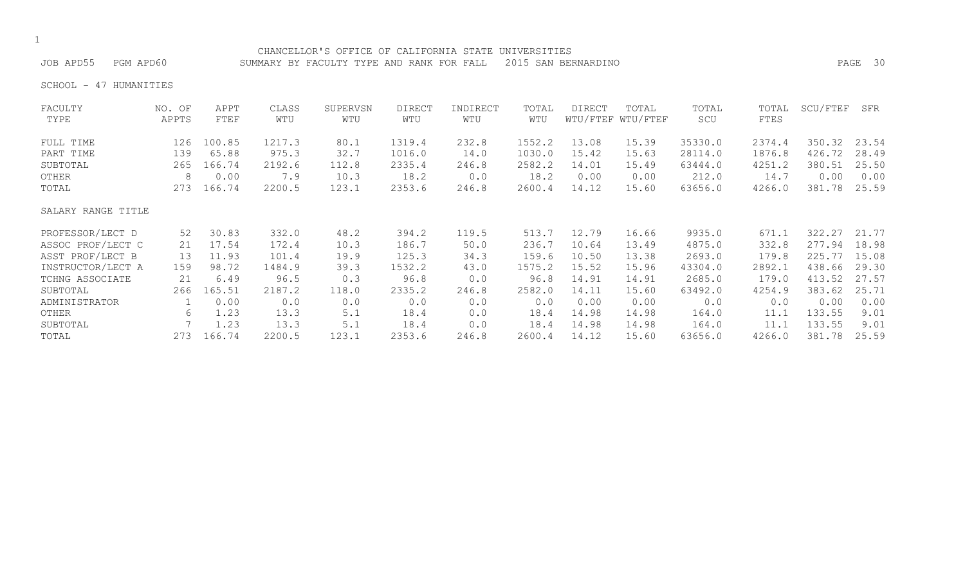## CHANCELLOR'S OFFICE OF CALIFORNIA STATE UNIVERSITIES JOB APD55 PGM APD60 SUMMARY BY FACULTY TYPE AND RANK FOR FALL 2015 SAN BERNARDINO PAGE 30

SCHOOL - 47 HUMANITIES

| FACULTY            | NO. OF | APPT   | CLASS  | SUPERVSN | <b>DIRECT</b> | INDIRECT | TOTAL  | <b>DIRECT</b> | TOTAL             | TOTAL   | TOTAL  | SCU/FTEF | SFR   |
|--------------------|--------|--------|--------|----------|---------------|----------|--------|---------------|-------------------|---------|--------|----------|-------|
| TYPE               | APPTS  | FTEF   | WTU    | WTU      | WTU           | WTU      | WTU    |               | WTU/FTEF WTU/FTEF | SCU     | FTES   |          |       |
| FULL TIME          | 126    | 100.85 | 1217.3 | 80.1     | 1319.4        | 232.8    | 1552.2 | 13.08         | 15.39             | 35330.0 | 2374.4 | 350.32   | 23.54 |
| PART TIME          | 139    | 65.88  | 975.3  | 32.7     | 1016.0        | 14.0     | 1030.0 | 15.42         | 15.63             | 28114.0 | 1876.8 | 426.72   | 28.49 |
| SUBTOTAL           | 265    | 166.74 | 2192.6 | 112.8    | 2335.4        | 246.8    | 2582.2 | 14.01         | 15.49             | 63444.0 | 4251.2 | 380.51   | 25.50 |
| OTHER              | 8      | 0.00   | 7.9    | 10.3     | 18.2          | 0.0      | 18.2   | 0.00          | 0.00              | 212.0   | 14.7   | 0.00     | 0.00  |
| TOTAL              | 273    | 166.74 | 2200.5 | 123.1    | 2353.6        | 246.8    | 2600.4 | 14.12         | 15.60             | 63656.0 | 4266.0 | 381.78   | 25.59 |
| SALARY RANGE TITLE |        |        |        |          |               |          |        |               |                   |         |        |          |       |
| PROFESSOR/LECT D   | 52     | 30.83  | 332.0  | 48.2     | 394.2         | 119.5    | 513.7  | 12.79         | 16.66             | 9935.0  | 671.1  | 322.27   | 21.77 |
| ASSOC PROF/LECT C  | 21     | 17.54  | 172.4  | 10.3     | 186.7         | 50.0     | 236.7  | 10.64         | 13.49             | 4875.0  | 332.8  | 277.94   | 18.98 |
| ASST PROF/LECT B   | 13     | 11.93  | 101.4  | 19.9     | 125.3         | 34.3     | 159.6  | 10.50         | 13.38             | 2693.0  | 179.8  | 225.77   | 15.08 |
| INSTRUCTOR/LECT A  | 159    | 98.72  | 1484.9 | 39.3     | 1532.2        | 43.0     | 1575.2 | 15.52         | 15.96             | 43304.0 | 2892.1 | 438.66   | 29.30 |
| TCHNG ASSOCIATE    | 21     | 6.49   | 96.5   | 0.3      | 96.8          | 0.0      | 96.8   | 14.91         | 14.91             | 2685.0  | 179.0  | 413.52   | 27.57 |
| SUBTOTAL           | 266    | 165.51 | 2187.2 | 118.0    | 2335.2        | 246.8    | 2582.0 | 14.11         | 15.60             | 63492.0 | 4254.9 | 383.62   | 25.71 |
| ADMINISTRATOR      |        | 0.00   | 0.0    | 0.0      | 0.0           | 0.0      | 0.0    | 0.00          | 0.00              | 0.0     | 0.0    | 0.00     | 0.00  |
| OTHER              | 6      | 1.23   | 13.3   | 5.1      | 18.4          | 0.0      | 18.4   | 14.98         | 14.98             | 164.0   | 11.1   | 133.55   | 9.01  |
| SUBTOTAL           |        | 1.23   | 13.3   | 5.1      | 18.4          | 0.0      | 18.4   | 14.98         | 14.98             | 164.0   | 11.1   | 133.55   | 9.01  |
| TOTAL              | 273    | 166.74 | 2200.5 | 123.1    | 2353.6        | 246.8    | 2600.4 | 14.12         | 15.60             | 63656.0 | 4266.0 | 381.78   | 25.59 |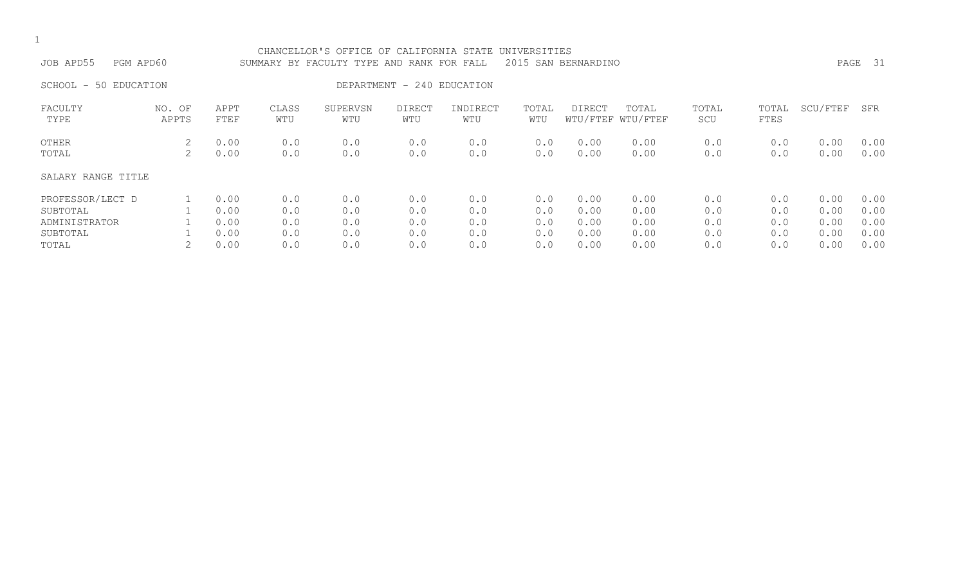| JOB APD55<br>PGM APD60                                             |                 |                                      |                                 | CHANCELLOR'S OFFICE OF CALIFORNIA STATE UNIVERSITIES<br>SUMMARY BY FACULTY TYPE AND RANK FOR FALL |                                 |                                 |                                 | 2015 SAN BERNARDINO                  |                                      |                                 |                                 |                                      | PAGE 31                              |
|--------------------------------------------------------------------|-----------------|--------------------------------------|---------------------------------|---------------------------------------------------------------------------------------------------|---------------------------------|---------------------------------|---------------------------------|--------------------------------------|--------------------------------------|---------------------------------|---------------------------------|--------------------------------------|--------------------------------------|
| SCHOOL - 50 EDUCATION                                              |                 |                                      |                                 |                                                                                                   | DEPARTMENT - 240 EDUCATION      |                                 |                                 |                                      |                                      |                                 |                                 |                                      |                                      |
| FACULTY<br>TYPE                                                    | NO. OF<br>APPTS | APPT<br>FTEF                         | CLASS<br>WTU                    | SUPERVSN<br>WTU                                                                                   | <b>DIRECT</b><br>WTU            | INDIRECT<br>WTU                 | TOTAL<br>WTU                    | DIRECT                               | TOTAL<br>WTU/FTEF WTU/FTEF           | TOTAL<br>SCU                    | TOTAL<br>FTES                   | SCU/FTEF                             | SFR                                  |
| OTHER<br>TOTAL                                                     | 2<br>2          | 0.00<br>0.00                         | 0.0<br>0.0                      | 0.0<br>0.0                                                                                        | 0.0<br>0.0                      | 0.0<br>0.0                      | 0.0<br>0.0                      | 0.00<br>0.00                         | 0.00<br>0.00                         | 0.0<br>0.0                      | 0.0<br>0.0                      | 0.00<br>0.00                         | 0.00<br>0.00                         |
| SALARY RANGE TITLE                                                 |                 |                                      |                                 |                                                                                                   |                                 |                                 |                                 |                                      |                                      |                                 |                                 |                                      |                                      |
| PROFESSOR/LECT D<br>SUBTOTAL<br>ADMINISTRATOR<br>SUBTOTAL<br>TOTAL |                 | 0.00<br>0.00<br>0.00<br>0.00<br>0.00 | 0.0<br>0.0<br>0.0<br>0.0<br>0.0 | 0.0<br>0.0<br>0.0<br>0.0<br>0.0                                                                   | 0.0<br>0.0<br>0.0<br>0.0<br>0.0 | 0.0<br>0.0<br>0.0<br>0.0<br>0.0 | 0.0<br>0.0<br>0.0<br>0.0<br>0.0 | 0.00<br>0.00<br>0.00<br>0.00<br>0.00 | 0.00<br>0.00<br>0.00<br>0.00<br>0.00 | 0.0<br>0.0<br>0.0<br>0.0<br>0.0 | 0.0<br>0.0<br>0.0<br>0.0<br>0.0 | 0.00<br>0.00<br>0.00<br>0.00<br>0.00 | 0.00<br>0.00<br>0.00<br>0.00<br>0.00 |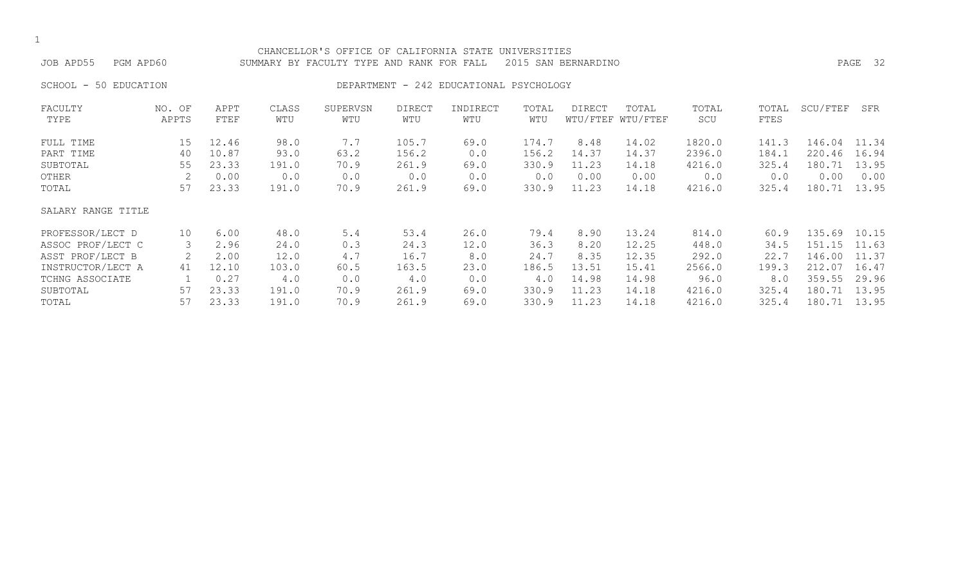| CHANCELLOR'S OFFICE OF CALIFORNIA STATE<br>UNIVERSITIES<br>JOB APD55<br>PGM APD60<br>2015 SAN BERNARDINO<br>SUMMARY BY FACULTY TYPE AND RANK FOR FALL |        |       |       |          |        |                                         |       |        |                   |        |       |              | PAGE 32 |
|-------------------------------------------------------------------------------------------------------------------------------------------------------|--------|-------|-------|----------|--------|-----------------------------------------|-------|--------|-------------------|--------|-------|--------------|---------|
|                                                                                                                                                       |        |       |       |          |        |                                         |       |        |                   |        |       |              |         |
| 50 EDUCATION<br>SCHOOL -                                                                                                                              |        |       |       |          |        | DEPARTMENT - 242 EDUCATIONAL PSYCHOLOGY |       |        |                   |        |       |              |         |
| FACULTY                                                                                                                                               | NO. OF | APPT  | CLASS | SUPERVSN | DIRECT | INDIRECT                                | TOTAL | DIRECT | TOTAL             | TOTAL  | TOTAL | SCU/FTEF     | SFR     |
| TYPE                                                                                                                                                  | APPTS  | FTEF  | WTU   | WTU      | WTU    | WTU                                     | WTU   |        | WTU/FTEF WTU/FTEF | SCU    | FTES  |              |         |
| FULL TIME                                                                                                                                             | 15     | 12.46 | 98.0  | 7.7      | 105.7  | 69.0                                    | 174.7 | 8.48   | 14.02             | 1820.0 | 141.3 | 146.04       | 11.34   |
| PART TIME                                                                                                                                             | 40     | 10.87 | 93.0  | 63.2     | 156.2  | 0.0                                     | 156.2 | 14.37  | 14.37             | 2396.0 | 184.1 | 220.46       | 16.94   |
| SUBTOTAL                                                                                                                                              | 55     | 23.33 | 191.0 | 70.9     | 261.9  | 69.0                                    | 330.9 | 11.23  | 14.18             | 4216.0 | 325.4 | 180.71       | 13.95   |
| OTHER                                                                                                                                                 | 2      | 0.00  | 0.0   | 0.0      | 0.0    | 0.0                                     | 0.0   | 0.00   | 0.00              | 0.0    | 0.0   | 0.00         | 0.00    |
| TOTAL                                                                                                                                                 | 57     | 23.33 | 191.0 | 70.9     | 261.9  | 69.0                                    | 330.9 | 11.23  | 14.18             | 4216.0 | 325.4 | 180.71       | 13.95   |
| SALARY RANGE TITLE                                                                                                                                    |        |       |       |          |        |                                         |       |        |                   |        |       |              |         |
| PROFESSOR/LECT D                                                                                                                                      | 10     | 6.00  | 48.0  | 5.4      | 53.4   | 26.0                                    | 79.4  | 8.90   | 13.24             | 814.0  | 60.9  | 135.69       | 10.15   |
| ASSOC PROF/LECT C                                                                                                                                     | 3      | 2.96  | 24.0  | 0.3      | 24.3   | 12.0                                    | 36.3  | 8.20   | 12.25             | 448.0  | 34.5  | 151.15       | 11.63   |
| ASST PROF/LECT B                                                                                                                                      | 2      | 2.00  | 12.0  | 4.7      | 16.7   | 8.0                                     | 24.7  | 8.35   | 12.35             | 292.0  | 22.7  | 146.00       | 11.37   |
| INSTRUCTOR/LECT A                                                                                                                                     | 41     | 12.10 | 103.0 | 60.5     | 163.5  | 23.0                                    | 186.5 | 13.51  | 15.41             | 2566.0 | 199.3 | 212.07       | 16.47   |
| TCHNG ASSOCIATE                                                                                                                                       |        | 0.27  | 4.0   | 0.0      | 4.0    | 0.0                                     | $4.0$ | 14.98  | 14.98             | 96.0   | 8.0   | 359.55       | 29.96   |
| SUBTOTAL                                                                                                                                              | 57     | 23.33 | 191.0 | 70.9     | 261.9  | 69.0                                    | 330.9 | 11.23  | 14.18             | 4216.0 | 325.4 | 180.71       | 13.95   |
| TOTAL                                                                                                                                                 | 57     | 23.33 | 191.0 | 70.9     | 261.9  | 69.0                                    | 330.9 | 11.23  | 14.18             | 4216.0 | 325.4 | 180.71 13.95 |         |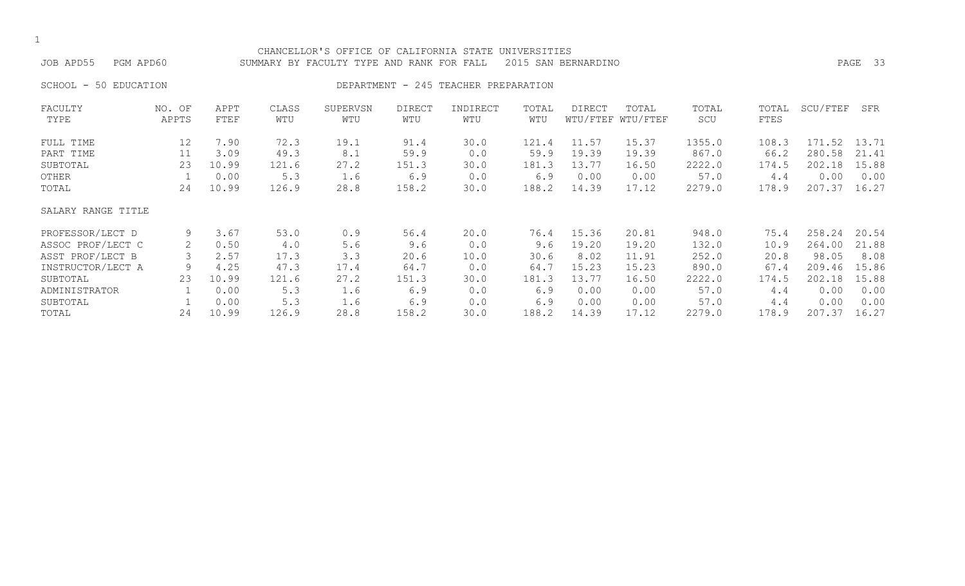| JOB APD55             | PGM APD60       |                     |              | CHANCELLOR'S OFFICE OF CALIFORNIA STATE UNIVERSITIES<br>SUMMARY BY FACULTY TYPE AND RANK FOR FALL 2015 SAN BERNARDINO |               |                                      |              |        |                            |              |               |                    | PAGE 33 |
|-----------------------|-----------------|---------------------|--------------|-----------------------------------------------------------------------------------------------------------------------|---------------|--------------------------------------|--------------|--------|----------------------------|--------------|---------------|--------------------|---------|
| SCHOOL - 50 EDUCATION |                 |                     |              |                                                                                                                       |               | DEPARTMENT - 245 TEACHER PREPARATION |              |        |                            |              |               |                    |         |
| FACULTY<br>TYPE       | NO. OF<br>APPTS | APPT<br><b>FTEF</b> | CLASS<br>WTU | SUPERVSN<br>WTU                                                                                                       | DIRECT<br>WTU | INDIRECT<br>WTU                      | TOTAL<br>WTU | DIRECT | TOTAL<br>WTU/FTEF WTU/FTEF | TOTAL<br>SCU | TOTAL<br>FTES | SCU/FTEF SFR       |         |
| FULL TIME             |                 | 12 7.90             |              | 72.3 19.1                                                                                                             | 91.4          | 30.0 121.4 11.57 15.37 1355.0        |              |        |                            |              |               | 108.3 171.52 13.71 |         |

| L'OTTLE TIME       |    | 1 . J V | 12.0  |      | フエ・コ  | JV.V | <b>TUT . 7</b> | 11.J/ | 10.JI | 1 J J J . U | 100.5 | 17.C   |       |
|--------------------|----|---------|-------|------|-------|------|----------------|-------|-------|-------------|-------|--------|-------|
| PART TIME          |    | 3.09    | 49.3  | 8.1  | 59.9  | 0.0  | 59.9           | 19.39 | 19.39 | 867.0       | 66.2  | 280.58 | 21.41 |
| SUBTOTAL           | 23 | 10.99   | 121.6 | 27.2 | 151.3 | 30.0 | 181.3          | 13.77 | 16.50 | 2222.0      | 174.5 | 202.18 | 15.88 |
| OTHER              |    | 0.00    | 5.3   | 1.6  | 6.9   | 0.0  | 6.9            | 0.00  | 0.00  | 57.0        | 4.4   | 0.00   | 0.00  |
| TOTAL              | 24 | 10.99   | 126.9 | 28.8 | 158.2 | 30.0 | 188.2          | 14.39 | 17.12 | 2279.0      | 178.9 | 207.37 | 16.27 |
| SALARY RANGE TITLE |    |         |       |      |       |      |                |       |       |             |       |        |       |
| PROFESSOR/LECT D   | 9  | 3.67    | 53.0  | 0.9  | 56.4  | 20.0 | 76.4           | 15.36 | 20.81 | 948.0       | 75.4  | 258.24 | 20.54 |
| ASSOC PROF/LECT C  | 2  | 0.50    | 4.0   | 5.6  | 9.6   | 0.0  | 9.6            | 19.20 | 19.20 | 132.0       | 10.9  | 264.00 | 21.88 |
| ASST PROF/LECT B   |    | 2.57    | 17.3  | 3.3  | 20.6  | 10.0 | 30.6           | 8.02  | 11.91 | 252.0       | 20.8  | 98.05  | 8.08  |
| INSTRUCTOR/LECT A  | 9  | 4.25    | 47.3  | 17.4 | 64.7  | 0.0  | 64.7           | 15.23 | 15.23 | 890.0       | 67.4  | 209.46 | 15.86 |
| SUBTOTAL           | 23 | 10.99   | 121.6 | 27.2 | 151.3 | 30.0 | 181.3          | 13.77 | 16.50 | 2222.0      | 174.5 | 202.18 | 15.88 |
| ADMINISTRATOR      |    | 0.00    | 5.3   | 1.6  | 6.9   | 0.0  | 6.9            | 0.00  | 0.00  | 57.0        | 4.4   | 0.00   | 0.00  |
| SUBTOTAL           |    | 0.00    | 5.3   | 1.6  | 6.9   | 0.0  | 6.9            | 0.00  | 0.00  | 57.0        | 4.4   | 0.00   | 0.00  |
| TOTAL              | 24 | 10.99   | 126.9 | 28.8 | 158.2 | 30.0 | 188.2          | 14.39 | 17.12 | 2279.0      | 178.9 | 207.37 | 16.27 |
|                    |    |         |       |      |       |      |                |       |       |             |       |        |       |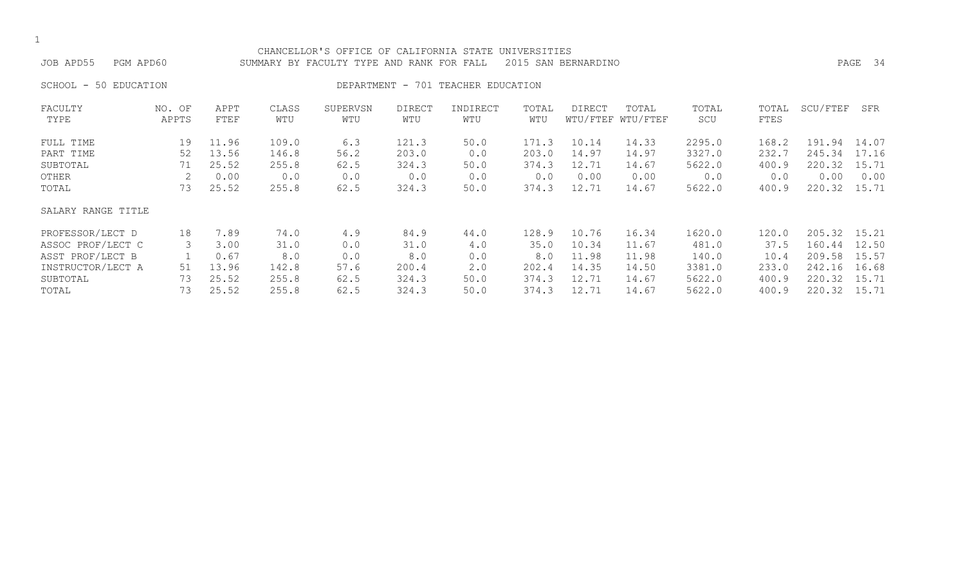| ۰.  |
|-----|
| . . |

# CHANCELLOR'S OFFICE OF CALIFORNIA STATE UNIVERSITIES

JOB APD55 PGM APD60 SUMMARY BY FACULTY TYPE AND RANK FOR FALL 2015 SAN BERNARDINO PAGE 34

SCHOOL - 50 EDUCATION **DEPARTMENT - 701 TEACHER EDUCATION** 

| FACULTY            | NO. OF | APPT  | CLASS | SUPERVSN | <b>DIRECT</b> | INDIRECT | TOTAL | <b>DIRECT</b> | TOTAL             | TOTAL  | TOTAL | SCU/FTEF | SFR   |
|--------------------|--------|-------|-------|----------|---------------|----------|-------|---------------|-------------------|--------|-------|----------|-------|
| TYPE               | APPTS  | FTEF  | WTU   | WTU      | WTU           | WTU      | WTU   |               | WTU/FTEF WTU/FTEF | SCU    | FTES  |          |       |
| FULL TIME          | 19     | 11.96 | 109.0 | 6.3      | 121.3         | 50.0     | 171.3 | 10.14         | 14.33             | 2295.0 | 168.2 | 191.94   | 14.07 |
| PART TIME          | 52     | 13.56 | 146.8 | 56.2     | 203.0         | 0.0      | 203.0 | 14.97         | 14.97             | 3327.0 | 232.7 | 245.34   | 17.16 |
| SUBTOTAL           | 71     | 25.52 | 255.8 | 62.5     | 324.3         | 50.0     | 374.3 | 12.71         | 14.67             | 5622.0 | 400.9 | 220.32   | 15.71 |
| OTHER              |        | 0.00  | 0.0   | 0.0      | 0.0           | 0.0      | 0.0   | 0.00          | 0.00              | 0.0    | 0.0   | 0.00     | 0.00  |
| TOTAL              | 73     | 25.52 | 255.8 | 62.5     | 324.3         | 50.0     | 374.3 | 12.71         | 14.67             | 5622.0 | 400.9 | 220.32   | 15.71 |
| SALARY RANGE TITLE |        |       |       |          |               |          |       |               |                   |        |       |          |       |
| PROFESSOR/LECT D   | 18     | 7.89  | 74.0  | 4.9      | 84.9          | 44.0     | 128.9 | 10.76         | 16.34             | 1620.0 | 120.0 | 205.32   | 15.21 |
| ASSOC PROF/LECT C  |        | 3.00  | 31.0  | 0.0      | 31.0          | 4.0      | 35.0  | 10.34         | 11.67             | 481.0  | 37.5  | 160.44   | 12.50 |
| ASST PROF/LECT B   |        | 0.67  | 8.0   | 0.0      | 8.0           | 0.0      | 8.0   | 11.98         | 11.98             | 140.0  | 10.4  | 209.58   | 15.57 |
| INSTRUCTOR/LECT A  | 51     | 13.96 | 142.8 | 57.6     | 200.4         | 2.0      | 202.4 | 14.35         | 14.50             | 3381.0 | 233.0 | 242.16   | 16.68 |
| SUBTOTAL           | 73     | 25.52 | 255.8 | 62.5     | 324.3         | 50.0     | 374.3 | 12.71         | 14.67             | 5622.0 | 400.9 | 220.32   | 15.71 |
| TOTAL              | 73     | 25.52 | 255.8 | 62.5     | 324.3         | 50.0     | 374.3 | 12.71         | 14.67             | 5622.0 | 400.9 | 220.32   | 15.71 |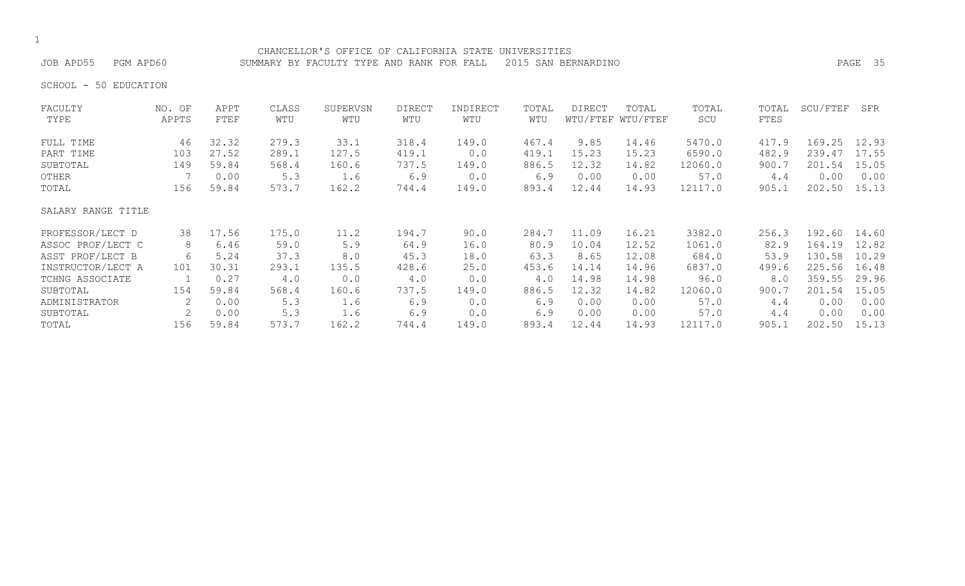## CHANCELLOR'S OFFICE OF CALIFORNIA STATE UNIVERSITIES

JOB APD55 PGM APD60 SUMMARY BY FACULTY TYPE AND RANK FOR FALL 2015 SAN BERNARDINO PAGE 35

SCHOOL - 50 EDUCATION

| FACULTY            | NO. OF                    | APPT  | CLASS | SUPERVSN | <b>DIRECT</b> | INDIRECT | TOTAL | DIRECT | TOTAL             | TOTAL   | TOTAL | SCU/FTEF | SFR   |
|--------------------|---------------------------|-------|-------|----------|---------------|----------|-------|--------|-------------------|---------|-------|----------|-------|
| TYPE               | APPTS                     | FTEF  | WTU   | WTU      | WTU           | WTU      | WTU   |        | WTU/FTEF WTU/FTEF | SCU     | FTES  |          |       |
| FULL TIME          | 46                        | 32.32 | 279.3 | 33.1     | 318.4         | 149.0    | 467.4 | 9.85   | 14.46             | 5470.0  | 417.9 | 169.25   | 12.93 |
| PART TIME          | 103                       | 27.52 | 289.1 | 127.5    | 419.1         | 0.0      | 419.1 | 15.23  | 15.23             | 6590.0  | 482.9 | 239.47   | 17.55 |
| SUBTOTAL           | 149                       | 59.84 | 568.4 | 160.6    | 737.5         | 149.0    | 886.5 | 12.32  | 14.82             | 12060.0 | 900.7 | 201.54   | 15.05 |
| OTHER              |                           | 0.00  | 5.3   | 1.6      | 6.9           | 0.0      | 6.9   | 0.00   | 0.00              | 57.0    | 4.4   | 0.00     | 0.00  |
| TOTAL              | 156                       | 59.84 | 573.7 | 162.2    | 744.4         | 149.0    | 893.4 | 12.44  | 14.93             | 12117.0 | 905.1 | 202.50   | 15.13 |
| SALARY RANGE TITLE |                           |       |       |          |               |          |       |        |                   |         |       |          |       |
| PROFESSOR/LECT D   | 38                        | 17.56 | 175.0 | 11.2     | 194.7         | 90.0     | 284.7 | 11.09  | 16.21             | 3382.0  | 256.3 | 192.60   | 14.60 |
| ASSOC PROF/LECT C  | 8                         | 6.46  | 59.0  | 5.9      | 64.9          | 16.0     | 80.9  | 10.04  | 12.52             | 1061.0  | 82.9  | 164.19   | 12.82 |
| ASST PROF/LECT B   | 6                         | 5.24  | 37.3  | 8.0      | 45.3          | 18.0     | 63.3  | 8.65   | 12.08             | 684.0   | 53.9  | 130.58   | 10.29 |
| INSTRUCTOR/LECT A  | 101                       | 30.31 | 293.1 | 135.5    | 428.6         | 25.0     | 453.6 | 14.14  | 14.96             | 6837.0  | 499.6 | 225.56   | 16.48 |
| TCHNG ASSOCIATE    |                           | 0.27  | 4.0   | 0.0      | 4.0           | 0.0      | 4.0   | 14.98  | 14.98             | 96.0    | 8.0   | 359.55   | 29.96 |
| SUBTOTAL           | 154                       | 59.84 | 568.4 | 160.6    | 737.5         | 149.0    | 886.5 | 12.32  | 14.82             | 12060.0 | 900.7 | 201.54   | 15.05 |
| ADMINISTRATOR      | $\mathbf{2}^{\mathsf{I}}$ | 0.00  | 5.3   | 1.6      | 6.9           | 0.0      | 6.9   | 0.00   | 0.00              | 57.0    | 4.4   | 0.00     | 0.00  |
| SUBTOTAL           |                           | 0.00  | 5.3   | 1.6      | 6.9           | 0.0      | 6.9   | 0.00   | 0.00              | 57.0    | 4.4   | 0.00     | 0.00  |
| TOTAL              | 156                       | 59.84 | 573.7 | 162.2    | 744.4         | 149.0    | 893.4 | 12.44  | 14.93             | 12117.0 | 905.1 | 202.50   | 15.13 |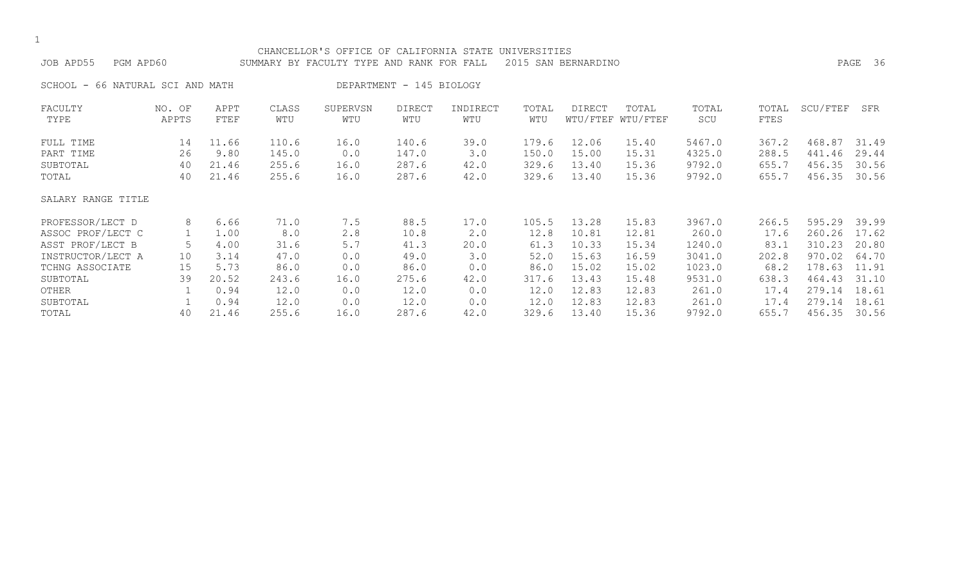| CHANCELLOR'S OFFICE OF CALIFORNIA STATE<br>UNIVERSITIES<br>2015 SAN BERNARDINO<br>36<br>JOB APD55<br>PAGE<br>PGM APD60<br>SUMMARY BY FACULTY TYPE AND RANK FOR FALL |                                |                                                                        |                                                                       |                                                               |                                                                        |                                                                 |                                                                         |                                                                               |                                                                               |                                                                                     |                                                                          |                                                                                        |                                                                               |
|---------------------------------------------------------------------------------------------------------------------------------------------------------------------|--------------------------------|------------------------------------------------------------------------|-----------------------------------------------------------------------|---------------------------------------------------------------|------------------------------------------------------------------------|-----------------------------------------------------------------|-------------------------------------------------------------------------|-------------------------------------------------------------------------------|-------------------------------------------------------------------------------|-------------------------------------------------------------------------------------|--------------------------------------------------------------------------|----------------------------------------------------------------------------------------|-------------------------------------------------------------------------------|
| SCHOOL -                                                                                                                                                            | 66 NATURAL SCI AND MATH        |                                                                        |                                                                       |                                                               | DEPARTMENT - 145 BIOLOGY                                               |                                                                 |                                                                         |                                                                               |                                                                               |                                                                                     |                                                                          |                                                                                        |                                                                               |
| FACULTY<br>TYPE                                                                                                                                                     | NO. OF<br>APPTS                | APPT<br>FTEF                                                           | CLASS<br>WTU                                                          | SUPERVSN<br>WTU                                               | <b>DIRECT</b><br>WTU                                                   | INDIRECT<br>WTU                                                 | TOTAL<br>WTU                                                            | <b>DIRECT</b>                                                                 | TOTAL<br>WTU/FTEF WTU/FTEF                                                    | TOTAL<br>SCU                                                                        | TOTAL<br>FTES                                                            | SCU/FTEF                                                                               | SFR                                                                           |
| FULL TIME<br>PART TIME<br>SUBTOTAL<br>TOTAL                                                                                                                         | 14<br>26<br>40<br>40           | 11.66<br>9.80<br>21.46<br>21.46                                        | 110.6<br>145.0<br>255.6<br>255.6                                      | 16.0<br>0.0<br>16.0<br>16.0                                   | 140.6<br>147.0<br>287.6<br>287.6                                       | 39.0<br>3.0<br>42.0<br>42.0                                     | 179.6<br>150.0<br>329.6<br>329.6                                        | 12.06<br>15.00<br>13.40<br>13.40                                              | 15.40<br>15.31<br>15.36<br>15.36                                              | 5467.0<br>4325.0<br>9792.0<br>9792.0                                                | 367.2<br>288.5<br>655.7<br>655.7                                         | 468.87<br>441.46<br>456.35<br>456.35                                                   | 31.49<br>29.44<br>30.56<br>30.56                                              |
| SALARY RANGE TITLE                                                                                                                                                  |                                |                                                                        |                                                                       |                                                               |                                                                        |                                                                 |                                                                         |                                                                               |                                                                               |                                                                                     |                                                                          |                                                                                        |                                                                               |
| PROFESSOR/LECT D<br>ASSOC PROF/LECT C<br>ASST PROF/LECT B<br>INSTRUCTOR/LECT A<br>TCHNG ASSOCIATE<br>SUBTOTAL<br>OTHER<br>SUBTOTAL<br>TOTAL                         | 8<br>5<br>10<br>15<br>39<br>40 | 6.66<br>1.00<br>4.00<br>3.14<br>5.73<br>20.52<br>0.94<br>0.94<br>21.46 | 71.0<br>8.0<br>31.6<br>47.0<br>86.0<br>243.6<br>12.0<br>12.0<br>255.6 | 7.5<br>2.8<br>5.7<br>0.0<br>0.0<br>16.0<br>0.0<br>0.0<br>16.0 | 88.5<br>10.8<br>41.3<br>49.0<br>86.0<br>275.6<br>12.0<br>12.0<br>287.6 | 17.0<br>2.0<br>20.0<br>3.0<br>0.0<br>42.0<br>0.0<br>0.0<br>42.0 | 105.5<br>12.8<br>61.3<br>52.0<br>86.0<br>317.6<br>12.0<br>12.0<br>329.6 | 13.28<br>10.81<br>10.33<br>15.63<br>15.02<br>13.43<br>12.83<br>12.83<br>13.40 | 15.83<br>12.81<br>15.34<br>16.59<br>15.02<br>15.48<br>12.83<br>12.83<br>15.36 | 3967.0<br>260.0<br>1240.0<br>3041.0<br>1023.0<br>9531.0<br>261.0<br>261.0<br>9792.0 | 266.5<br>17.6<br>83.1<br>202.8<br>68.2<br>638.3<br>17.4<br>17.4<br>655.7 | 595.29<br>260.26<br>310.23<br>970.02<br>178.63<br>464.43<br>279.14<br>279.14<br>456.35 | 39.99<br>17.62<br>20.80<br>64.70<br>11.91<br>31.10<br>18.61<br>18.61<br>30.56 |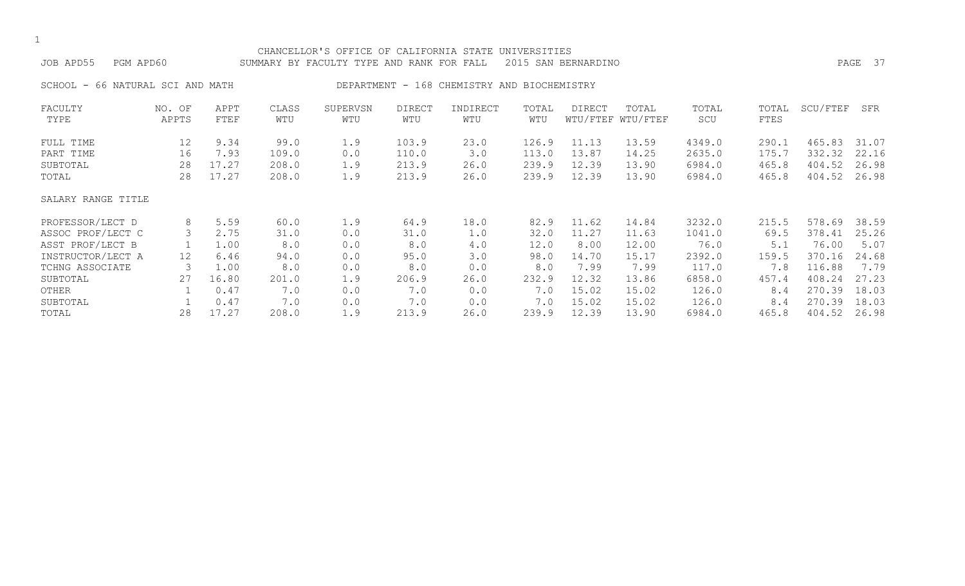| JOB APD55<br>PGM APD60 |                         |              |              | CHANCELLOR'S OFFICE OF CALIFORNIA STATE UNIVERSITIES<br>SUMMARY BY FACULTY TYPE AND RANK FOR FALL |                      |                                |              | 2015 SAN BERNARDINO |                            |              |               |          | PAGE 37 |
|------------------------|-------------------------|--------------|--------------|---------------------------------------------------------------------------------------------------|----------------------|--------------------------------|--------------|---------------------|----------------------------|--------------|---------------|----------|---------|
| SCHOOL<br>$\sim$       | 66 NATURAL SCI AND MATH |              |              | DEPARTMENT -                                                                                      |                      | 168 CHEMISTRY AND BIOCHEMISTRY |              |                     |                            |              |               |          |         |
| FACULTY<br>TYPE        | NO. OF<br>APPTS         | APPT<br>FTEF | CLASS<br>WTU | SUPERVSN<br>WTU                                                                                   | <b>DIRECT</b><br>WTU | INDIRECT<br>WTU                | TOTAL<br>WTU | DIRECT              | TOTAL<br>WTU/FTEF WTU/FTEF | TOTAL<br>SCU | TOTAL<br>FTES | SCU/FTEF | SFR     |
| FULL TIME              | 12                      | 9.34         | 99.0         | 1.9                                                                                               | 103.9                | 23.0                           | 126.9        | 11.13               | 13.59                      | 4349.0       | 290.1         | 465.83   | 31.07   |
| PART TIME              | 16                      | 7.93         | 109.0        | 0.0                                                                                               | 110.0                | 3.0                            | 113.0        | 13.87               | 14.25                      | 2635.0       | 175.7         | 332.32   | 22.16   |
| SUBTOTAL               | 28                      | 17.27        | 208.0        | 1.9                                                                                               | 213.9                | 26.0                           | 239.9        | 12.39               | 13.90                      | 6984.0       | 465.8         | 404.52   | 26.98   |
| TOTAL                  | 28                      | 17.27        | 208.0        | 1.9                                                                                               | 213.9                | 26.0                           | 239.9        | 12.39               | 13.90                      | 6984.0       | 465.8         | 404.52   | 26.98   |
| SALARY RANGE TITLE     |                         |              |              |                                                                                                   |                      |                                |              |                     |                            |              |               |          |         |
| PROFESSOR/LECT D       | 8                       | 5.59         | 60.0         | 1.9                                                                                               | 64.9                 | 18.0                           | 82.9         | 11.62               | 14.84                      | 3232.0       | 215.5         | 578.69   | 38.59   |
| ASSOC PROF/LECT C      | 3                       | 2.75         | 31.0         | 0.0                                                                                               | 31.0                 | 1.0                            | 32.0         | 11.27               | 11.63                      | 1041.0       | 69.5          | 378.41   | 25.26   |
| ASST PROF/LECT B       |                         | 1.00         | 8.0          | 0.0                                                                                               | 8.0                  | 4.0                            | 12.0         | 8.00                | 12.00                      | 76.0         | 5.1           | 76.00    | 5.07    |
| INSTRUCTOR/LECT A      | 12                      | 6.46         | 94.0         | 0.0                                                                                               | 95.0                 | 3.0                            | 98.0         | 14.70               | 15.17                      | 2392.0       | 159.5         | 370.16   | 24.68   |
| TCHNG ASSOCIATE        | 3                       | 1.00         | 8.0          | 0.0                                                                                               | 8.0                  | 0.0                            | 8.0          | 7.99                | 7.99                       | 117.0        | 7.8           | 116.88   | 7.79    |
| SUBTOTAL               | 27                      | 16.80        | 201.0        | 1.9                                                                                               | 206.9                | 26.0                           | 232.9        | 12.32               | 13.86                      | 6858.0       | 457.4         | 408.24   | 27.23   |
| OTHER                  |                         | 0.47         | 7.0          | 0.0                                                                                               | 7.0                  | 0.0                            | 7.0          | 15.02               | 15.02                      | 126.0        | 8.4           | 270.39   | 18.03   |
| SUBTOTAL               |                         | 0.47         | 7.0          | 0.0                                                                                               | 7.0                  | 0.0                            | 7.0          | 15.02               | 15.02                      | 126.0        | 8.4           | 270.39   | 18.03   |
| TOTAL                  | 28                      | 17.27        | 208.0        | 1.9                                                                                               | 213.9                | 26.0                           | 239.9        | 12.39               | 13.90                      | 6984.0       | 465.8         | 404.52   | 26.98   |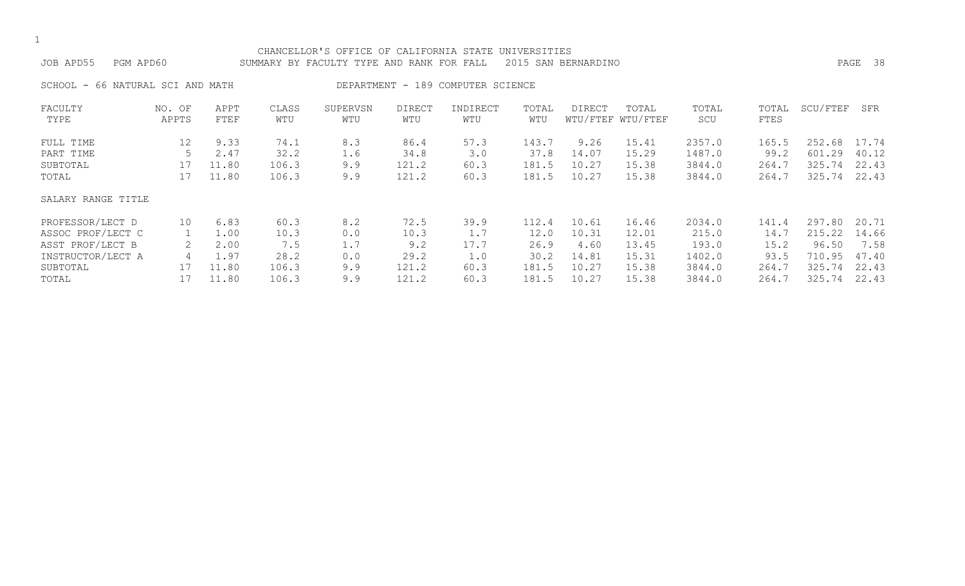|  | ۰.  |
|--|-----|
|  | . . |

| JOB APD55 | PGM APD60                        |      |       | CHANCELLOR'S OFFICE OF CALIFORNIA STATE UNIVERSITIES<br>SUMMARY BY FACULTY TYPE AND RANK FOR FALL 2015 SAN BERNARDINO |        |                                   |       |        |       |       |                    | PAGE 38 |
|-----------|----------------------------------|------|-------|-----------------------------------------------------------------------------------------------------------------------|--------|-----------------------------------|-------|--------|-------|-------|--------------------|---------|
|           | SCHOOL - 66 NATURAL SCI AND MATH |      |       |                                                                                                                       |        | DEPARTMENT - 189 COMPUTER SCIENCE |       |        |       |       |                    |         |
| FACULTY   | NO. OF                           | APPT | CLASS | SUPERVSN                                                                                                              | DIRECT | INDIRECT                          | TOTAL | DIRECT | TOTAL | TOTAL | TOTAL SCU/FTEF SFR |         |

| TYPE               | APPTS           | FTEF  | WTU   | WTU | WTU   | WTU  | WTU   |       | WTU/FTEF WTU/FTEF | SCU    | <b>FTES</b> |        |       |
|--------------------|-----------------|-------|-------|-----|-------|------|-------|-------|-------------------|--------|-------------|--------|-------|
| FULL TIME          | 12 <sup>°</sup> | 9.33  | 74.1  | 8.3 | 86.4  | 57.3 | 143.7 | 9.26  | 15.41             | 2357.0 | 165.5       | 252.68 | 17.74 |
| PART TIME          |                 | 2.47  | 32.2  | 1.6 | 34.8  | 3.0  | 37.8  | 14.07 | 15.29             | 1487.0 | 99.2        | 601.29 | 40.12 |
| SUBTOTAL           | 17              | 11.80 | 106.3 | 9.9 | 121.2 | 60.3 | 181.5 | 10.27 | 15.38             | 3844.0 | 264.7       | 325.74 | 22.43 |
| TOTAL              |                 | 11.80 | 106.3 | 9.9 | 121.2 | 60.3 | 181.5 | 10.27 | 15.38             | 3844.0 | 264.7       | 325.74 | 22.43 |
| SALARY RANGE TITLE |                 |       |       |     |       |      |       |       |                   |        |             |        |       |
| PROFESSOR/LECT D   | 10              | 6.83  | 60.3  | 8.2 | 72.5  | 39.9 | 112.4 | 10.61 | 16.46             | 2034.0 | 141.4       | 297.80 | 20.71 |
| ASSOC PROF/LECT C  |                 | 1.00  | 10.3  | 0.0 | 10.3  | 1.7  | 12.0  | 10.31 | 12.01             | 215.0  | 14.7        | 215.22 | 14.66 |
| ASST PROF/LECT B   |                 | 2.00  | 7.5   | 1.7 | 9.2   | 17.7 | 26.9  | 4.60  | 13.45             | 193.0  | 15.2        | 96.50  | 7.58  |
| INSTRUCTOR/LECT A  |                 | 1.97  | 28.2  | 0.0 | 29.2  | 1.0  | 30.2  | 14.81 | 15.31             | 1402.0 | 93.5        | 710.95 | 47.40 |
| SUBTOTAL           |                 | 11.80 | 106.3 | 9.9 | 121.2 | 60.3 | 181.5 | 10.27 | 15.38             | 3844.0 | 264.7       | 325.74 | 22.43 |
| TOTAL              |                 | 11.80 | 106.3 | 9.9 | 121.2 | 60.3 | 181.5 | 10.27 | 15.38             | 3844.0 | 264.7       | 325.74 | 22.43 |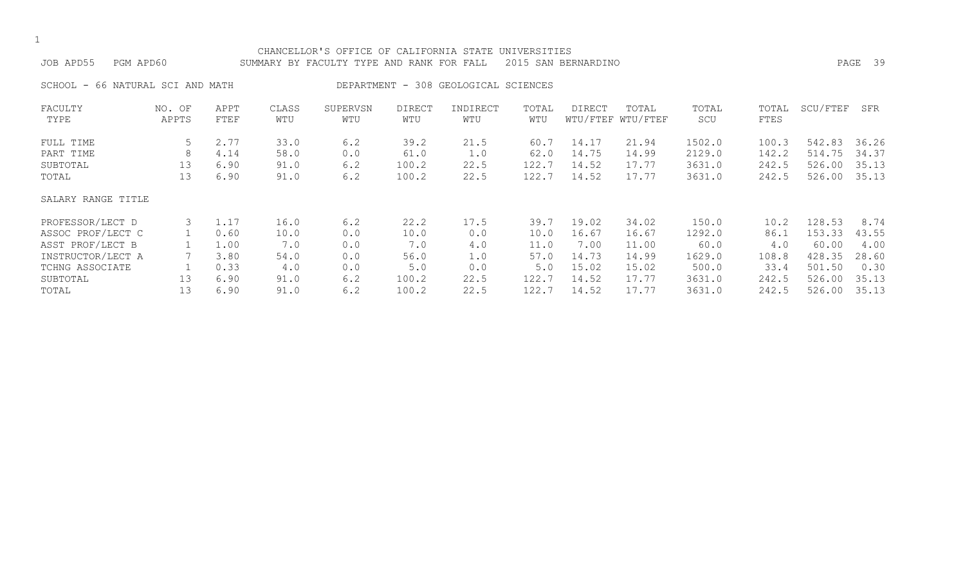|  | ۰.  |
|--|-----|
|  | . . |

|                                  |               |      |       | CHANCELLOR'S OFFICE OF CALIFORNIA STATE UNIVERSITIES |               |                                      |       |                     |                   |        |       |          |         |
|----------------------------------|---------------|------|-------|------------------------------------------------------|---------------|--------------------------------------|-------|---------------------|-------------------|--------|-------|----------|---------|
| JOB APD55<br>PGM APD60           |               |      |       | SUMMARY BY FACULTY TYPE AND RANK FOR FALL            |               |                                      |       | 2015 SAN BERNARDINO |                   |        |       |          | PAGE 39 |
| SCHOOL - 66 NATURAL SCI AND MATH |               |      |       |                                                      |               | DEPARTMENT - 308 GEOLOGICAL SCIENCES |       |                     |                   |        |       |          |         |
| FACULTY                          | NO. OF        | APPT | CLASS | SUPERVSN                                             | <b>DIRECT</b> | INDIRECT                             | TOTAL | DIRECT              | TOTAL             | TOTAL  | TOTAL | SCU/FTEF | SFR     |
| TYPE                             | APPTS         | FTEF | WTU   | WTU                                                  | WTU           | WTU                                  | WTU   |                     | WTU/FTEF WTU/FTEF | SCU    | FTES  |          |         |
| FULL TIME                        | $\mathcal{D}$ | 2.77 | 33.0  | 6.2                                                  | 39.2          | 21.5                                 | 60.7  | 14.17               | 21.94             | 1502.0 | 100.3 | 542.83   | 36.26   |
| PART TIME                        | 8             | 4.14 | 58.0  | 0.0                                                  | 61.0          | 1.0                                  | 62.0  | 14.75               | 14.99             | 2129.0 | 142.2 | 514.75   | 34.37   |
| SUBTOTAL                         | 13            | 6.90 | 91.0  | 6.2                                                  | 100.2         | 22.5                                 | 122.7 | 14.52               | 17.77             | 3631.0 | 242.5 | 526.00   | 35.13   |
| TOTAL                            | 13            | 6.90 | 91.0  | 6.2                                                  | 100.2         | 22.5                                 | 122.7 | 14.52               | 17.77             | 3631.0 | 242.5 | 526.00   | 35.13   |
| SALARY RANGE TITLE               |               |      |       |                                                      |               |                                      |       |                     |                   |        |       |          |         |
| PROFESSOR/LECT D                 |               | 1.17 | 16.0  | 6.2                                                  | 22.2          | 17.5                                 | 39.7  | 19.02               | 34.02             | 150.0  | 10.2  | 128.53   | 8.74    |

ASSOC PROF/LECT C 1 0.60 10.0 0.0 10.0 0.0 10.0 16.67 16.67 1292.0 86.1 153.33 43.55 ASST PROF/LECT B 1 1.00 7.0 0.0 7.0 4.0 11.0 7.00 11.00 60.0 4.0 60.00 4.00<br>INSTRUCTOR/LECT A 7 3.80 54.0 0.0 56.0 1.0 57.0 14.73 14.99 1629.0 108.8 428.35 28.60

TCHNG ASSOCIATE 1 0.33 4.0 0.0 5.0 0.0 5.0 15.02 15.02 500.0 33.4 501.50 0.30 SUBTOTAL 13 6.90 91.0 6.2 100.2 22.5 122.7 14.52 17.77 3631.0 242.5 526.00 35.13 TOTAL 13 6.90 91.0 6.2 100.2 22.5 122.7 14.52 17.77 3631.0 242.5 526.00 35.13

INSTRUCTOR/LECT A 7 3.80 54.0 0.0 56.0 1.0 57.0 14.73 14.99 1629.0 108.8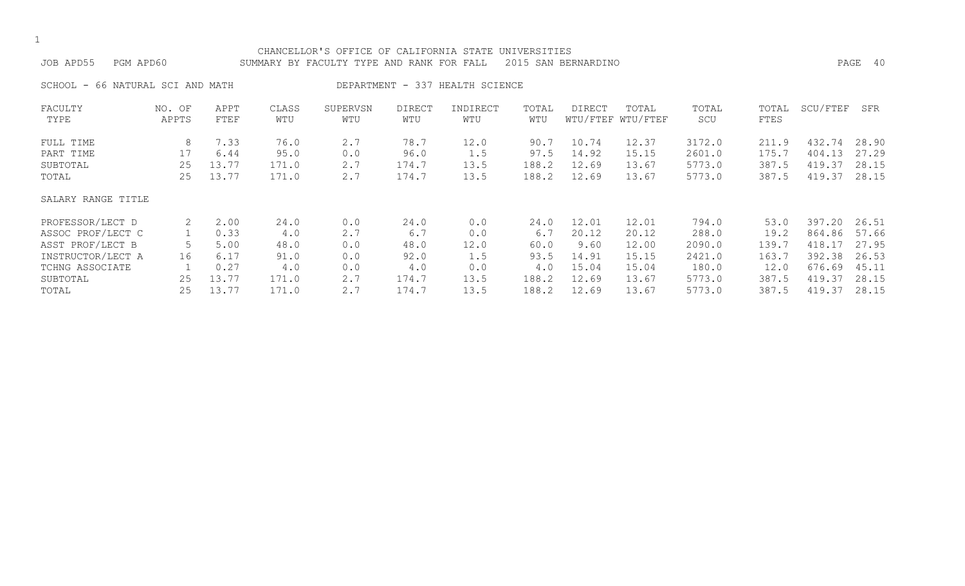| PGM APD60<br>JOB APD55           |                 |              |              | CHANCELLOR'S OFFICE OF CALIFORNIA STATE UNIVERSITIES<br>SUMMARY BY FACULTY TYPE AND RANK FOR FALL |                      |                                 |              | 2015 SAN BERNARDINO |                            |              |               |          | PAGE 40 |
|----------------------------------|-----------------|--------------|--------------|---------------------------------------------------------------------------------------------------|----------------------|---------------------------------|--------------|---------------------|----------------------------|--------------|---------------|----------|---------|
| SCHOOL - 66 NATURAL SCI AND MATH |                 |              |              |                                                                                                   |                      | DEPARTMENT - 337 HEALTH SCIENCE |              |                     |                            |              |               |          |         |
| FACULTY<br>TYPE                  | NO. OF<br>APPTS | APPT<br>FTEF | CLASS<br>WTU | SUPERVSN<br>WTU                                                                                   | <b>DIRECT</b><br>WTU | INDIRECT<br>WTU                 | TOTAL<br>WTU | DIRECT              | TOTAL<br>WTU/FTEF WTU/FTEF | TOTAL<br>SCU | TOTAL<br>FTES | SCU/FTEF | SFR     |
| FULL TIME                        | 8               | 7.33         | 76.0         | 2.7                                                                                               | 78.7                 | 12.0                            | 90.7         | 10.74               | 12.37                      | 3172.0       | 211.9         | 432.74   | 28.90   |
| PART TIME                        |                 | 6.44         | 95.0         | 0.0                                                                                               | 96.0                 | 1.5                             | 97.5         | 14.92               | 15.15                      | 2601.0       | 175.7         | 404.13   | 27.29   |
| SUBTOTAL                         | 25              | 13.77        | 171.0        | 2.7                                                                                               | 174.7                | 13.5                            | 188.2        | 12.69               | 13.67                      | 5773.0       | 387.5         | 419.37   | 28.15   |
| TOTAL                            | 25              | 13.77        | 171.0        | 2.7                                                                                               | 174.7                | 13.5                            | 188.2        | 12.69               | 13.67                      | 5773.0       | 387.5         | 419.37   | 28.15   |
| SALARY RANGE TITLE               |                 |              |              |                                                                                                   |                      |                                 |              |                     |                            |              |               |          |         |
| PROFESSOR/LECT D                 | 2               | 2.00         | 24.0         | 0.0                                                                                               | 24.0                 | 0.0                             | 24.0         | 12.01               | 12.01                      | 794.0        | 53.0          | 397.20   | 26.51   |
| ASSOC PROF/LECT C                |                 | 0.33         | 4.0          | 2.7                                                                                               | 6.7                  | 0.0                             | 6.7          | 20.12               | 20.12                      | 288.0        | 19.2          | 864.86   | 57.66   |
| ASST PROF/LECT B                 | 5               | 5.00         | 48.0         | 0.0                                                                                               | 48.0                 | 12.0                            | 60.0         | 9.60                | 12.00                      | 2090.0       | 139.7         | 418.17   | 27.95   |
| INSTRUCTOR/LECT A                | 16              | 6.17         | 91.0         | 0.0                                                                                               | 92.0                 | 1.5                             | 93.5         | 14.91               | 15.15                      | 2421.0       | 163.7         | 392.38   | 26.53   |
| TCHNG ASSOCIATE                  |                 | 0.27         | 4.0          | 0.0                                                                                               | 4.0                  | 0.0                             | 4.0          | 15.04               | 15.04                      | 180.0        | 12.0          | 676.69   | 45.11   |
| SUBTOTAL                         | 25              | 13.77        | 171.0        | 2.7                                                                                               | 174.7                | 13.5                            | 188.2        | 12.69               | 13.67                      | 5773.0       | 387.5         | 419.37   | 28.15   |

TOTAL 25 13.77 171.0 2.7 174.7 13.5 188.2 12.69 13.67 5773.0 387.5 419.37 28.15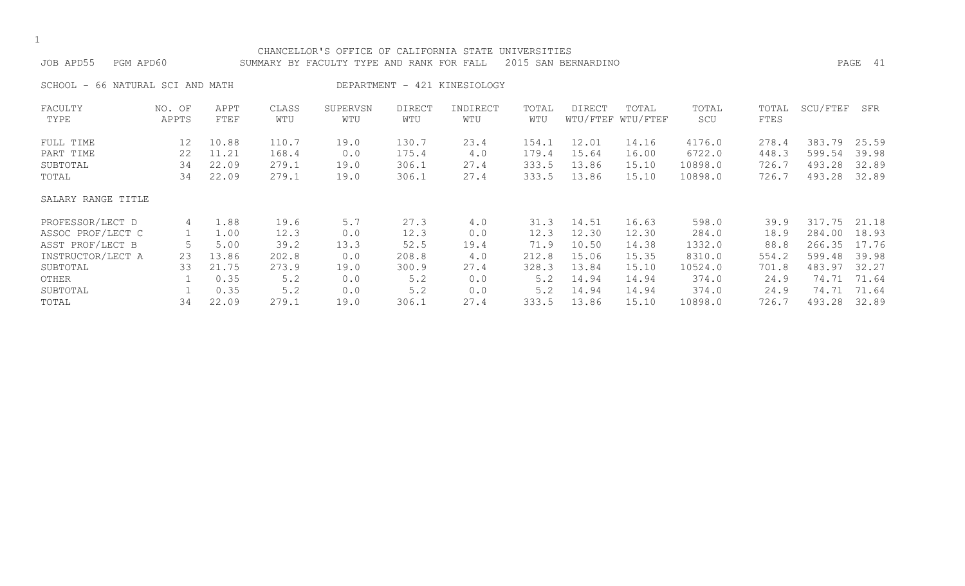|  | ۰.  |
|--|-----|
|  | . . |

# CHANCELLOR'S OFFICE OF CALIFORNIA STATE UNIVERSITIES JOB APD55 PGM APD60 SUMMARY BY FACULTY TYPE AND RANK FOR FALL 2015 SAN BERNARDINO PAGE 41 SCHOOL - 66 NATURAL SCI AND MATH DEPARTMENT - 421 KINESIOLOGY FACULTY NO. OF APPT CLASS SUPERVSN DIRECT INDIRECT TOTAL DIRECT TOTAL TOTAL TOTAL SCU/FTEF SFR

| TYPE               | APPTS | FTEF  | WTU   | WTU  | WTU   | WTU  | WTU   |       | WTU/FTEF WTU/FTEF | SCU     | <b>FTES</b> |        |       |
|--------------------|-------|-------|-------|------|-------|------|-------|-------|-------------------|---------|-------------|--------|-------|
| FULL TIME          | 12    | 10.88 | 110.7 | 19.0 | 130.7 | 23.4 | 154.1 | 12.01 | 14.16             | 4176.0  | 278.4       | 383.79 | 25.59 |
| PART TIME          | 22    | 11.21 | 168.4 | 0.0  | 175.4 | 4.0  | 179.4 | 15.64 | 16.00             | 6722.0  | 448.3       | 599.54 | 39.98 |
| SUBTOTAL           | 34    | 22.09 | 279.1 | 19.0 | 306.1 | 27.4 | 333.5 | 13.86 | 15.10             | 10898.0 | 726.7       | 493.28 | 32.89 |
| TOTAL              | 34    | 22.09 | 279.1 | 19.0 | 306.1 | 27.4 | 333.5 | 13.86 | 15.10             | 10898.0 | 726.7       | 493.28 | 32.89 |
| SALARY RANGE TITLE |       |       |       |      |       |      |       |       |                   |         |             |        |       |
| PROFESSOR/LECT D   | 4     | 1.88  | 19.6  | 5.7  | 27.3  | 4.0  | 31.3  | 14.51 | 16.63             | 598.0   | 39.9        | 317.75 | 21.18 |
| ASSOC PROF/LECT C  |       | 1.00  | 12.3  | 0.0  | 12.3  | 0.0  | 12.3  | 12.30 | 12.30             | 284.0   | 18.9        | 284.00 | 18.93 |
| ASST PROF/LECT B   |       | 5.00  | 39.2  | 13.3 | 52.5  | 19.4 | 71.9  | 10.50 | 14.38             | 1332.0  | 88.8        | 266.35 | 17.76 |
| INSTRUCTOR/LECT A  | 23    | 13.86 | 202.8 | 0.0  | 208.8 | 4.0  | 212.8 | 15.06 | 15.35             | 8310.0  | 554.2       | 599.48 | 39.98 |
| SUBTOTAL           | 33    | 21.75 | 273.9 | 19.0 | 300.9 | 27.4 | 328.3 | 13.84 | 15.10             | 10524.0 | 701.8       | 483.97 | 32.27 |
| OTHER              |       | 0.35  | 5.2   | 0.0  | 5.2   | 0.0  | 5.2   | 14.94 | 14.94             | 374.0   | 24.9        | 74.71  | 71.64 |
| SUBTOTAL           |       | 0.35  | 5.2   | 0.0  | 5.2   | 0.0  | 5.2   | 14.94 | 14.94             | 374.0   | 24.9        | 74.71  | 71.64 |
| TOTAL              | 34    | 22.09 | 279.1 | 19.0 | 306.1 | 27.4 | 333.5 | 13.86 | 15.10             | 10898.0 | 726.7       | 493.28 | 32.89 |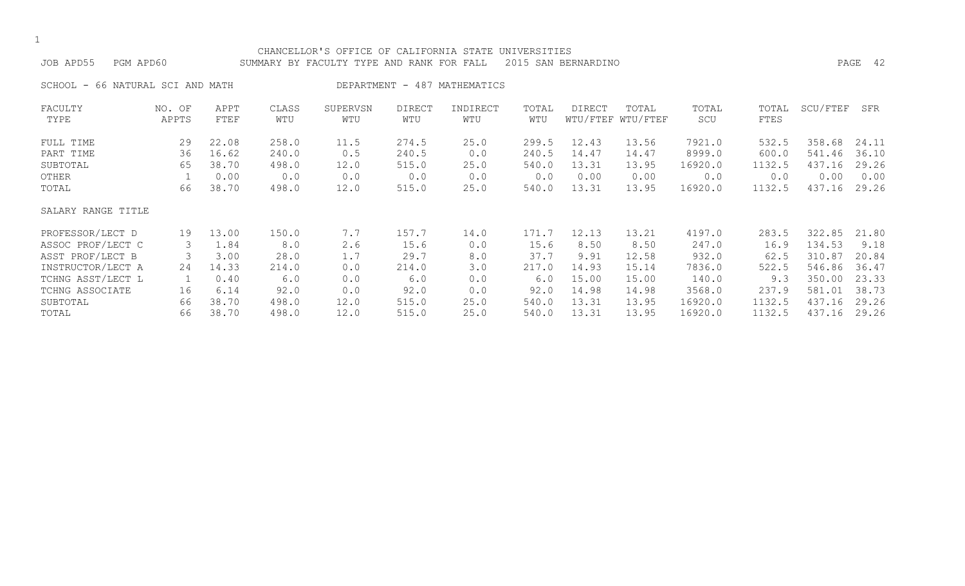## CHANCELLOR'S OFFICE OF CALIFORNIA STATE UNIVERSITIES JOB APD55 PGM APD60 SUMMARY BY FACULTY TYPE AND RANK FOR FALL 2015 SAN BERNARDINO PAGE 42

SCHOOL - 66 NATURAL SCI AND MATH CHART AND DEPARTMENT - 487 MATHEMATICS

| FACULTY            | NO. OF | APPT  | CLASS | SUPERVSN | DIRECT | INDIRECT | TOTAL | <b>DIRECT</b> | TOTAL             | TOTAL   | TOTAL  | SCU/FTEF | SFR   |
|--------------------|--------|-------|-------|----------|--------|----------|-------|---------------|-------------------|---------|--------|----------|-------|
| TYPE               | APPTS  | FTEF  | WTU   | WTU      | WTU    | WTU      | WTU   |               | WTU/FTEF WTU/FTEF | SCU     | FTES   |          |       |
| FULL TIME          | 29     | 22.08 | 258.0 | 11.5     | 274.5  | 25.0     | 299.5 | 12.43         | 13.56             | 7921.0  | 532.5  | 358.68   | 24.11 |
| PART TIME          | 36     | 16.62 | 240.0 | 0.5      | 240.5  | 0.0      | 240.5 | 14.47         | 14.47             | 8999.0  | 600.0  | 541.46   | 36.10 |
| SUBTOTAL           | 65     | 38.70 | 498.0 | 12.0     | 515.0  | 25.0     | 540.0 | 13.31         | 13.95             | 16920.0 | 1132.5 | 437.16   | 29.26 |
| OTHER              |        | 0.00  | 0.0   | 0.0      | 0.0    | 0.0      | 0.0   | 0.00          | 0.00              | 0.0     | 0.0    | 0.00     | 0.00  |
| TOTAL              | 66     | 38.70 | 498.0 | 12.0     | 515.0  | 25.0     | 540.0 | 13.31         | 13.95             | 16920.0 | 1132.5 | 437.16   | 29.26 |
| SALARY RANGE TITLE |        |       |       |          |        |          |       |               |                   |         |        |          |       |
| PROFESSOR/LECT D   | 19     | 13.00 | 150.0 | 7.7      | 157.7  | 14.0     | 171.7 | 12.13         | 13.21             | 4197.0  | 283.5  | 322.85   | 21.80 |
| ASSOC PROF/LECT C  | 3      | 1.84  | 8.0   | 2.6      | 15.6   | 0.0      | 15.6  | 8.50          | 8.50              | 247.0   | 16.9   | 134.53   | 9.18  |
| ASST PROF/LECT B   |        | 3.00  | 28.0  | 1.7      | 29.7   | 8.0      | 37.7  | 9.91          | 12.58             | 932.0   | 62.5   | 310.87   | 20.84 |
| INSTRUCTOR/LECT A  | 24     | 14.33 | 214.0 | 0.0      | 214.0  | 3.0      | 217.0 | 14.93         | 15.14             | 7836.0  | 522.5  | 546.86   | 36.47 |
| TCHNG ASST/LECT L  |        | 0.40  | 6.0   | 0.0      | 6.0    | 0.0      | 6.0   | 15.00         | 15.00             | 140.0   | 9.3    | 350.00   | 23.33 |
| TCHNG ASSOCIATE    | 16     | 6.14  | 92.0  | 0.0      | 92.0   | 0.0      | 92.0  | 14.98         | 14.98             | 3568.0  | 237.9  | 581.01   | 38.73 |
| SUBTOTAL           | 66     | 38.70 | 498.0 | 12.0     | 515.0  | 25.0     | 540.0 | 13.31         | 13.95             | 16920.0 | 1132.5 | 437.16   | 29.26 |
| TOTAL              | 66     | 38.70 | 498.0 | 12.0     | 515.0  | 25.0     | 540.0 | 13.31         | 13.95             | 16920.0 | 1132.5 | 437.16   | 29.26 |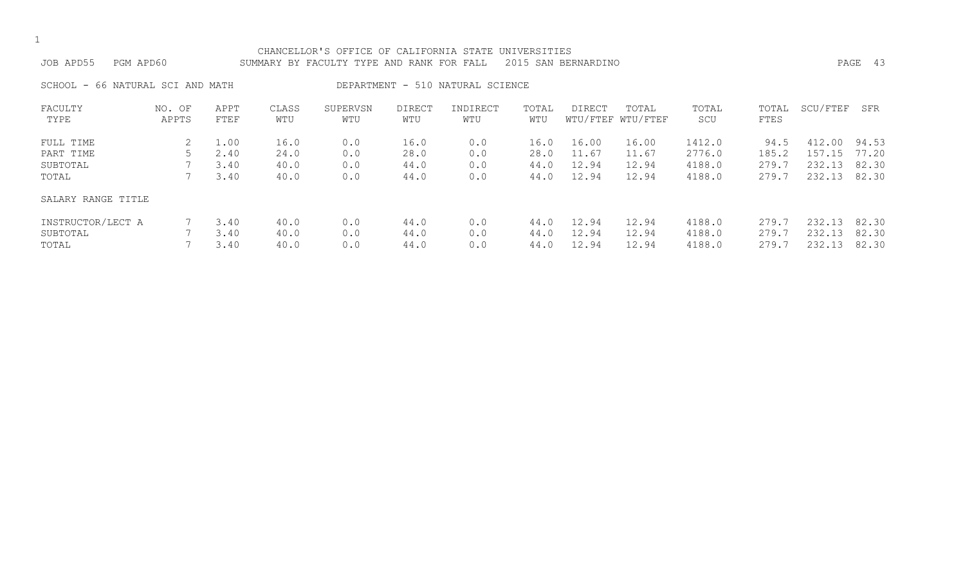| CHANCELLOR'S OFFICE OF CALIFORNIA STATE UNIVERSITIES<br>PGM APD60<br>2015 SAN BERNARDINO<br>JOB APD55<br>SUMMARY BY FACULTY TYPE AND RANK FOR FALL |                 |                              |                              |                          |                              |                                  |                              |                                  |                                  |                                      |                                 |                                      | PAGE 43                          |
|----------------------------------------------------------------------------------------------------------------------------------------------------|-----------------|------------------------------|------------------------------|--------------------------|------------------------------|----------------------------------|------------------------------|----------------------------------|----------------------------------|--------------------------------------|---------------------------------|--------------------------------------|----------------------------------|
| SCHOOL - 66 NATURAL SCI AND MATH                                                                                                                   |                 |                              |                              |                          |                              | DEPARTMENT - 510 NATURAL SCIENCE |                              |                                  |                                  |                                      |                                 |                                      |                                  |
| FACULTY<br>TYPE                                                                                                                                    | NO. OF<br>APPTS | APPT<br>FTEF                 | CLASS<br>WTU                 | SUPERVSN<br>WTU          | <b>DIRECT</b><br>WTU         | INDIRECT<br>WTU                  | TOTAL<br>WTU                 | DIRECT                           | TOTAL<br>WTU/FTEF WTU/FTEF       | TOTAL<br>SCU                         | TOTAL<br>FTES                   | SCU/FTEF                             | SFR                              |
| FULL TIME<br>PART TIME<br>SUBTOTAL<br>TOTAL                                                                                                        |                 | 1.00<br>2.40<br>3.40<br>3.40 | 16.0<br>24.0<br>40.0<br>40.0 | 0.0<br>0.0<br>0.0<br>0.0 | 16.0<br>28.0<br>44.0<br>44.0 | 0.0<br>0.0<br>0.0<br>0.0         | 16.0<br>28.0<br>44.0<br>44.0 | 16.00<br>11.67<br>12.94<br>12.94 | 16.00<br>11.67<br>12.94<br>12.94 | 1412.0<br>2776.0<br>4188.0<br>4188.0 | 94.5<br>185.2<br>279.7<br>279.7 | 412.00<br>157.15<br>232.13<br>232.13 | 94.53<br>77.20<br>82.30<br>82.30 |

# SALARY RANGE TITLE

| INSTRUCTOR/LECT A | 7 3.40     | 40.0 | 0.0 | 44.0 | 0.0 |                  | 44.0 12.94 12.94 | 4188.0                    | 279.7 232.13 82.30 |  |
|-------------------|------------|------|-----|------|-----|------------------|------------------|---------------------------|--------------------|--|
| SUBTOTAL          | $1 \t3.40$ | 40.0 | 0.0 | 44.0 | 0.0 |                  | 44.0 12.94 12.94 | 4188.0 279.7 232.13 82.30 |                    |  |
| TOTAL             | (3.40)     | 40.0 | 0.0 | 44.0 | 0.0 | 44.0 12.94 12.94 |                  | 4188.0 279.7 232.13 82.30 |                    |  |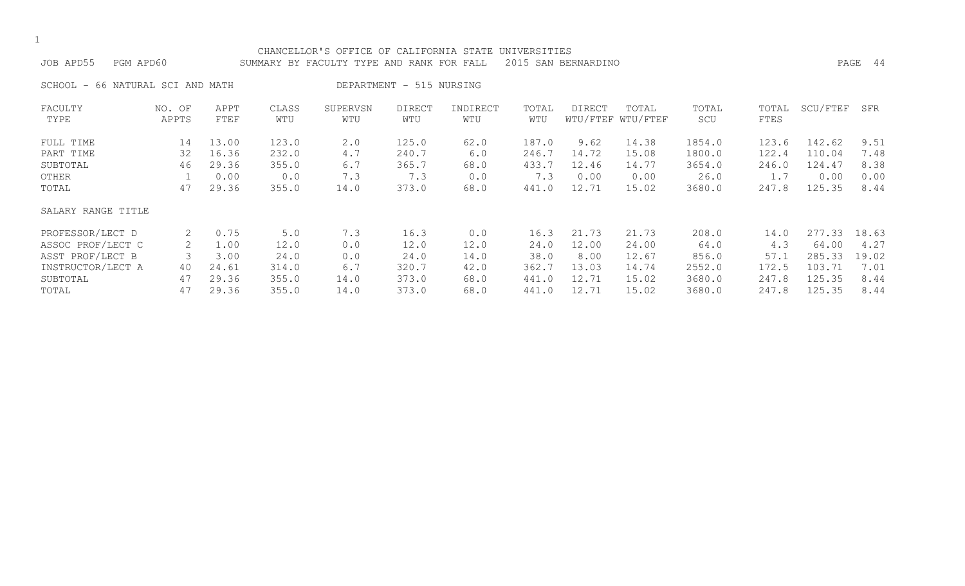|  | ۰.  |
|--|-----|
|  | . . |

#### CHANCELLOR'S OFFICE OF CALIFORNIA STATE UNIVERSITIES JOB APD55 PGM APD60 SUMMARY BY FACULTY TYPE AND RANK FOR FALL 2015 SAN BERNARDINO PAGE 44

SCHOOL - 66 NATURAL SCI AND MATH DEPARTMENT - 515 NURSING

| FACULTY<br>TYPE    | NO. OF<br>APPTS | APPT<br>FTEF | CLASS<br>WTU | SUPERVSN<br>WTU | <b>DIRECT</b><br>WTU | INDIRECT<br>WTU | TOTAL<br>WTU | DIRECT | TOTAL<br>WTU/FTEF WTU/FTEF | TOTAL<br>SCU | TOTAL<br>FTES | SCU/FTEF | SFR   |
|--------------------|-----------------|--------------|--------------|-----------------|----------------------|-----------------|--------------|--------|----------------------------|--------------|---------------|----------|-------|
| FULL TIME          | 14              | 13.00        | 123.0        | 2.0             | 125.0                | 62.0            | 187.0        | 9.62   | 14.38                      | 1854.0       | 123.6         | 142.62   | 9.51  |
| PART TIME          | 32              | 16.36        | 232.0        | 4.7             | 240.7                | 6.0             | 246.7        | 14.72  | 15.08                      | 1800.0       | 122.4         | 110.04   | 7.48  |
| SUBTOTAL           | 46              | 29.36        | 355.0        | 6.7             | 365.7                | 68.0            | 433.7        | 12.46  | 14.77                      | 3654.0       | 246.0         | 124.47   | 8.38  |
| OTHER              |                 | 0.00         | 0.0          | 7.3             | 7.3                  | 0.0             | 7.3          | 0.00   | 0.00                       | 26.0         | 1.7           | 0.00     | 0.00  |
| TOTAL              | 47              | 29.36        | 355.0        | 14.0            | 373.0                | 68.0            | 441.0        | 12.71  | 15.02                      | 3680.0       | 247.8         | 125.35   | 8.44  |
| SALARY RANGE TITLE |                 |              |              |                 |                      |                 |              |        |                            |              |               |          |       |
| PROFESSOR/LECT D   | 2               | 0.75         | 5.0          | 7.3             | 16.3                 | 0.0             | 16.3         | 21.73  | 21.73                      | 208.0        | 14.0          | 277.33   | 18.63 |
| ASSOC PROF/LECT C  | 2               | 1.00         | 12.0         | 0.0             | 12.0                 | 12.0            | 24.0         | 12.00  | 24.00                      | 64.0         | 4.3           | 64.00    | 4.27  |
| ASST PROF/LECT B   |                 | 3.00         | 24.0         | 0.0             | 24.0                 | 14.0            | 38.0         | 8.00   | 12.67                      | 856.0        | 57.1          | 285.33   | 19.02 |
| INSTRUCTOR/LECT A  | 40              | 24.61        | 314.0        | 6.7             | 320.7                | 42.0            | 362.7        | 13.03  | 14.74                      | 2552.0       | 172.5         | 103.71   | 7.01  |
| SUBTOTAL           | 47              | 29.36        | 355.0        | 14.0            | 373.0                | 68.0            | 441.0        | 12.71  | 15.02                      | 3680.0       | 247.8         | 125.35   | 8.44  |
| TOTAL              | 47              | 29.36        | 355.0        | 14.0            | 373.0                | 68.0            | 441.0        | 12.71  | 15.02                      | 3680.0       | 247.8         | 125.35   | 8.44  |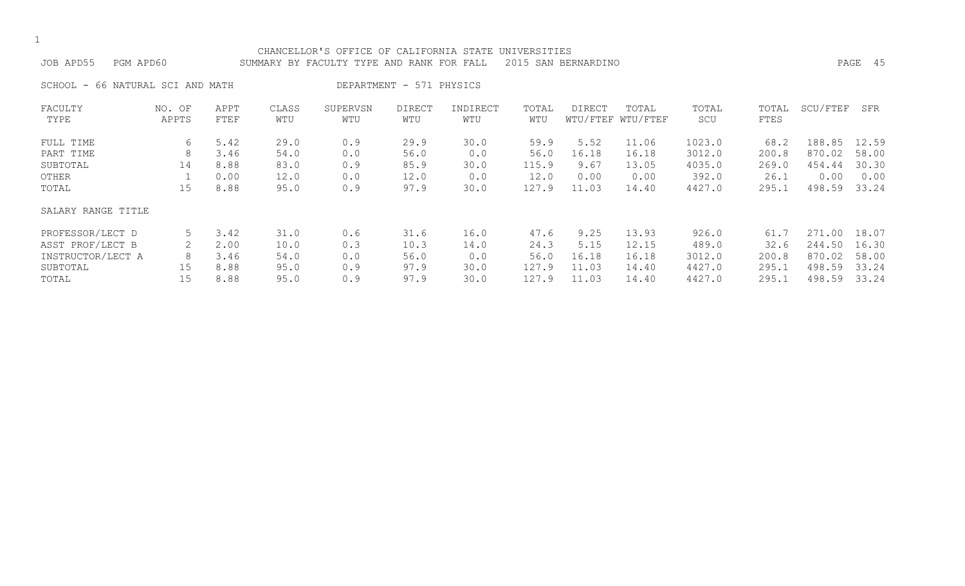|  | ۰.  |
|--|-----|
|  | . . |

#### CHANCELLOR'S OFFICE OF CALIFORNIA STATE UNIVERSITIES JOB APD55 PGM APD60 SUMMARY BY FACULTY TYPE AND RANK FOR FALL 2015 SAN BERNARDINO PAGE 45

SCHOOL - 66 NATURAL SCI AND MATH DEPARTMENT - 571 PHYSICS

| FACULTY<br>TYPE    | NO. OF<br>APPTS | APPT<br>FTEF | CLASS<br>WTU | SUPERVSN<br>WTU | <b>DIRECT</b><br>WTU | INDIRECT<br>WTU | TOTAL<br>WTU | DIRECT | TOTAL<br>WTU/FTEF WTU/FTEF | TOTAL<br>SCU | TOTAL<br>FTES | SCU/FTEF | SFR   |
|--------------------|-----------------|--------------|--------------|-----------------|----------------------|-----------------|--------------|--------|----------------------------|--------------|---------------|----------|-------|
|                    |                 |              |              |                 |                      |                 |              |        |                            |              |               |          |       |
| FULL TIME          | 6               | 5.42         | 29.0         | 0.9             | 29.9                 | 30.0            | 59.9         | 5.52   | 11.06                      | 1023.0       | 68.2          | 188.85   | 12.59 |
| PART TIME          | 8               | 3.46         | 54.0         | 0.0             | 56.0                 | 0.0             | 56.0         | 16.18  | 16.18                      | 3012.0       | 200.8         | 870.02   | 58.00 |
| SUBTOTAL           | 14              | 8.88         | 83.0         | 0.9             | 85.9                 | 30.0            | 115.9        | 9.67   | 13.05                      | 4035.0       | 269.0         | 454.44   | 30.30 |
| OTHER              |                 | 0.00         | 12.0         | 0.0             | 12.0                 | 0.0             | 12.0         | 0.00   | 0.00                       | 392.0        | 26.1          | 0.00     | 0.00  |
| TOTAL              | 15              | 8.88         | 95.0         | 0.9             | 97.9                 | 30.0            | 127.9        | 11.03  | 14.40                      | 4427.0       | 295.1         | 498.59   | 33.24 |
| SALARY RANGE TITLE |                 |              |              |                 |                      |                 |              |        |                            |              |               |          |       |
| PROFESSOR/LECT D   | 5               | 3.42         | 31.0         | 0.6             | 31.6                 | 16.0            | 47.6         | 9.25   | 13.93                      | 926.0        | 61.7          | 271.00   | 18.07 |
| ASST PROF/LECT B   | 2               | 2.00         | 10.0         | 0.3             | 10.3                 | 14.0            | 24.3         | 5.15   | 12.15                      | 489.0        | 32.6          | 244.50   | 16.30 |
| INSTRUCTOR/LECT A  | 8               | 3.46         | 54.0         | 0.0             | 56.0                 | 0.0             | 56.0         | 16.18  | 16.18                      | 3012.0       | 200.8         | 870.02   | 58.00 |
| SUBTOTAL           | 15              | 8.88         | 95.0         | 0.9             | 97.9                 | 30.0            | 127.9        | 11.03  | 14.40                      | 4427.0       | 295.1         | 498.59   | 33.24 |
| TOTAL              | 15              | 8.88         | 95.0         | 0.9             | 97.9                 | 30.0            | 127.9        | 11.03  | 14.40                      | 4427.0       | 295.1         | 498.59   | 33.24 |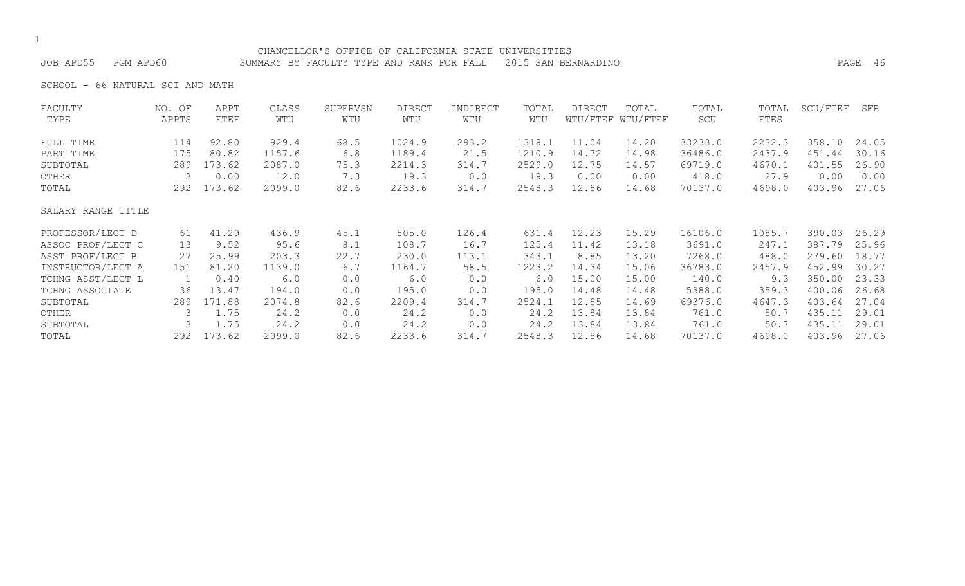# CHANCELLOR'S OFFICE OF CALIFORNIA STATE UNIVERSITIES

JOB APD55 PGM APD60 SUMMARY BY FACULTY TYPE AND RANK FOR FALL 2015 SAN BERNARDINO PAGE 46

SCHOOL - 66 NATURAL SCI AND MATH

| FACULTY            | NO. OF | APPT   | CLASS  | SUPERVSN | <b>DIRECT</b> | INDIRECT | TOTAL  | DIRECT | TOTAL             | TOTAL   | TOTAL  | SCU/FTEF | SFR   |
|--------------------|--------|--------|--------|----------|---------------|----------|--------|--------|-------------------|---------|--------|----------|-------|
| TYPE               | APPTS  | FTEF   | WTU    | WTU      | WTU           | WTU      | WTU    |        | WTU/FTEF WTU/FTEF | SCU     | FTES   |          |       |
| FULL TIME          | 114    | 92.80  | 929.4  | 68.5     | 1024.9        | 293.2    | 1318.1 | 11.04  | 14.20             | 33233.0 | 2232.3 | 358.10   | 24.05 |
| PART TIME          | 175    | 80.82  | 1157.6 | 6.8      | 1189.4        | 21.5     | 1210.9 | 14.72  | 14.98             | 36486.0 | 2437.9 | 451.44   | 30.16 |
| SUBTOTAL           | 289    | 173.62 | 2087.0 | 75.3     | 2214.3        | 314.7    | 2529.0 | 12.75  | 14.57             | 69719.0 | 4670.1 | 401.55   | 26.90 |
| OTHER              | 3      | 0.00   | 12.0   | 7.3      | 19.3          | 0.0      | 19.3   | 0.00   | 0.00              | 418.0   | 27.9   | 0.00     | 0.00  |
| TOTAL              | 292    | 173.62 | 2099.0 | 82.6     | 2233.6        | 314.7    | 2548.3 | 12.86  | 14.68             | 70137.0 | 4698.0 | 403.96   | 27.06 |
| SALARY RANGE TITLE |        |        |        |          |               |          |        |        |                   |         |        |          |       |
| PROFESSOR/LECT D   | 61     | 41.29  | 436.9  | 45.1     | 505.0         | 126.4    | 631.4  | 12.23  | 15.29             | 16106.0 | 1085.7 | 390.03   | 26.29 |
| ASSOC PROF/LECT C  | 13     | 9.52   | 95.6   | 8.1      | 108.7         | 16.7     | 125.4  | 11.42  | 13.18             | 3691.0  | 247.1  | 387.79   | 25.96 |
| ASST PROF/LECT B   | 27     | 25.99  | 203.3  | 22.7     | 230.0         | 113.1    | 343.1  | 8.85   | 13.20             | 7268.0  | 488.0  | 279.60   | 18.77 |
| INSTRUCTOR/LECT A  | 151    | 81.20  | 1139.0 | 6.7      | 1164.7        | 58.5     | 1223.2 | 14.34  | 15.06             | 36783.0 | 2457.9 | 452.99   | 30.27 |
| TCHNG ASST/LECT L  |        | 0.40   | 6.0    | 0.0      | 6.0           | 0.0      | 6.0    | 15.00  | 15.00             | 140.0   | 9.3    | 350.00   | 23.33 |
| TCHNG ASSOCIATE    | 36     | 13.47  | 194.0  | 0.0      | 195.0         | 0.0      | 195.0  | 14.48  | 14.48             | 5388.0  | 359.3  | 400.06   | 26.68 |
| SUBTOTAL           | 289    | 171.88 | 2074.8 | 82.6     | 2209.4        | 314.7    | 2524.1 | 12.85  | 14.69             | 69376.0 | 4647.3 | 403.64   | 27.04 |
| OTHER              | 3      | 1.75   | 24.2   | 0.0      | 24.2          | 0.0      | 24.2   | 13.84  | 13.84             | 761.0   | 50.7   | 435.11   | 29.01 |
| SUBTOTAL           | 3      | 1.75   | 24.2   | 0.0      | 24.2          | 0.0      | 24.2   | 13.84  | 13.84             | 761.0   | 50.7   | 435.11   | 29.01 |
| TOTAL              | 292    | 173.62 | 2099.0 | 82.6     | 2233.6        | 314.7    | 2548.3 | 12.86  | 14.68             | 70137.0 | 4698.0 | 403.96   | 27.06 |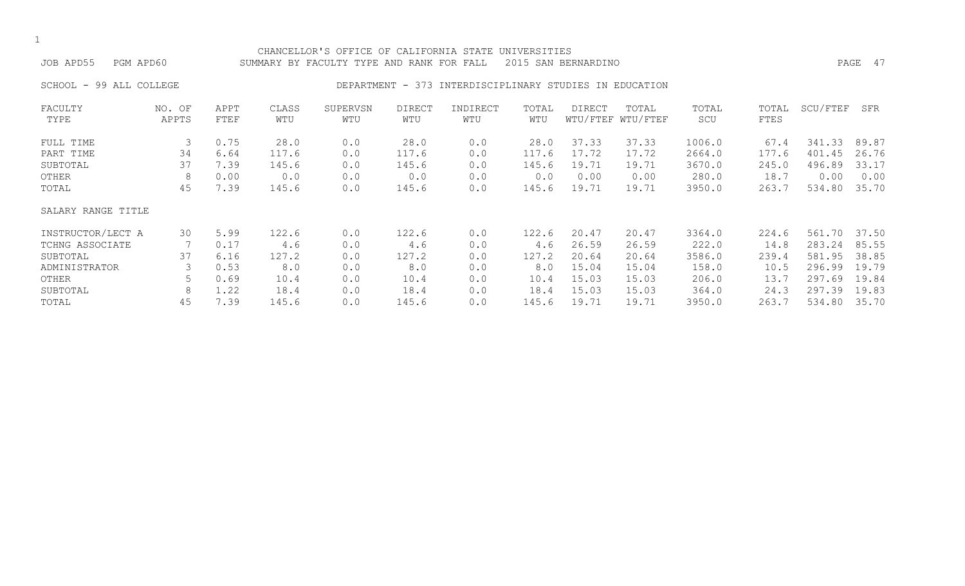|  | ۰.  |
|--|-----|
|  | . . |

#### CHANCELLOR'S OFFICE OF CALIFORNIA STATE UNIVERSITIES JOB APD55 PGM APD60 SUMMARY BY FACULTY TYPE AND RANK FOR FALL 2015 SAN BERNARDINO PAGE 47

### SCHOOL - 99 ALL COLLEGE THE RESOLUTION DEPARTMENT - 373 INTERDISCIPLINARY STUDIES IN EDUCATION

| FACULTY            | NO. OF | APPT | CLASS | SUPERVSN | <b>DIRECT</b> | INDIRECT | TOTAL | DIRECT | TOTAL             | TOTAL  | TOTAL | SCU/FTEF | SFR   |
|--------------------|--------|------|-------|----------|---------------|----------|-------|--------|-------------------|--------|-------|----------|-------|
| TYPE               | APPTS  | FTEF | WTU   | WTU      | WTU           | WTU      | WTU   |        | WTU/FTEF WTU/FTEF | SCU    | FTES  |          |       |
| FULL TIME          | 3      | 0.75 | 28.0  | 0.0      | 28.0          | 0.0      | 28.0  | 37.33  | 37.33             | 1006.0 | 67.4  | 341.33   | 89.87 |
| PART TIME          | 34     | 6.64 | 117.6 | 0.0      | 117.6         | 0.0      | 117.6 | 17.72  | 17.72             | 2664.0 | 177.6 | 401.45   | 26.76 |
| SUBTOTAL           | 37     | 7.39 | 145.6 | 0.0      | 145.6         | 0.0      | 145.6 | 19.71  | 19.71             | 3670.0 | 245.0 | 496.89   | 33.17 |
| OTHER              | 8      | 0.00 | 0.0   | 0.0      | 0.0           | 0.0      | 0.0   | 0.00   | 0.00              | 280.0  | 18.7  | 0.00     | 0.00  |
| TOTAL              | 45     | 7.39 | 145.6 | 0.0      | 145.6         | 0.0      | 145.6 | 19.71  | 19.71             | 3950.0 | 263.7 | 534.80   | 35.70 |
| SALARY RANGE TITLE |        |      |       |          |               |          |       |        |                   |        |       |          |       |
| INSTRUCTOR/LECT A  | 30     | 5.99 | 122.6 | 0.0      | 122.6         | 0.0      | 122.6 | 20.47  | 20.47             | 3364.0 | 224.6 | 561.70   | 37.50 |
| TCHNG ASSOCIATE    |        | 0.17 | 4.6   | 0.0      | 4.6           | 0.0      | 4.6   | 26.59  | 26.59             | 222.0  | 14.8  | 283.24   | 85.55 |
| SUBTOTAL           | 37     | 6.16 | 127.2 | 0.0      | 127.2         | 0.0      | 127.2 | 20.64  | 20.64             | 3586.0 | 239.4 | 581.95   | 38.85 |
| ADMINISTRATOR      |        | 0.53 | 8.0   | 0.0      | 8.0           | 0.0      | 8.0   | 15.04  | 15.04             | 158.0  | 10.5  | 296.99   | 19.79 |
| OTHER              |        | 0.69 | 10.4  | 0.0      | 10.4          | 0.0      | 10.4  | 15.03  | 15.03             | 206.0  | 13.7  | 297.69   | 19.84 |
| SUBTOTAL           | 8      | 1.22 | 18.4  | 0.0      | 18.4          | 0.0      | 18.4  | 15.03  | 15.03             | 364.0  | 24.3  | 297.39   | 19.83 |
| TOTAL              | 45     | 7.39 | 145.6 | 0.0      | 145.6         | 0.0      | 145.6 | 19.71  | 19.71             | 3950.0 | 263.7 | 534.80   | 35.70 |